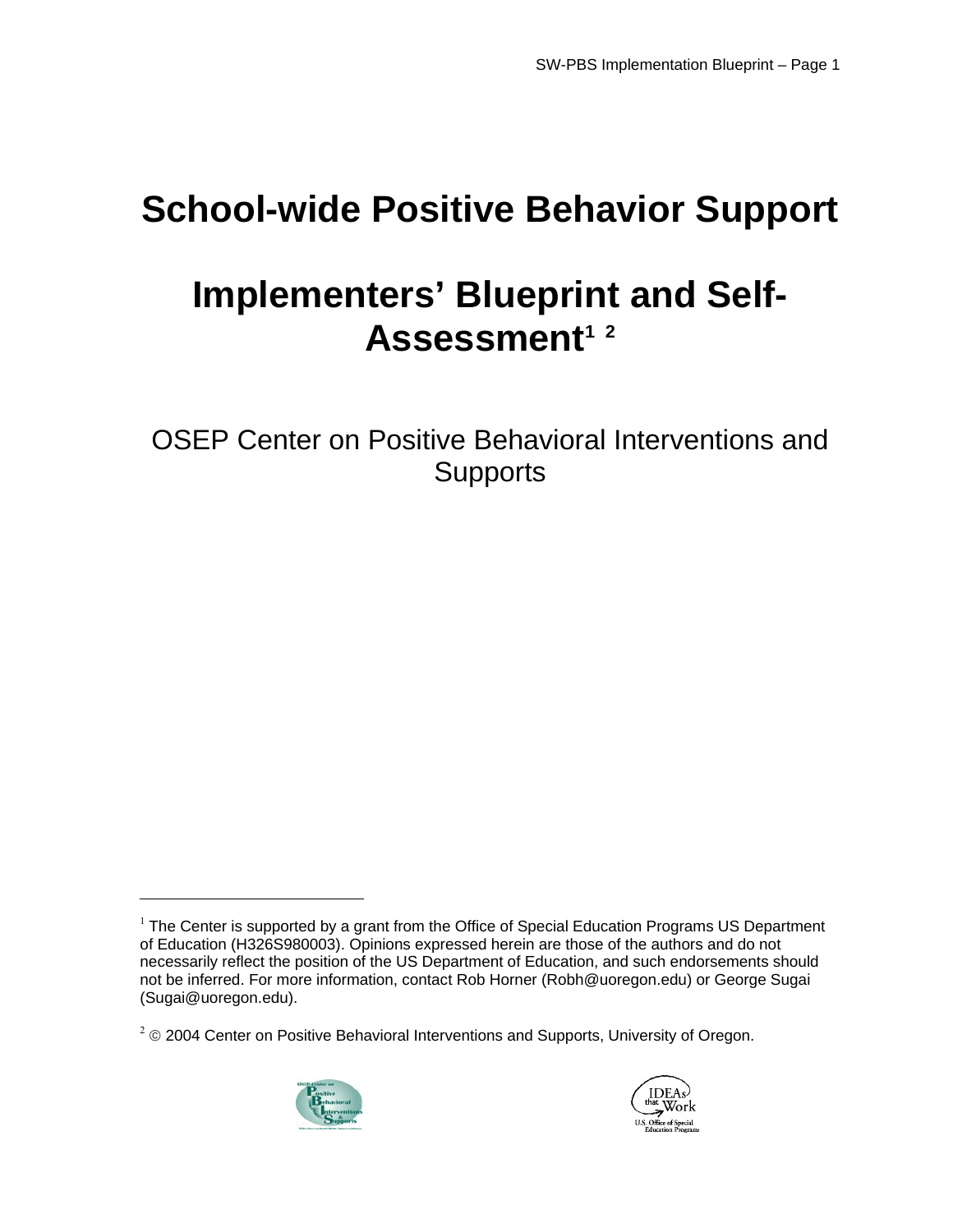# **School-wide Positive Behavior Support**

# **Implementers' Blueprint and Self-**Assessment<sup>1</sup> <sup>2</sup>

OSEP Center on Positive Behavioral Interventions and **Supports** 

 $2^2$  © 2004 Center on Positive Behavioral Interventions and Supports, University of Oregon.



 $\overline{a}$ 



 $1$  The Center is supported by a grant from the Office of Special Education Programs US Department of Education (H326S980003). Opinions expressed herein are those of the authors and do not necessarily reflect the position of the US Department of Education, and such endorsements should not be inferred. For more information, contact Rob Horner [\(Robh@uoregon.edu](mailto:Robh@uoregon.edu)) or George Sugai [\(Sugai@uoregon.edu](mailto:Sugai@uoregon.edu)).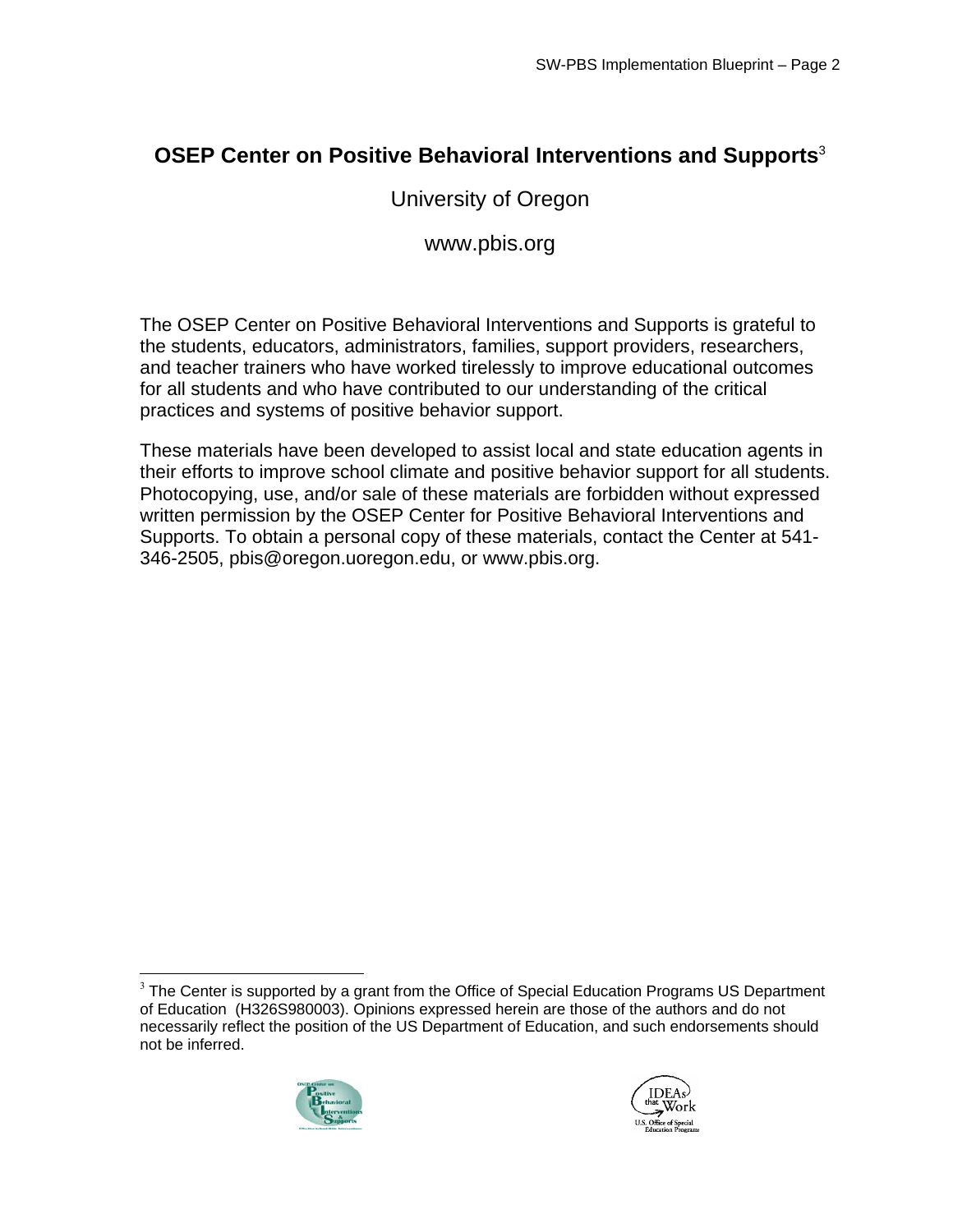# **OSEP Center on Positive Behavioral Interventions and Supports**<sup>3</sup>

# University of Oregon

## [www.pbis.org](http://www.pbis.org)

The OSEP Center on Positive Behavioral Interventions and Supports is grateful to the students, educators, administrators, families, support providers, researchers, and teacher trainers who have worked tirelessly to improve educational outcomes for all students and who have contributed to our understanding of the critical practices and systems of positive behavior support.

These materials have been developed to assist local and state education agents in their efforts to improve school climate and positive behavior support for all students. Photocopying, use, and/or sale of these materials are forbidden without expressed written permission by the OSEP Center for Positive Behavioral Interventions and Supports. To obtain a personal copy of these materials, contact the Center at 541- 346-2505, [pbis@oregon.uoregon.edu,](mailto:pbis@oregon.uoregon.edu) or [www.pbis.org](http://www.pbis.org).

 $3$  The Center is supported by a grant from the Office of Special Education Programs US Department of Education (H326S980003). Opinions expressed herein are those of the authors and do not necessarily reflect the position of the US Department of Education, and such endorsements should not be inferred.



1

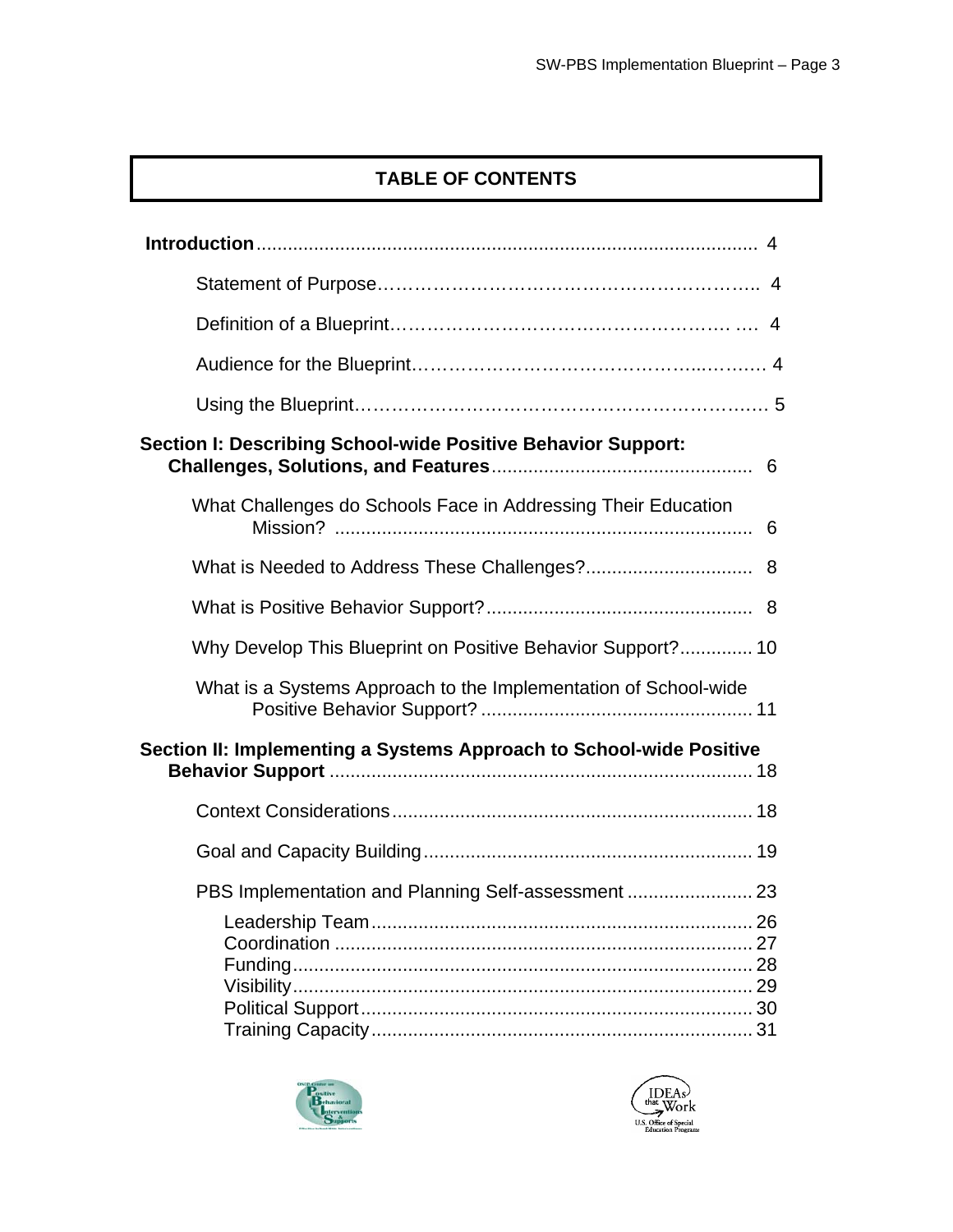# **TABLE OF CONTENTS**

| Section I: Describing School-wide Positive Behavior Support:        |  |
|---------------------------------------------------------------------|--|
| What Challenges do Schools Face in Addressing Their Education       |  |
|                                                                     |  |
|                                                                     |  |
| Why Develop This Blueprint on Positive Behavior Support? 10         |  |
| What is a Systems Approach to the Implementation of School-wide     |  |
| Section II: Implementing a Systems Approach to School-wide Positive |  |
|                                                                     |  |
|                                                                     |  |
| PBS Implementation and Planning Self-assessment  23                 |  |
|                                                                     |  |



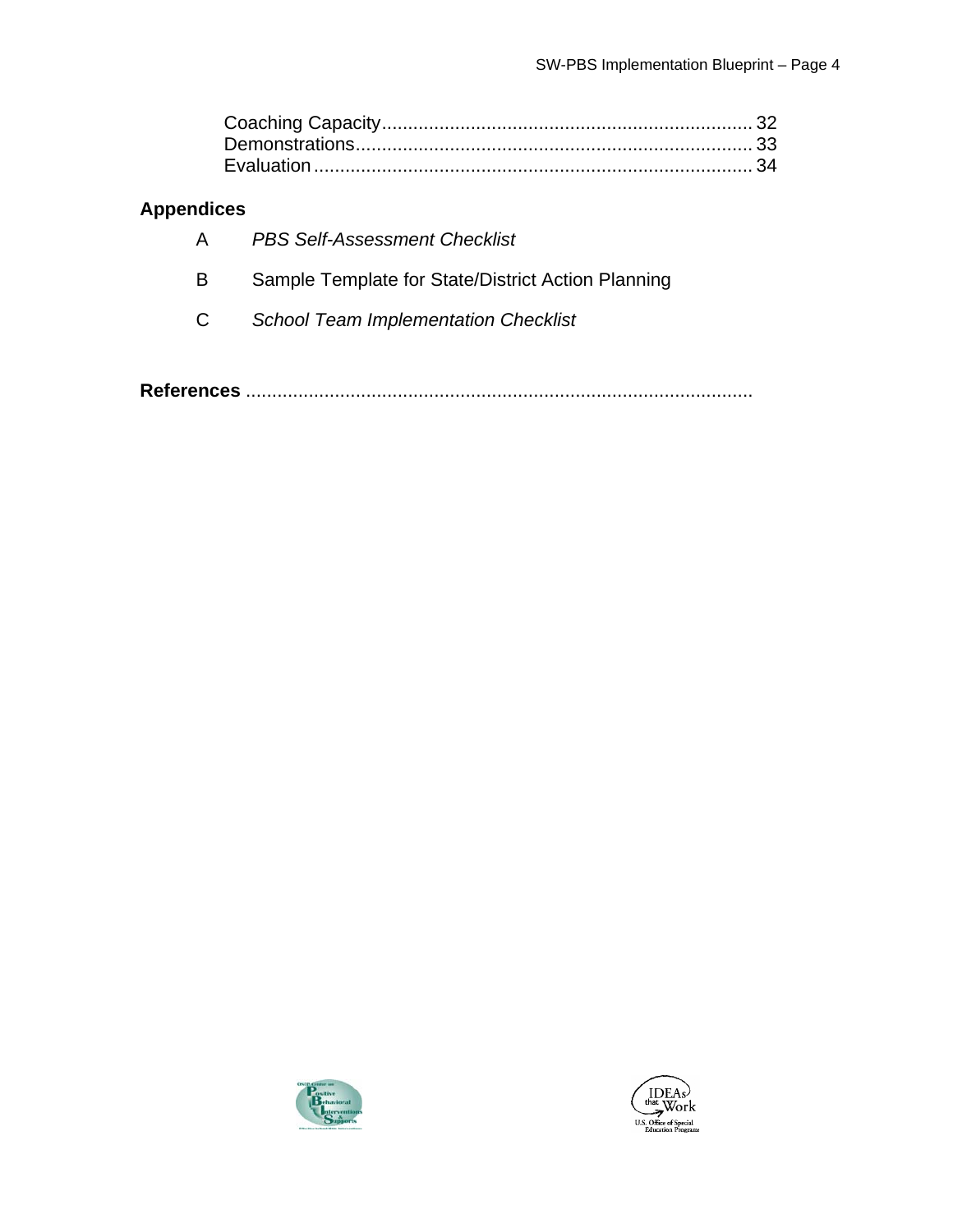## **Appendices**

| $\mathsf{A}$ | <b>PBS Self-Assessment Checklist</b>               |
|--------------|----------------------------------------------------|
| B            | Sample Template for State/District Action Planning |
| $\mathbf{C}$ | <b>School Team Implementation Checklist</b>        |

**References** .................................................................................................



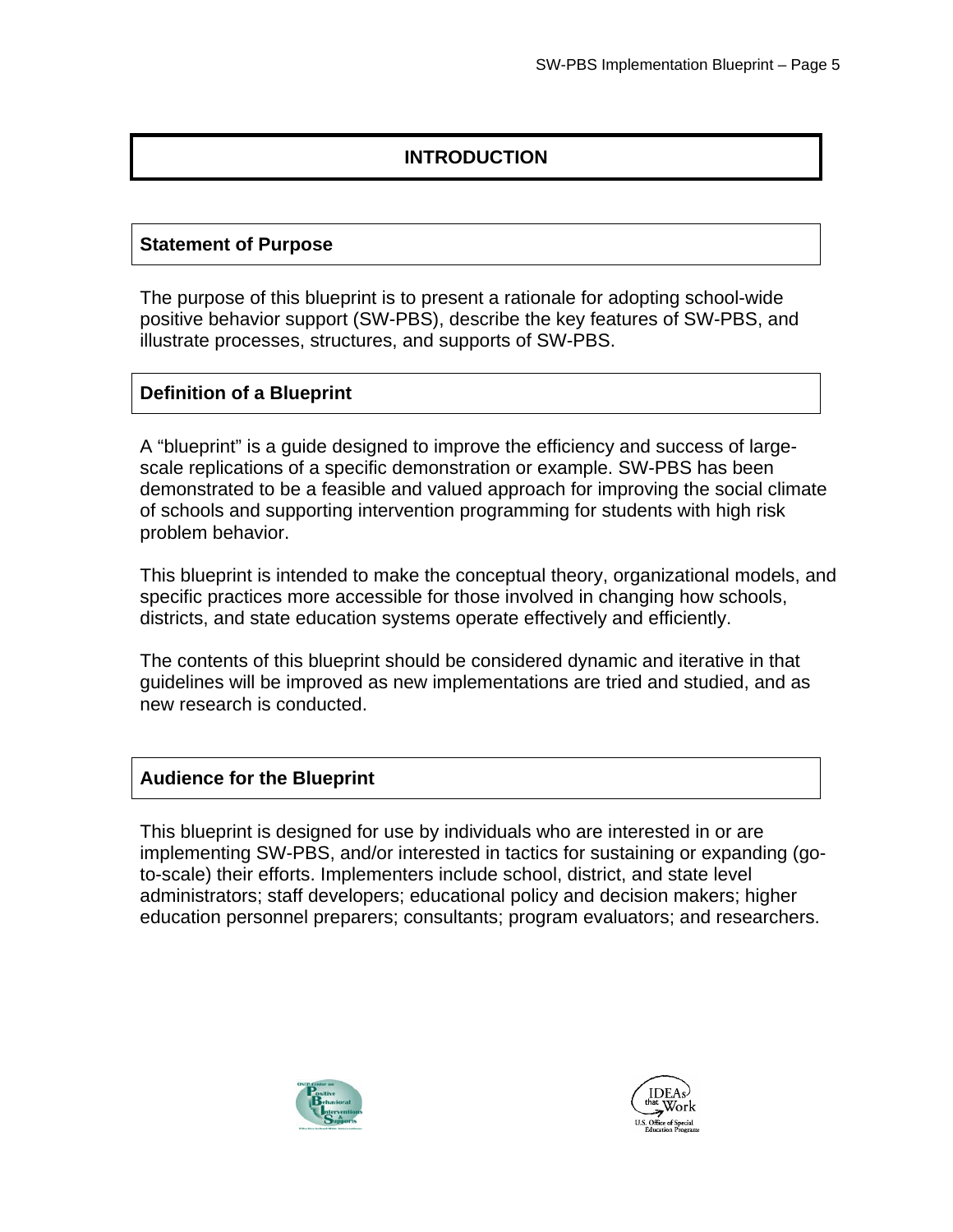## **INTRODUCTION**

#### **Statement of Purpose**

The purpose of this blueprint is to present a rationale for adopting school-wide positive behavior support (SW-PBS), describe the key features of SW-PBS, and illustrate processes, structures, and supports of SW-PBS.

#### **Definition of a Blueprint**

A "blueprint" is a guide designed to improve the efficiency and success of largescale replications of a specific demonstration or example. SW-PBS has been demonstrated to be a feasible and valued approach for improving the social climate of schools and supporting intervention programming for students with high risk problem behavior.

This blueprint is intended to make the conceptual theory, organizational models, and specific practices more accessible for those involved in changing how schools, districts, and state education systems operate effectively and efficiently.

The contents of this blueprint should be considered dynamic and iterative in that guidelines will be improved as new implementations are tried and studied, and as new research is conducted.

#### **Audience for the Blueprint**

This blueprint is designed for use by individuals who are interested in or are implementing SW-PBS, and/or interested in tactics for sustaining or expanding (goto-scale) their efforts. Implementers include school, district, and state level administrators; staff developers; educational policy and decision makers; higher education personnel preparers; consultants; program evaluators; and researchers.



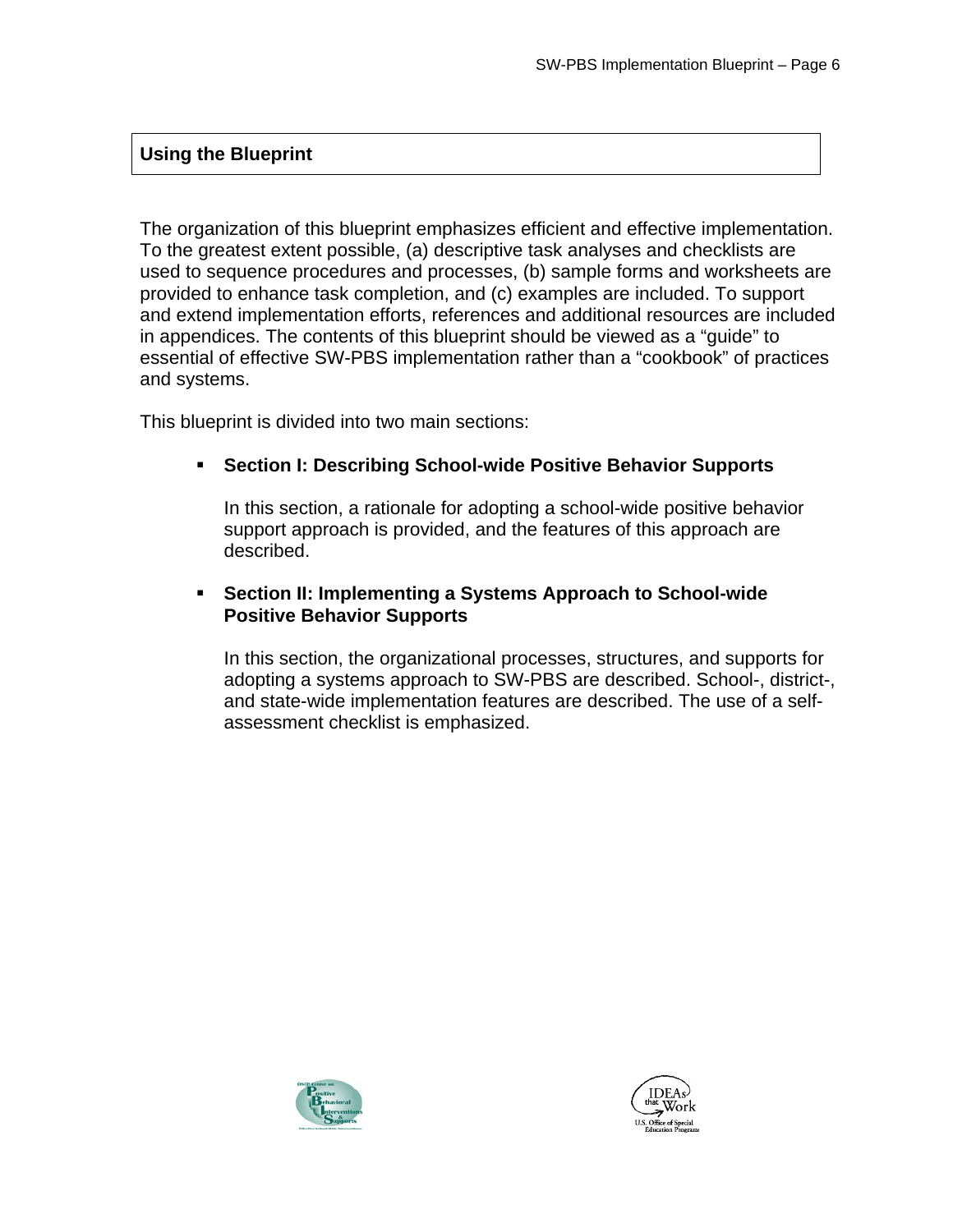## **Using the Blueprint**

The organization of this blueprint emphasizes efficient and effective implementation. To the greatest extent possible, (a) descriptive task analyses and checklists are used to sequence procedures and processes, (b) sample forms and worksheets are provided to enhance task completion, and (c) examples are included. To support and extend implementation efforts, references and additional resources are included in appendices. The contents of this blueprint should be viewed as a "guide" to essential of effective SW-PBS implementation rather than a "cookbook" of practices and systems.

This blueprint is divided into two main sections:

#### **Section I: Describing School-wide Positive Behavior Supports**

In this section, a rationale for adopting a school-wide positive behavior support approach is provided, and the features of this approach are described.

#### **Section II: Implementing a Systems Approach to School-wide Positive Behavior Supports**

In this section, the organizational processes, structures, and supports for adopting a systems approach to SW-PBS are described. School-, district-, and state-wide implementation features are described. The use of a selfassessment checklist is emphasized.



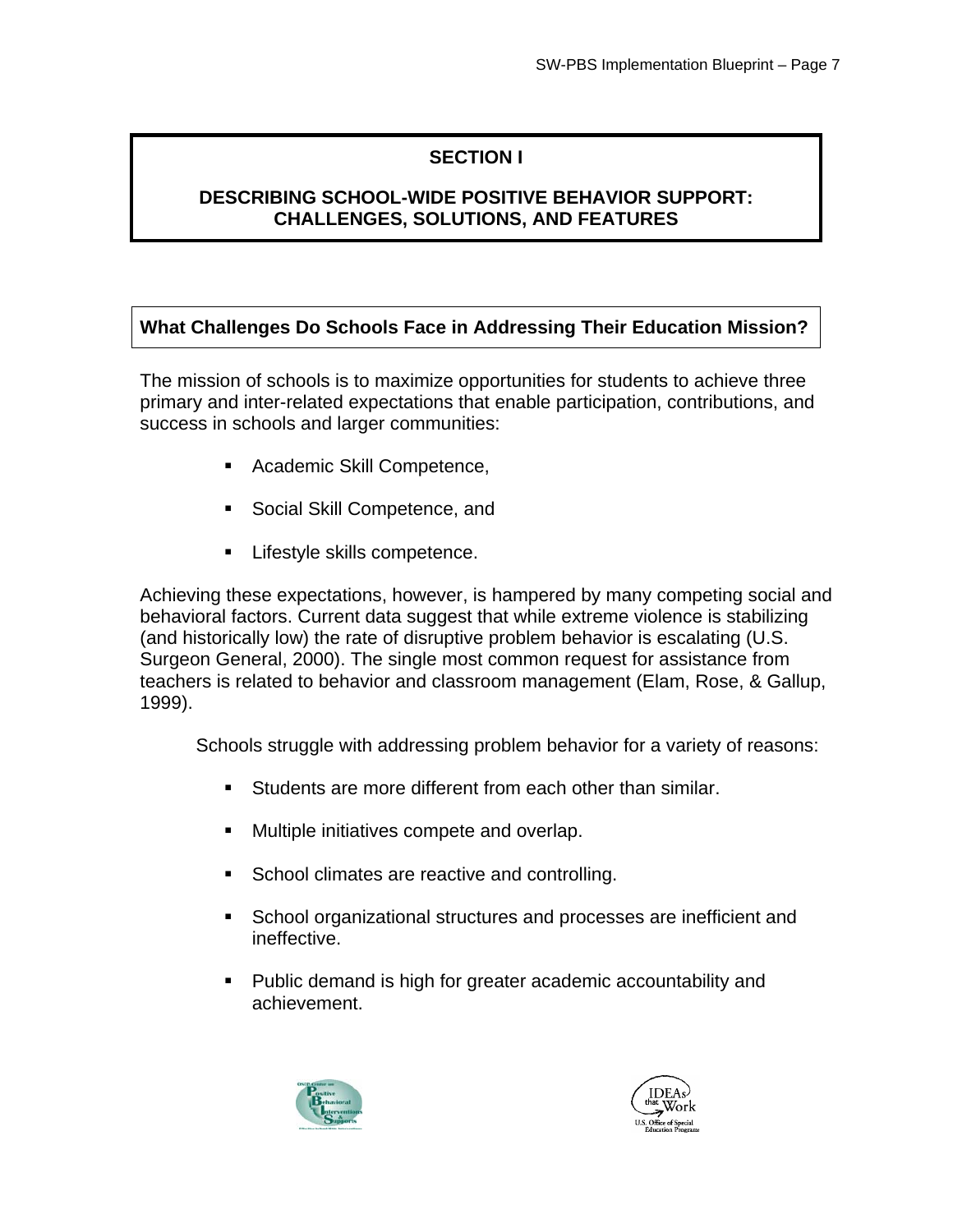## **SECTION I**

## **DESCRIBING SCHOOL-WIDE POSITIVE BEHAVIOR SUPPORT: CHALLENGES, SOLUTIONS, AND FEATURES**

## **What Challenges Do Schools Face in Addressing Their Education Mission?**

The mission of schools is to maximize opportunities for students to achieve three primary and inter-related expectations that enable participation, contributions, and success in schools and larger communities:

- **Academic Skill Competence,**
- Social Skill Competence, and
- Lifestyle skills competence.

Achieving these expectations, however, is hampered by many competing social and behavioral factors. Current data suggest that while extreme violence is stabilizing (and historically low) the rate of disruptive problem behavior is escalating (U.S. Surgeon General, 2000). The single most common request for assistance from teachers is related to behavior and classroom management (Elam, Rose, & Gallup, 1999).

Schools struggle with addressing problem behavior for a variety of reasons:

- Students are more different from each other than similar.
- Multiple initiatives compete and overlap.
- **School climates are reactive and controlling.**
- School organizational structures and processes are inefficient and ineffective.
- Public demand is high for greater academic accountability and achievement.



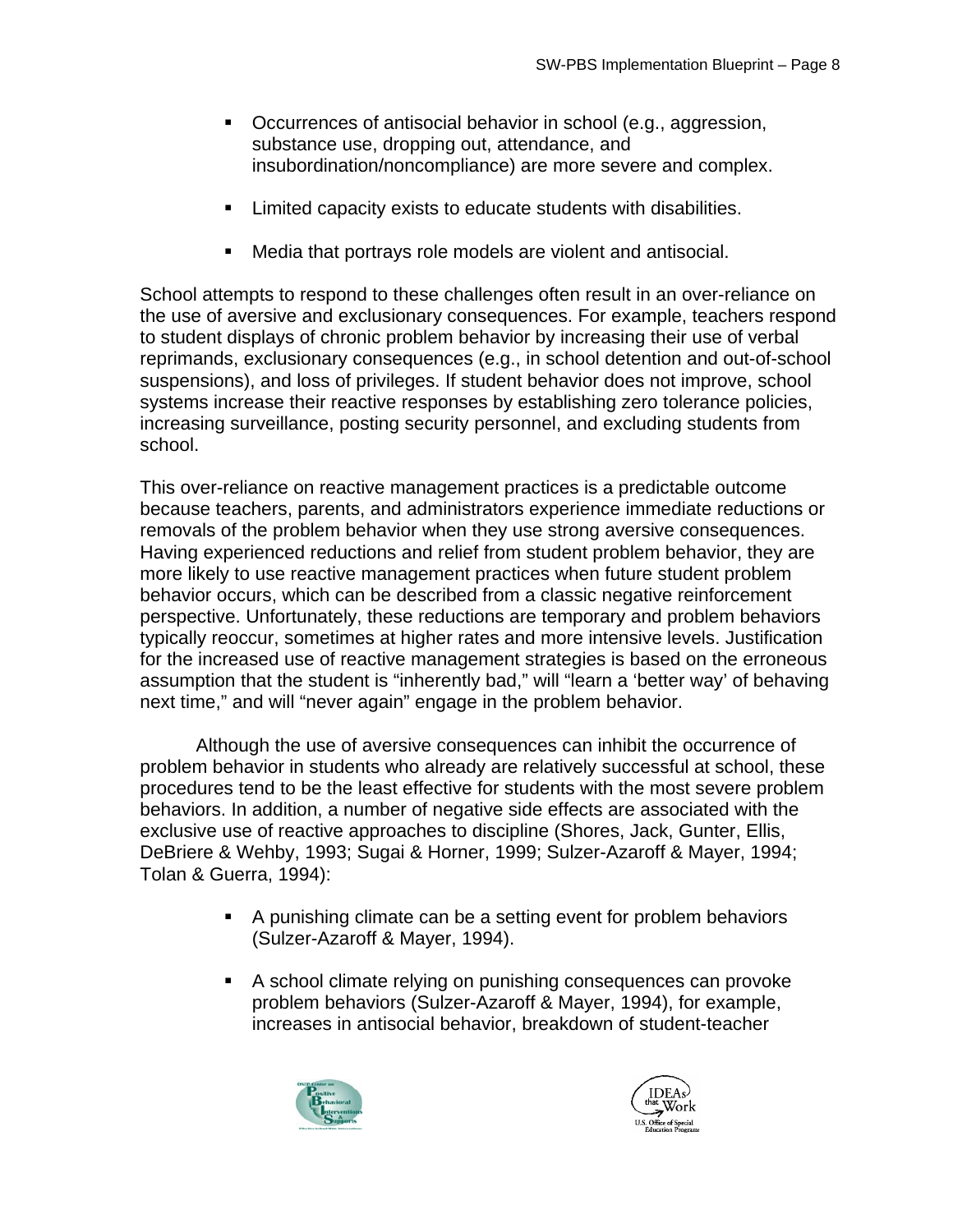- Occurrences of antisocial behavior in school (e.g., aggression, substance use, dropping out, attendance, and insubordination/noncompliance) are more severe and complex.
- Limited capacity exists to educate students with disabilities.
- Media that portrays role models are violent and antisocial.

School attempts to respond to these challenges often result in an over-reliance on the use of aversive and exclusionary consequences. For example, teachers respond to student displays of chronic problem behavior by increasing their use of verbal reprimands, exclusionary consequences (e.g., in school detention and out-of-school suspensions), and loss of privileges. If student behavior does not improve, school systems increase their reactive responses by establishing zero tolerance policies, increasing surveillance, posting security personnel, and excluding students from school.

This over-reliance on reactive management practices is a predictable outcome because teachers, parents, and administrators experience immediate reductions or removals of the problem behavior when they use strong aversive consequences. Having experienced reductions and relief from student problem behavior, they are more likely to use reactive management practices when future student problem behavior occurs, which can be described from a classic negative reinforcement perspective. Unfortunately, these reductions are temporary and problem behaviors typically reoccur, sometimes at higher rates and more intensive levels. Justification for the increased use of reactive management strategies is based on the erroneous assumption that the student is "inherently bad," will "learn a 'better way' of behaving next time," and will "never again" engage in the problem behavior.

Although the use of aversive consequences can inhibit the occurrence of problem behavior in students who already are relatively successful at school, these procedures tend to be the least effective for students with the most severe problem behaviors. In addition, a number of negative side effects are associated with the exclusive use of reactive approaches to discipline (Shores, Jack, Gunter, Ellis, DeBriere & Wehby, 1993; Sugai & Horner, 1999; Sulzer-Azaroff & Mayer, 1994; Tolan & Guerra, 1994):

- A punishing climate can be a setting event for problem behaviors (Sulzer-Azaroff & Mayer, 1994).
- A school climate relying on punishing consequences can provoke problem behaviors (Sulzer-Azaroff & Mayer, 1994), for example, increases in antisocial behavior, breakdown of student-teacher



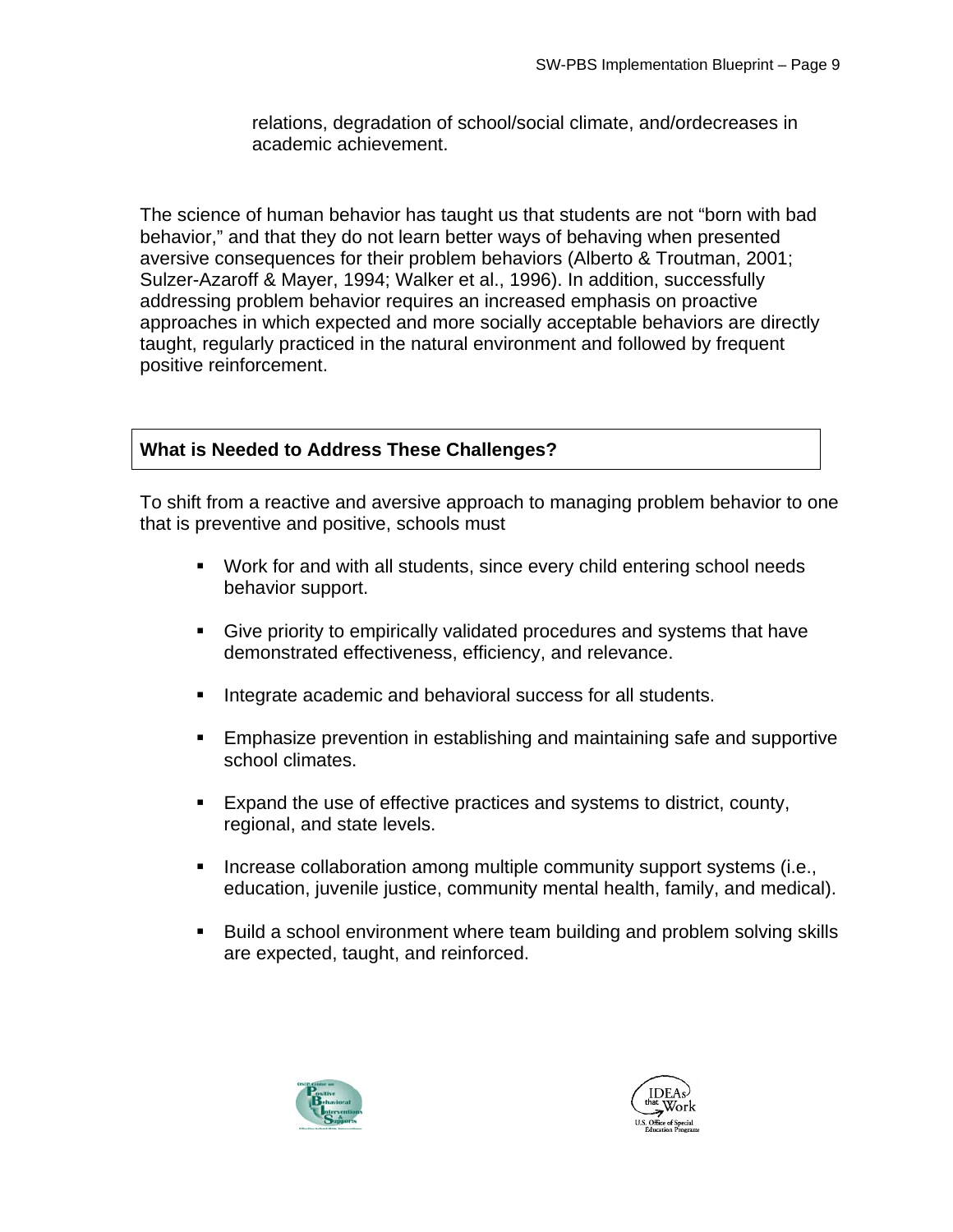relations, degradation of school/social climate, and/ordecreases in academic achievement.

The science of human behavior has taught us that students are not "born with bad behavior," and that they do not learn better ways of behaving when presented aversive consequences for their problem behaviors (Alberto & Troutman, 2001; Sulzer-Azaroff & Mayer, 1994; Walker et al., 1996). In addition, successfully addressing problem behavior requires an increased emphasis on proactive approaches in which expected and more socially acceptable behaviors are directly taught, regularly practiced in the natural environment and followed by frequent positive reinforcement.

## **What is Needed to Address These Challenges?**

To shift from a reactive and aversive approach to managing problem behavior to one that is preventive and positive, schools must

- Work for and with all students, since every child entering school needs behavior support.
- Give priority to empirically validated procedures and systems that have demonstrated effectiveness, efficiency, and relevance.
- **Integrate academic and behavioral success for all students.**
- Emphasize prevention in establishing and maintaining safe and supportive school climates.
- Expand the use of effective practices and systems to district, county, regional, and state levels.
- **Increase collaboration among multiple community support systems (i.e.,** education, juvenile justice, community mental health, family, and medical).
- **Build a school environment where team building and problem solving skills** are expected, taught, and reinforced.



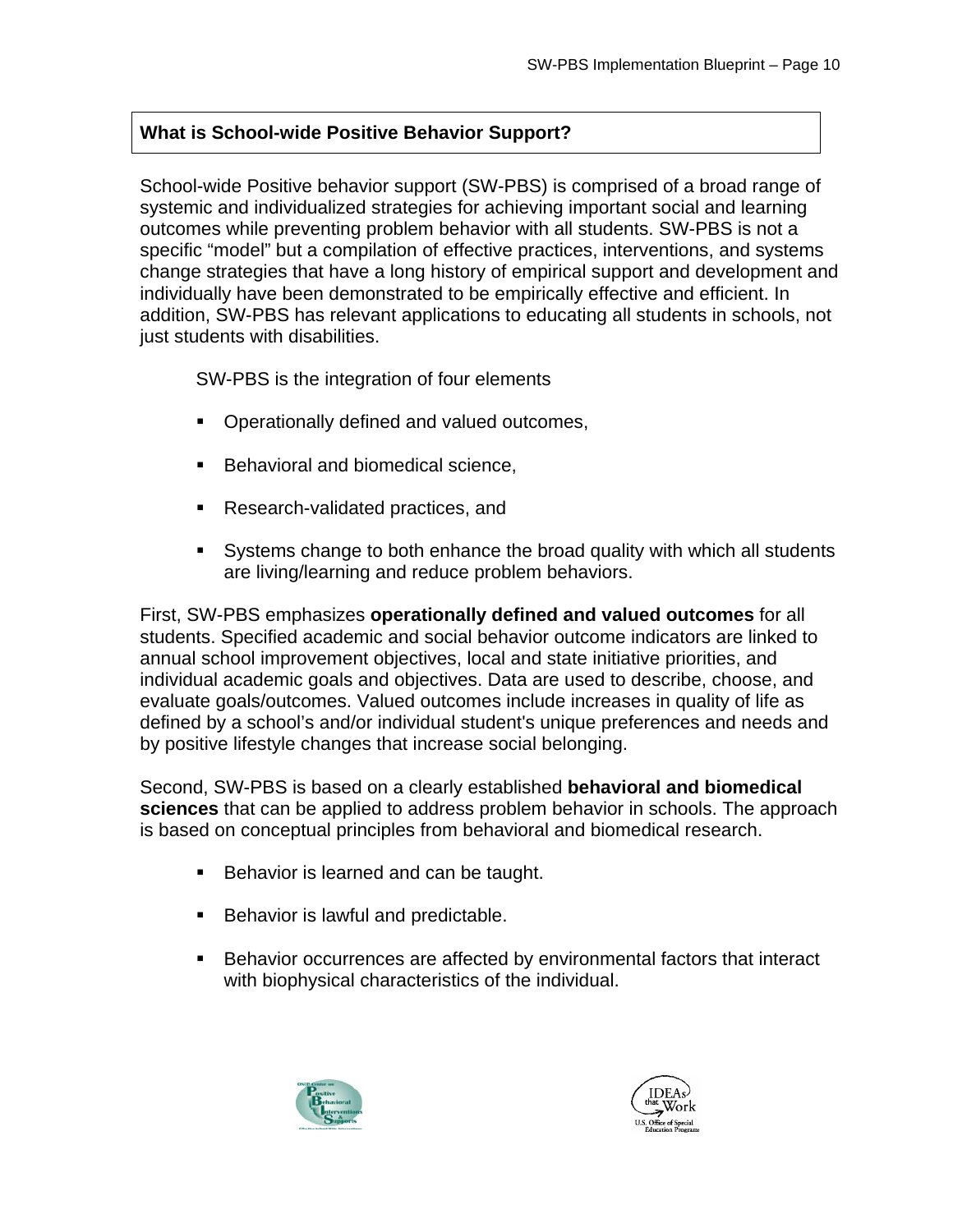## **What is School-wide Positive Behavior Support?**

School-wide Positive behavior support (SW-PBS) is comprised of a broad range of systemic and individualized strategies for achieving important social and learning outcomes while preventing problem behavior with all students. SW-PBS is not a specific "model" but a compilation of effective practices, interventions, and systems change strategies that have a long history of empirical support and development and individually have been demonstrated to be empirically effective and efficient. In addition, SW-PBS has relevant applications to educating all students in schools, not just students with disabilities.

SW-PBS is the integration of four elements

- **Operationally defined and valued outcomes,**
- **Behavioral and biomedical science,**
- Research-validated practices, and
- Systems change to both enhance the broad quality with which all students are living/learning and reduce problem behaviors.

First, SW-PBS emphasizes **operationally defined and valued outcomes** for all students. Specified academic and social behavior outcome indicators are linked to annual school improvement objectives, local and state initiative priorities, and individual academic goals and objectives. Data are used to describe, choose, and evaluate goals/outcomes. Valued outcomes include increases in quality of life as defined by a school's and/or individual student's unique preferences and needs and by positive lifestyle changes that increase social belonging.

Second, SW-PBS is based on a clearly established **behavioral and biomedical sciences** that can be applied to address problem behavior in schools. The approach is based on conceptual principles from behavioral and biomedical research.

- Behavior is learned and can be taught.
- **Behavior is lawful and predictable.**
- Behavior occurrences are affected by environmental factors that interact with biophysical characteristics of the individual.



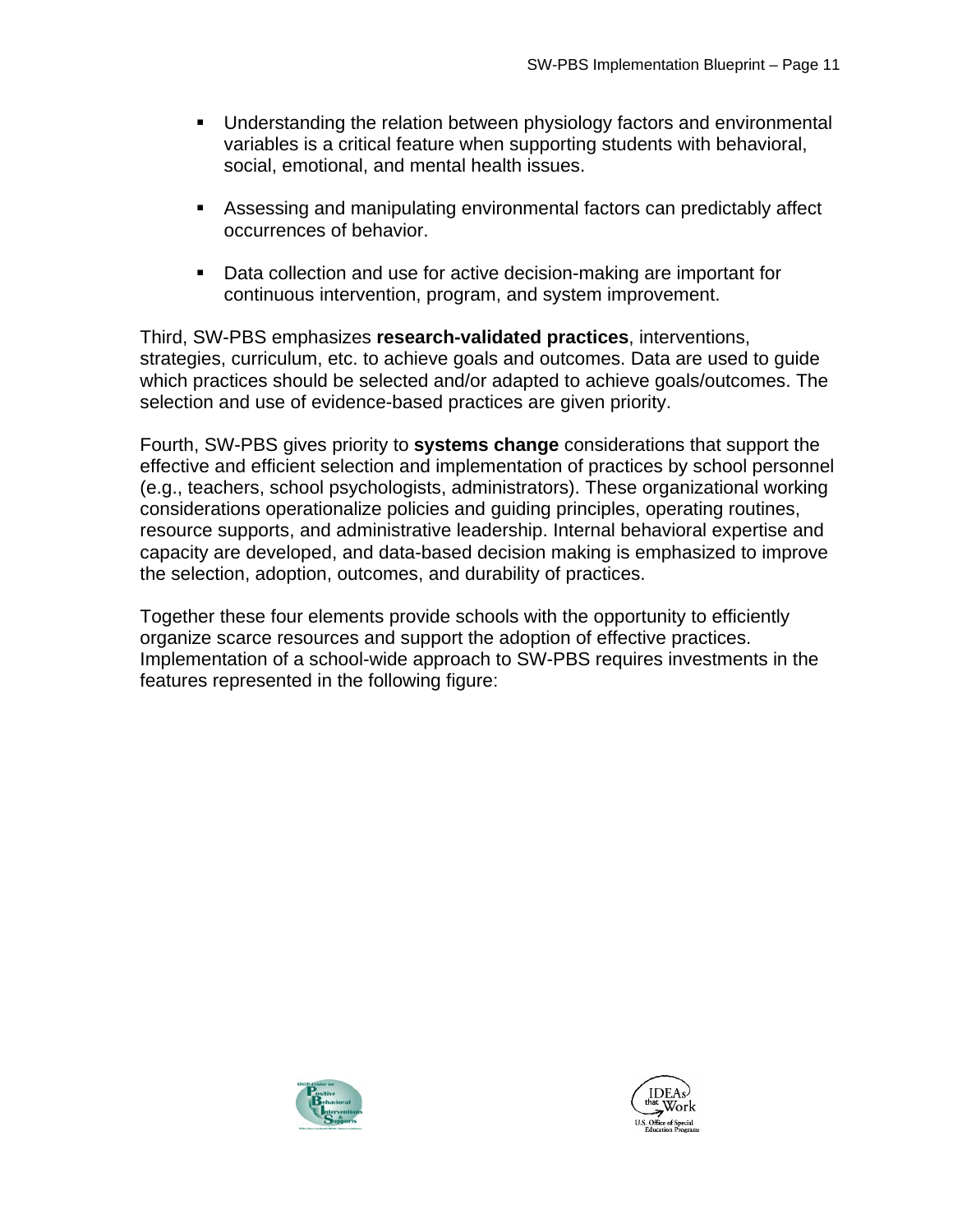- **Understanding the relation between physiology factors and environmental** variables is a critical feature when supporting students with behavioral, social, emotional, and mental health issues.
- Assessing and manipulating environmental factors can predictably affect occurrences of behavior.
- Data collection and use for active decision-making are important for continuous intervention, program, and system improvement.

Third, SW-PBS emphasizes **research-validated practices**, interventions, strategies, curriculum, etc. to achieve goals and outcomes. Data are used to guide which practices should be selected and/or adapted to achieve goals/outcomes. The selection and use of evidence-based practices are given priority.

Fourth, SW-PBS gives priority to **systems change** considerations that support the effective and efficient selection and implementation of practices by school personnel (e.g., teachers, school psychologists, administrators). These organizational working considerations operationalize policies and guiding principles, operating routines, resource supports, and administrative leadership. Internal behavioral expertise and capacity are developed, and data-based decision making is emphasized to improve the selection, adoption, outcomes, and durability of practices.

Together these four elements provide schools with the opportunity to efficiently organize scarce resources and support the adoption of effective practices. Implementation of a school-wide approach to SW-PBS requires investments in the features represented in the following figure:



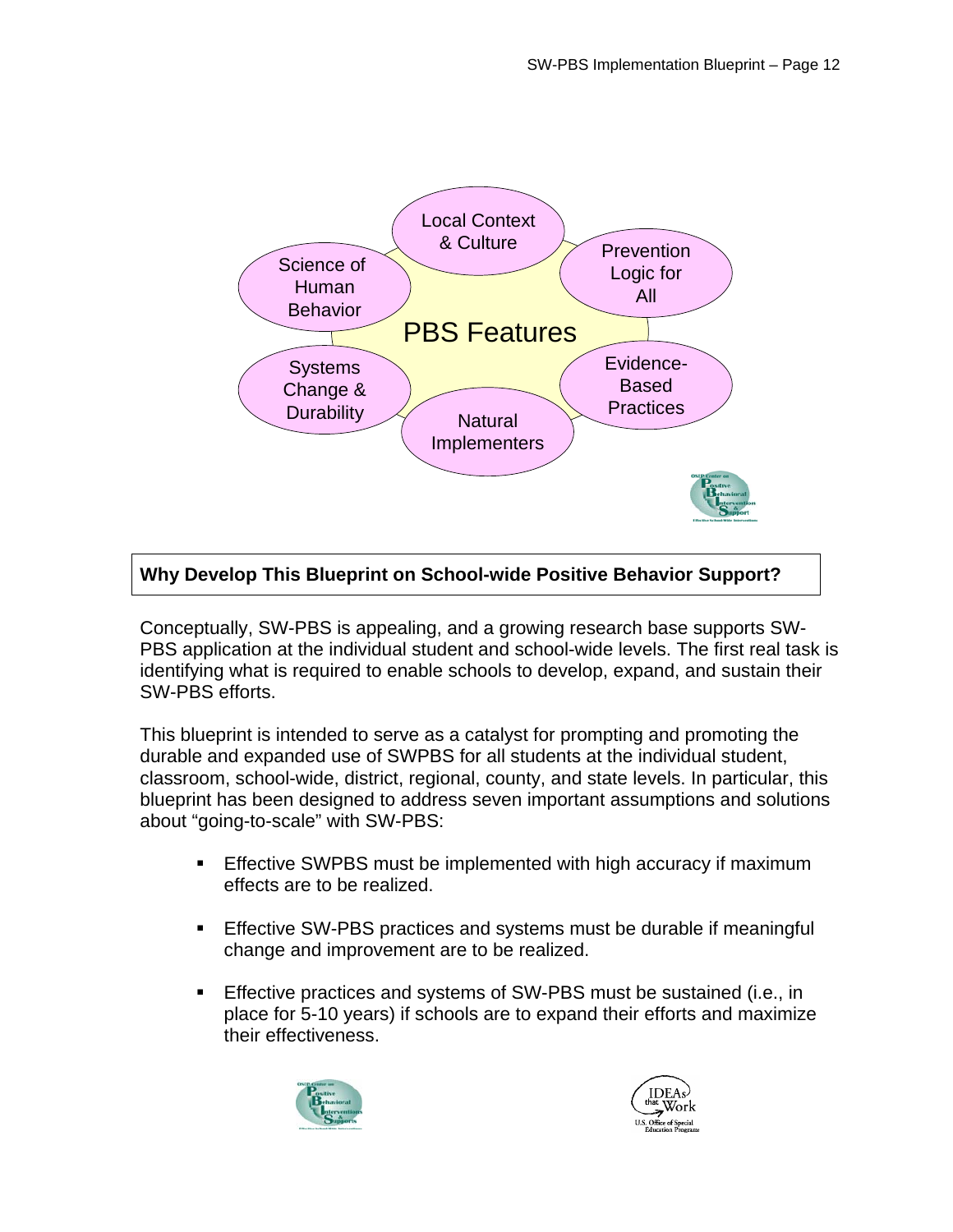

## **Why Develop This Blueprint on School-wide Positive Behavior Support?**

Conceptually, SW-PBS is appealing, and a growing research base supports SW-PBS application at the individual student and school-wide levels. The first real task is identifying what is required to enable schools to develop, expand, and sustain their SW-PBS efforts.

This blueprint is intended to serve as a catalyst for prompting and promoting the durable and expanded use of SWPBS for all students at the individual student, classroom, school-wide, district, regional, county, and state levels. In particular, this blueprint has been designed to address seven important assumptions and solutions about "going-to-scale" with SW-PBS:

- **Effective SWPBS must be implemented with high accuracy if maximum** effects are to be realized.
- **Effective SW-PBS practices and systems must be durable if meaningful** change and improvement are to be realized.
- **Effective practices and systems of SW-PBS must be sustained (i.e., in** place for 5-10 years) if schools are to expand their efforts and maximize their effectiveness.



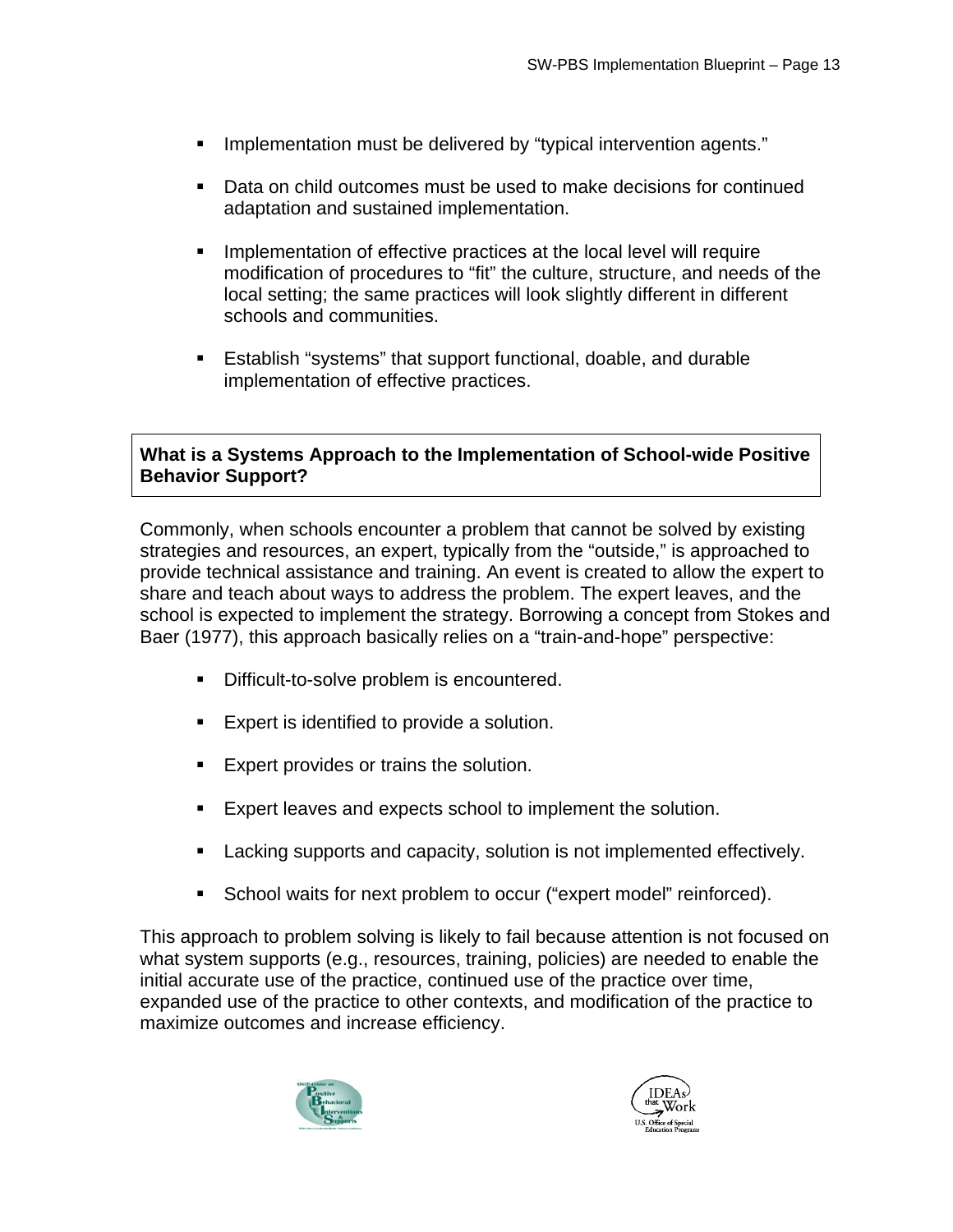- Implementation must be delivered by "typical intervention agents."
- Data on child outcomes must be used to make decisions for continued adaptation and sustained implementation.
- **IMPLEMENTER 10 IMPLEM** 1 Implementation of effective practices at the local level will require modification of procedures to "fit" the culture, structure, and needs of the local setting; the same practices will look slightly different in different schools and communities.
- Establish "systems" that support functional, doable, and durable implementation of effective practices.

#### **What is a Systems Approach to the Implementation of School-wide Positive Behavior Support?**

Commonly, when schools encounter a problem that cannot be solved by existing strategies and resources, an expert, typically from the "outside," is approached to provide technical assistance and training. An event is created to allow the expert to share and teach about ways to address the problem. The expert leaves, and the school is expected to implement the strategy. Borrowing a concept from Stokes and Baer (1977), this approach basically relies on a "train-and-hope" perspective:

- **Difficult-to-solve problem is encountered.**
- **Expert is identified to provide a solution.**
- **Expert provides or trains the solution.**
- Expert leaves and expects school to implement the solution.
- Lacking supports and capacity, solution is not implemented effectively.
- **School waits for next problem to occur ("expert model" reinforced).**

This approach to problem solving is likely to fail because attention is not focused on what system supports (e.g., resources, training, policies) are needed to enable the initial accurate use of the practice, continued use of the practice over time, expanded use of the practice to other contexts, and modification of the practice to maximize outcomes and increase efficiency.



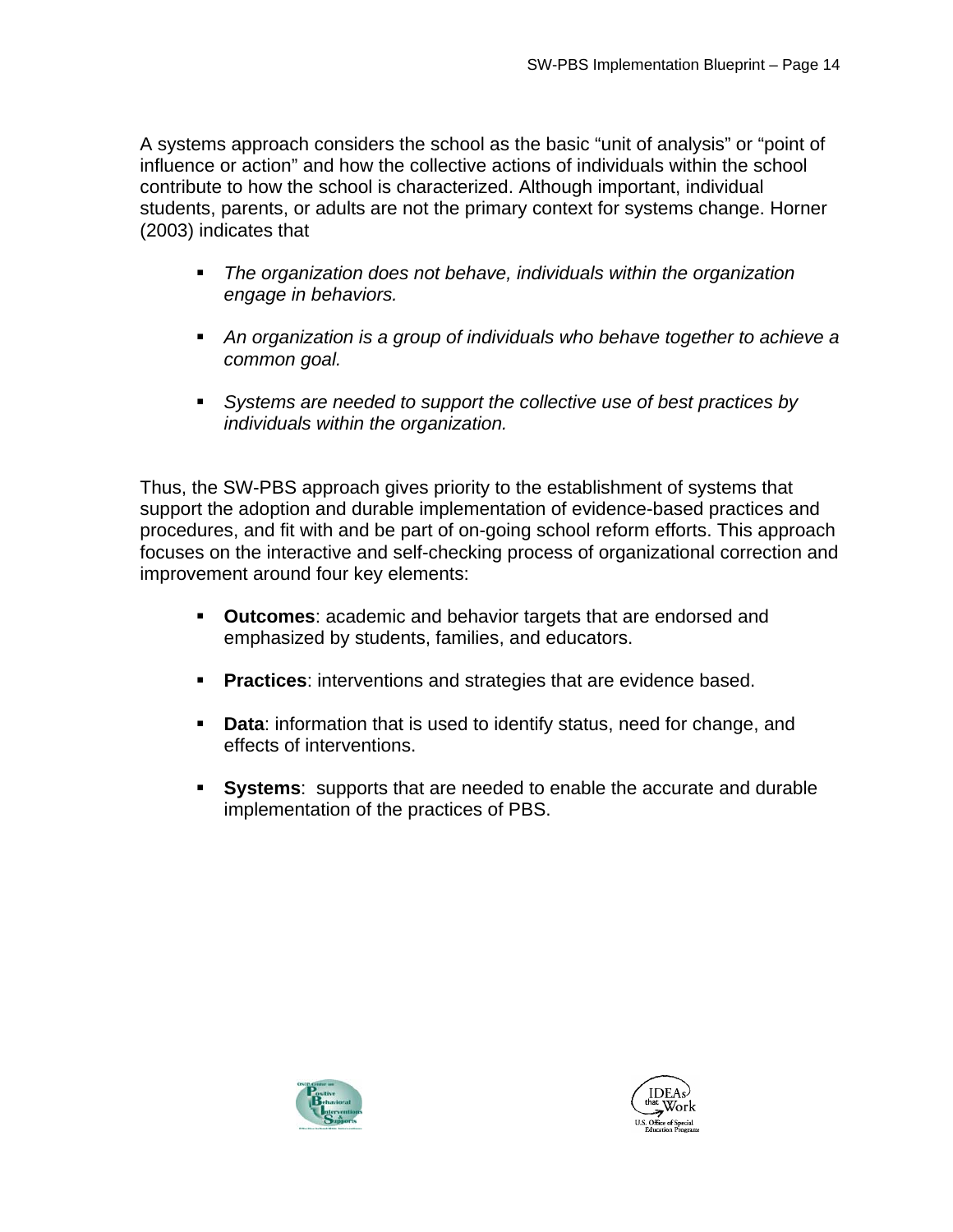A systems approach considers the school as the basic "unit of analysis" or "point of influence or action" and how the collective actions of individuals within the school contribute to how the school is characterized. Although important, individual students, parents, or adults are not the primary context for systems change. Horner (2003) indicates that

- *The organization does not behave, individuals within the organization engage in behaviors.*
- *An organization is a group of individuals who behave together to achieve a common goal.*
- *Systems are needed to support the collective use of best practices by individuals within the organization.*

Thus, the SW-PBS approach gives priority to the establishment of systems that support the adoption and durable implementation of evidence-based practices and procedures, and fit with and be part of on-going school reform efforts. This approach focuses on the interactive and self-checking process of organizational correction and improvement around four key elements:

- **Outcomes**: academic and behavior targets that are endorsed and emphasized by students, families, and educators.
- **Practices:** interventions and strategies that are evidence based.
- **Data:** information that is used to identify status, need for change, and effects of interventions.
- **Systems**: supports that are needed to enable the accurate and durable implementation of the practices of PBS.



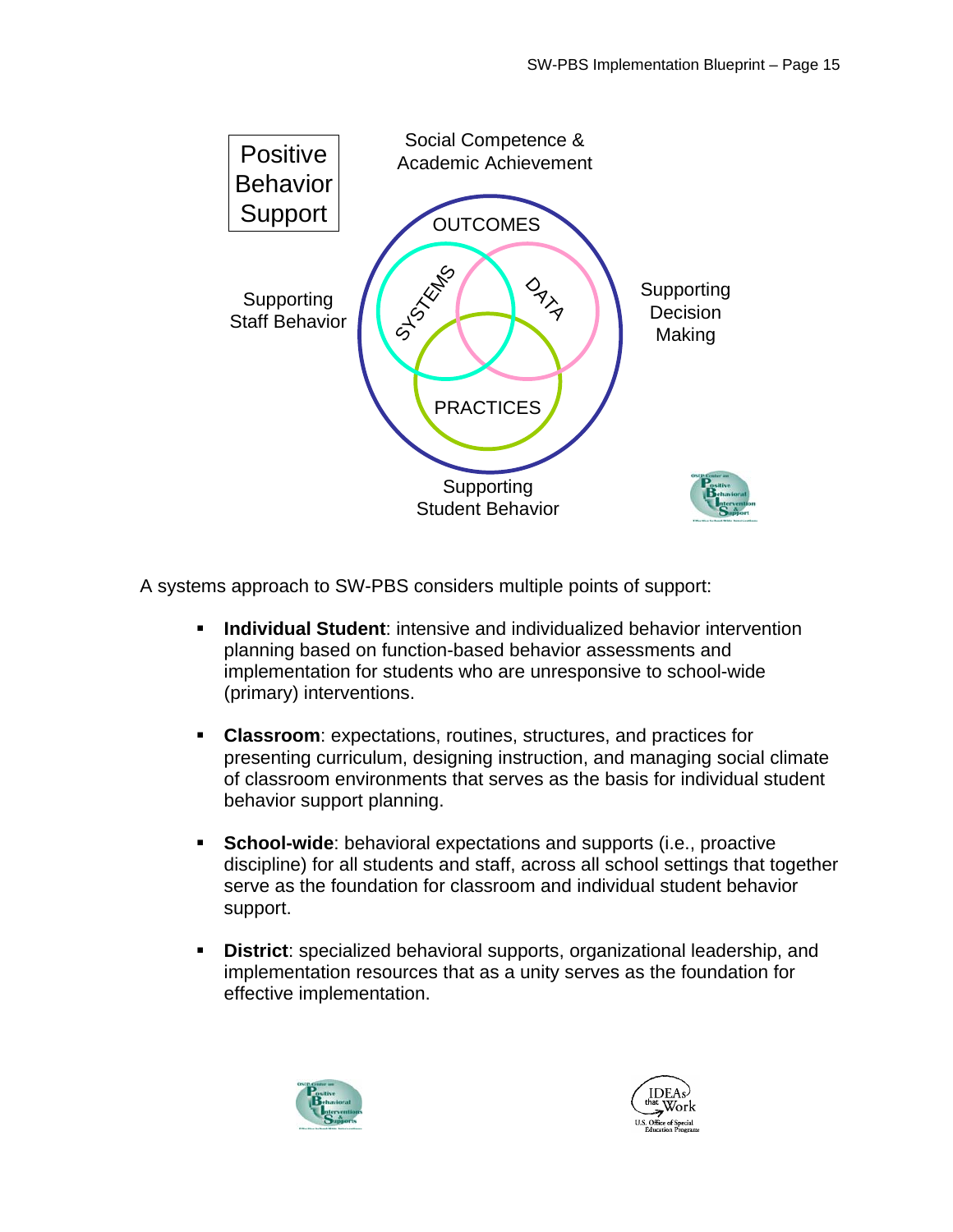

A systems approach to SW-PBS considers multiple points of support:

- **Individual Student**: intensive and individualized behavior intervention planning based on function-based behavior assessments and implementation for students who are unresponsive to school-wide (primary) interventions.
- **Classroom**: expectations, routines, structures, and practices for presenting curriculum, designing instruction, and managing social climate of classroom environments that serves as the basis for individual student behavior support planning.
- **School-wide**: behavioral expectations and supports (i.e., proactive discipline) for all students and staff, across all school settings that together serve as the foundation for classroom and individual student behavior support.
- **District**: specialized behavioral supports, organizational leadership, and implementation resources that as a unity serves as the foundation for effective implementation.



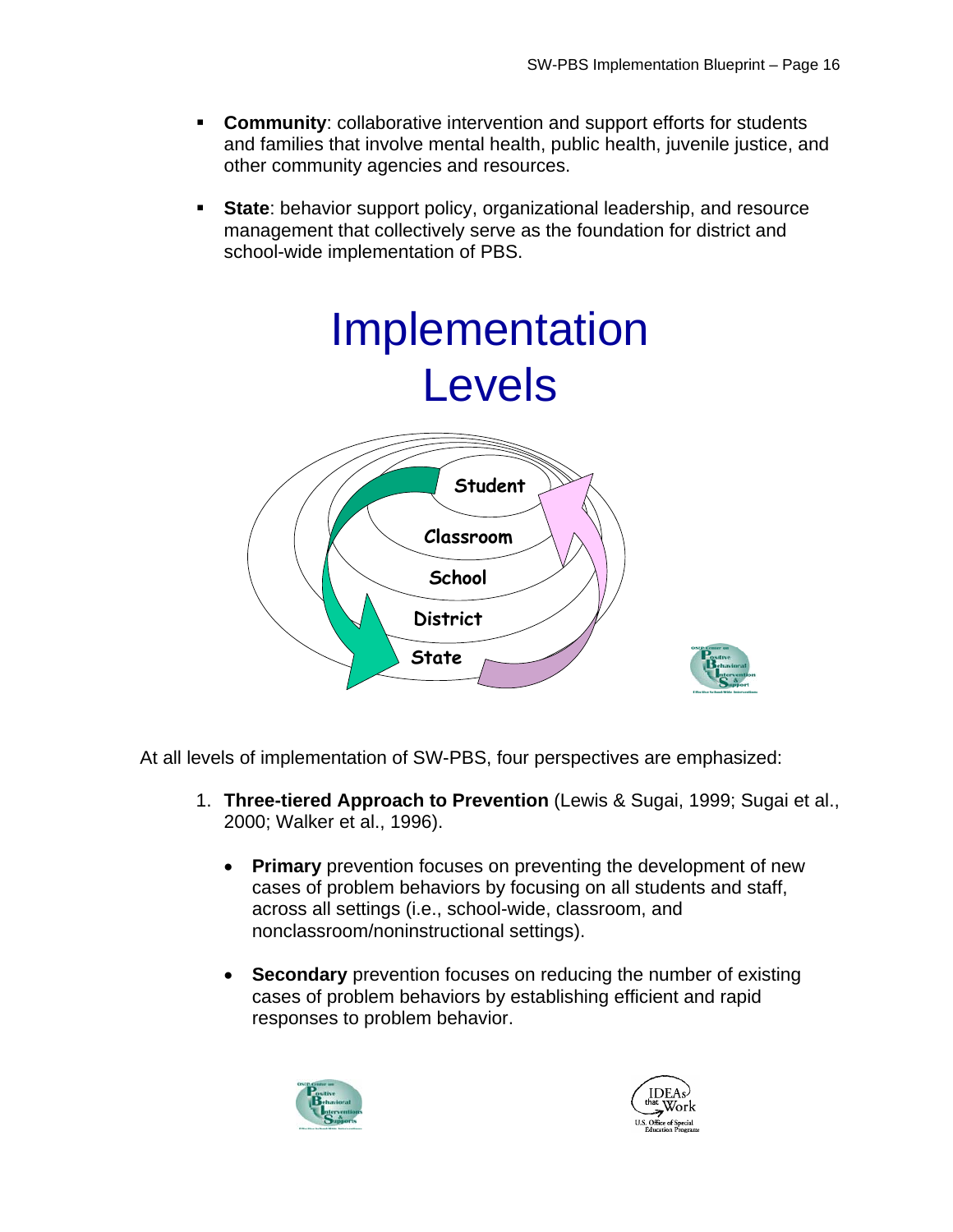- **Community:** collaborative intervention and support efforts for students and families that involve mental health, public health, juvenile justice, and other community agencies and resources.
- **State:** behavior support policy, organizational leadership, and resource management that collectively serve as the foundation for district and school-wide implementation of PBS.



At all levels of implementation of SW-PBS, four perspectives are emphasized:

- 1. **Three-tiered Approach to Prevention** (Lewis & Sugai, 1999; Sugai et al., 2000; Walker et al., 1996).
	- **Primary** prevention focuses on preventing the development of new cases of problem behaviors by focusing on all students and staff, across all settings (i.e., school-wide, classroom, and nonclassroom/noninstructional settings).
	- **Secondary** prevention focuses on reducing the number of existing cases of problem behaviors by establishing efficient and rapid responses to problem behavior.



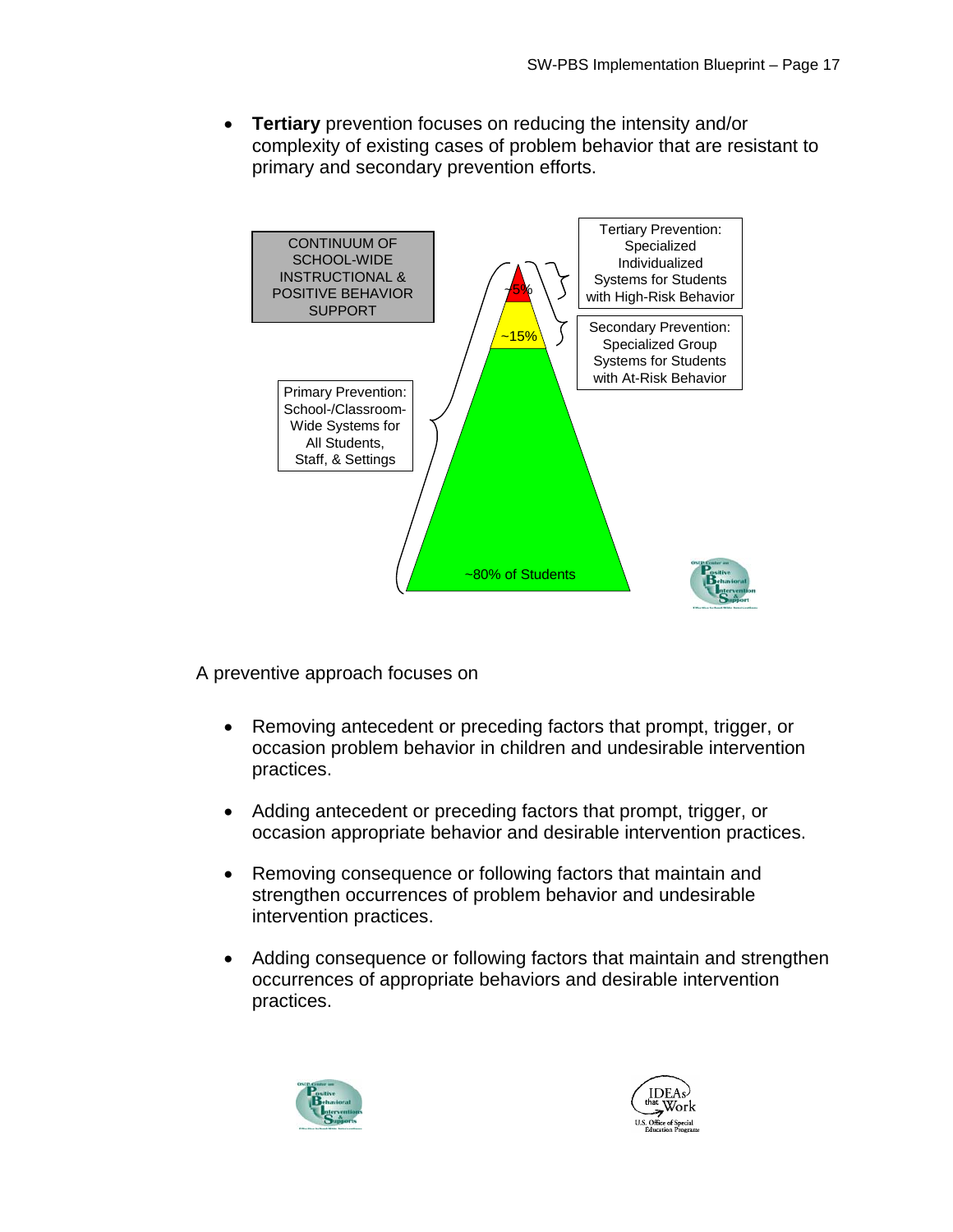• **Tertiary** prevention focuses on reducing the intensity and/or complexity of existing cases of problem behavior that are resistant to primary and secondary prevention efforts.



A preventive approach focuses on

- Removing antecedent or preceding factors that prompt, trigger, or occasion problem behavior in children and undesirable intervention practices.
- Adding antecedent or preceding factors that prompt, trigger, or occasion appropriate behavior and desirable intervention practices.
- Removing consequence or following factors that maintain and strengthen occurrences of problem behavior and undesirable intervention practices.
- Adding consequence or following factors that maintain and strengthen occurrences of appropriate behaviors and desirable intervention practices.



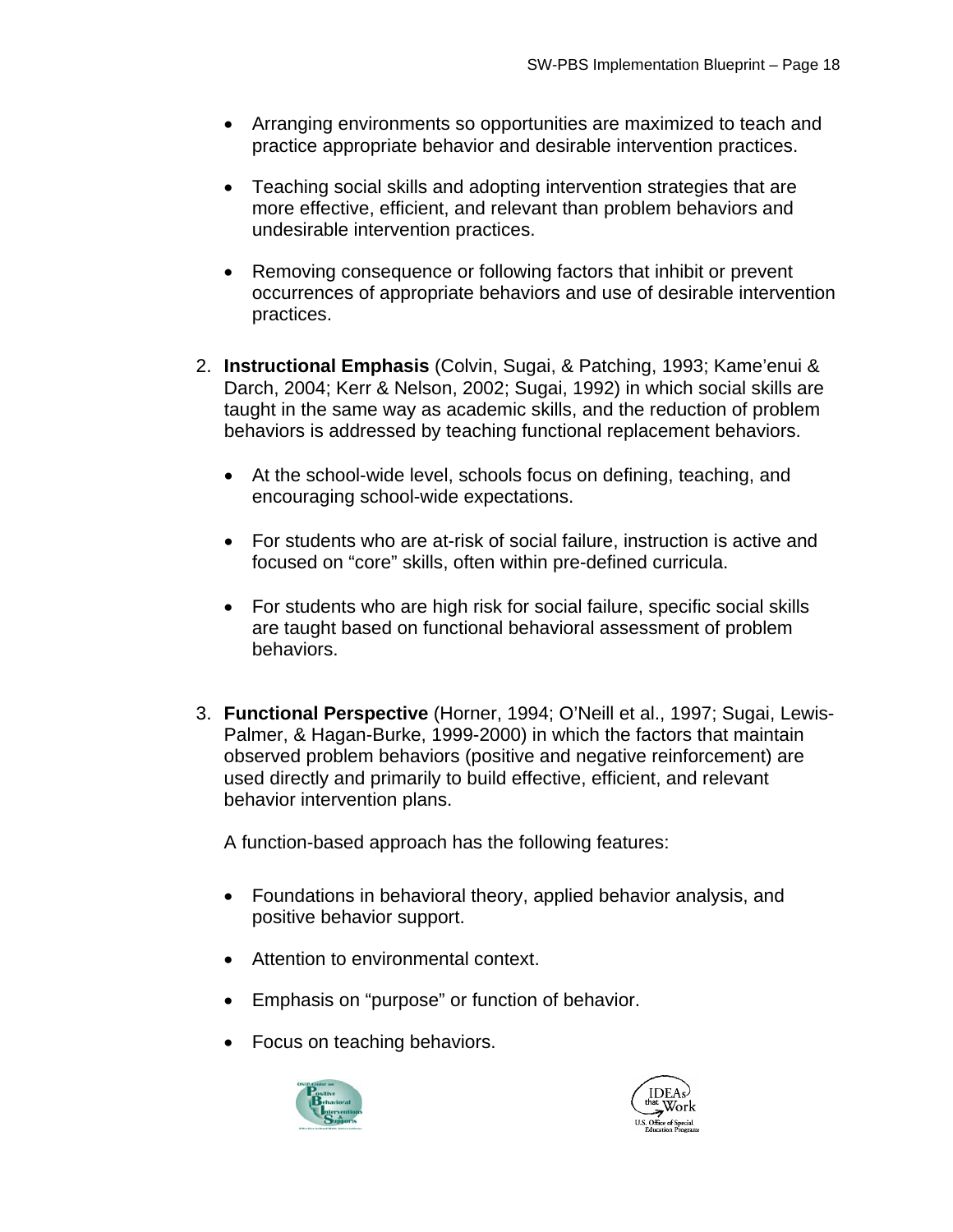- Arranging environments so opportunities are maximized to teach and practice appropriate behavior and desirable intervention practices.
- Teaching social skills and adopting intervention strategies that are more effective, efficient, and relevant than problem behaviors and undesirable intervention practices.
- Removing consequence or following factors that inhibit or prevent occurrences of appropriate behaviors and use of desirable intervention practices.
- 2. **Instructional Emphasis** (Colvin, Sugai, & Patching, 1993; Kame'enui & Darch, 2004; Kerr & Nelson, 2002; Sugai, 1992) in which social skills are taught in the same way as academic skills, and the reduction of problem behaviors is addressed by teaching functional replacement behaviors.
	- At the school-wide level, schools focus on defining, teaching, and encouraging school-wide expectations.
	- For students who are at-risk of social failure, instruction is active and focused on "core" skills, often within pre-defined curricula.
	- For students who are high risk for social failure, specific social skills are taught based on functional behavioral assessment of problem behaviors.
- behavior intervention plans. 3. **Functional Perspective** (Horner, 1994; O'Neill et al., 1997; Sugai, Lewis-Palmer, & Hagan-Burke, 1999-2000) in which the factors that maintain observed problem behaviors (positive and negative reinforcement) are used directly and primarily to build effective, efficient, and relevant

A function-based approach has the following features:

- Foundations in behavioral theory, applied behavior analysis, and positive behavior support.
- Attention to environmental context.
- Emphasis on "purpose" or function of behavior.
- Focus on teaching behaviors.



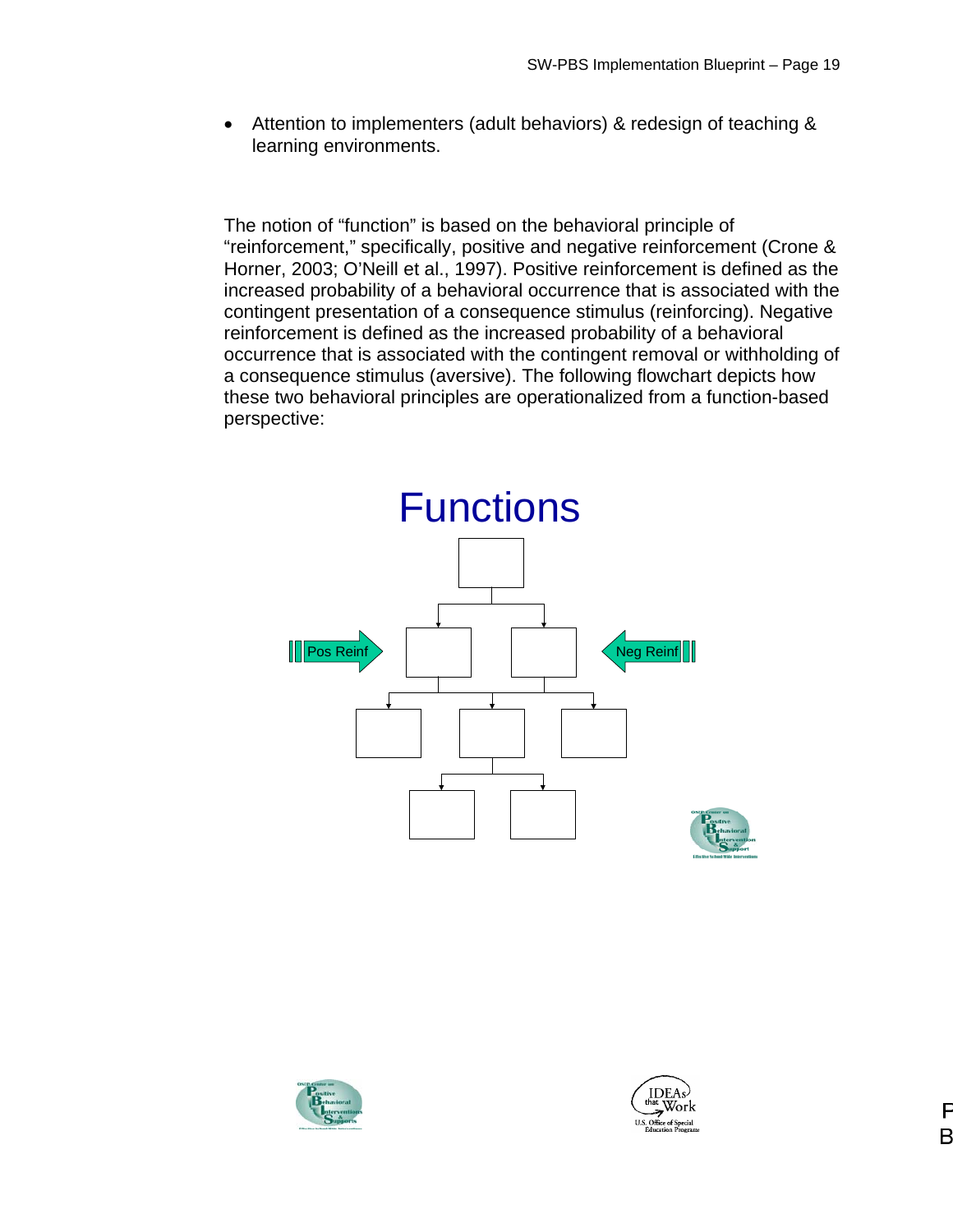• Attention to implementers (adult behaviors) & redesign of teaching & learning environments.

The notion of "function" is based on the behavioral principle of "reinforcement," specifically, positive and negative reinforcement (Crone & Horner, 2003; O'Neill et al., 1997). Positive reinforcement is defined as the increased probability of a behavioral occurrence that is associated with the contingent presentation of a consequence stimulus (reinforcing). Negative reinforcement is defined as the increased probability of a behavioral occurrence that is associated with the contingent removal or withholding of a consequence stimulus (aversive). The following flowchart depicts how these two behavioral principles are operationalized from a function-based perspective:





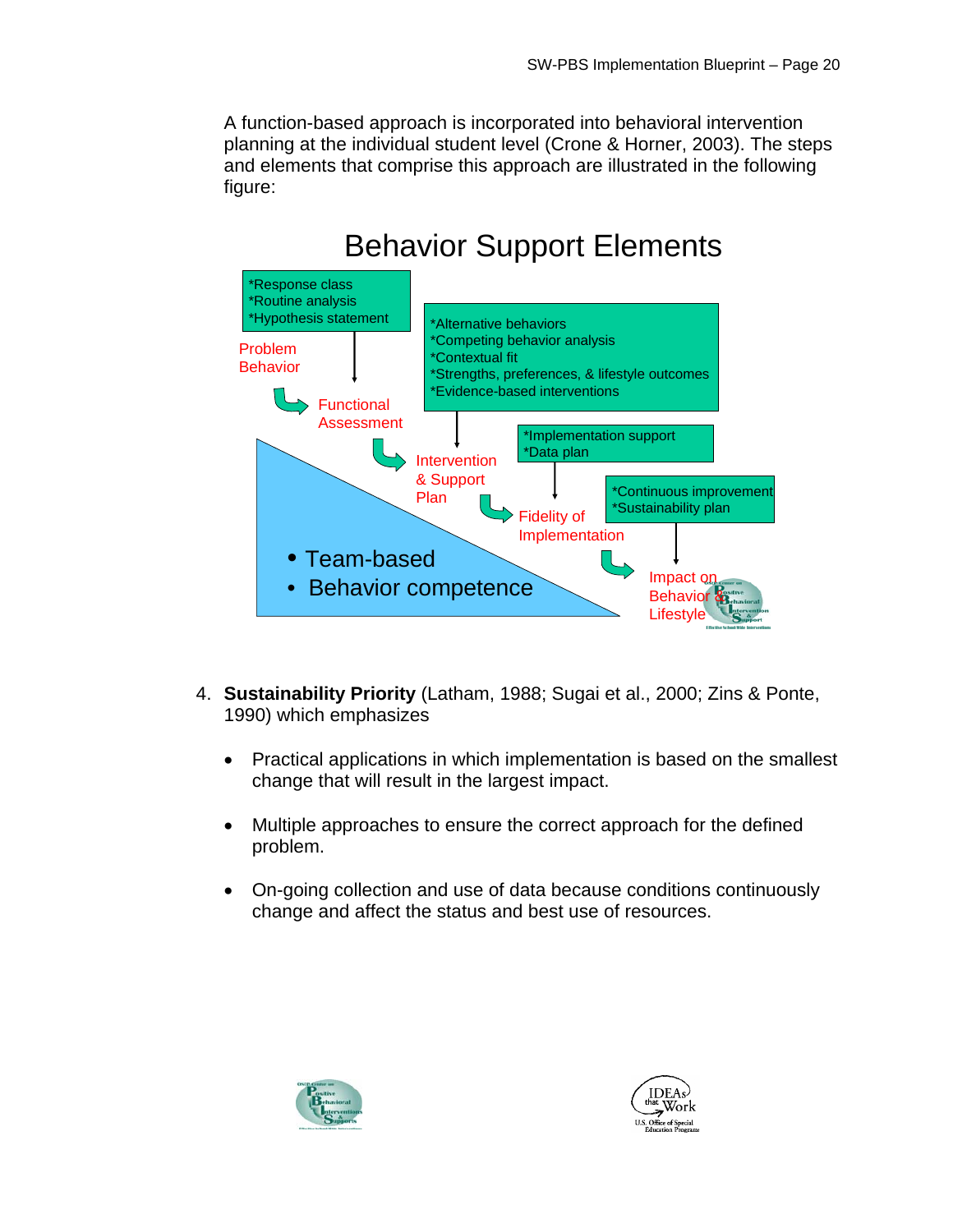A function-based approach is incorporated into behavioral intervention planning at the individual student level (Crone & Horner, 2003). The steps and elements that comprise this approach are illustrated in the following figure:

# Behavior Support Elements



- 4. **Sustainability Priority** (Latham, 1988; Sugai et al., 2000; Zins & Ponte, 1990) which emphasizes
	- Practical applications in which implementation is based on the smallest change that will result in the largest impact.
	- Multiple approaches to ensure the correct approach for the defined problem.
	- On-going collection and use of data because conditions continuously change and affect the status and best use of resources.



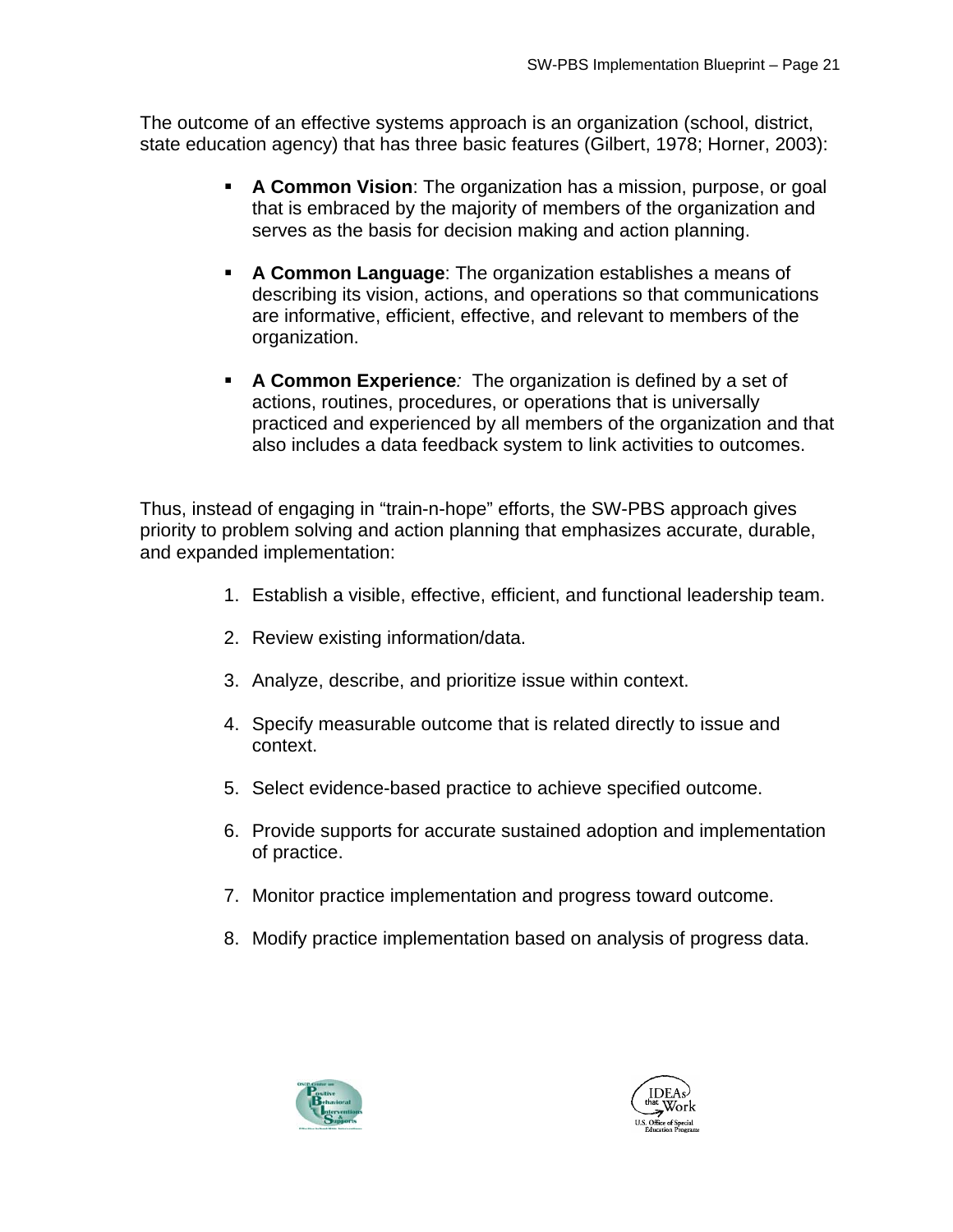The outcome of an effective systems approach is an organization (school, district, state education agency) that has three basic features (Gilbert, 1978; Horner, 2003):

- **A Common Vision**: The organization has a mission, purpose, or goal that is embraced by the majority of members of the organization and serves as the basis for decision making and action planning.
- **A Common Language**: The organization establishes a means of describing its vision, actions, and operations so that communications are informative, efficient, effective, and relevant to members of the organization.
- **A Common Experience***:* The organization is defined by a set of actions, routines, procedures, or operations that is universally practiced and experienced by all members of the organization and that also includes a data feedback system to link activities to outcomes.

Thus, instead of engaging in "train-n-hope" efforts, the SW-PBS approach gives priority to problem solving and action planning that emphasizes accurate, durable, and expanded implementation:

- 1. Establish a visible, effective, efficient, and functional leadership team.
- 2. Review existing information/data.
- 3. Analyze, describe, and prioritize issue within context.
- 4. Specify measurable outcome that is related directly to issue and context.
- 5. Select evidence-based practice to achieve specified outcome.
- 6. Provide supports for accurate sustained adoption and implementation of practice.
- 7. Monitor practice implementation and progress toward outcome.
- 8. Modify practice implementation based on analysis of progress data.



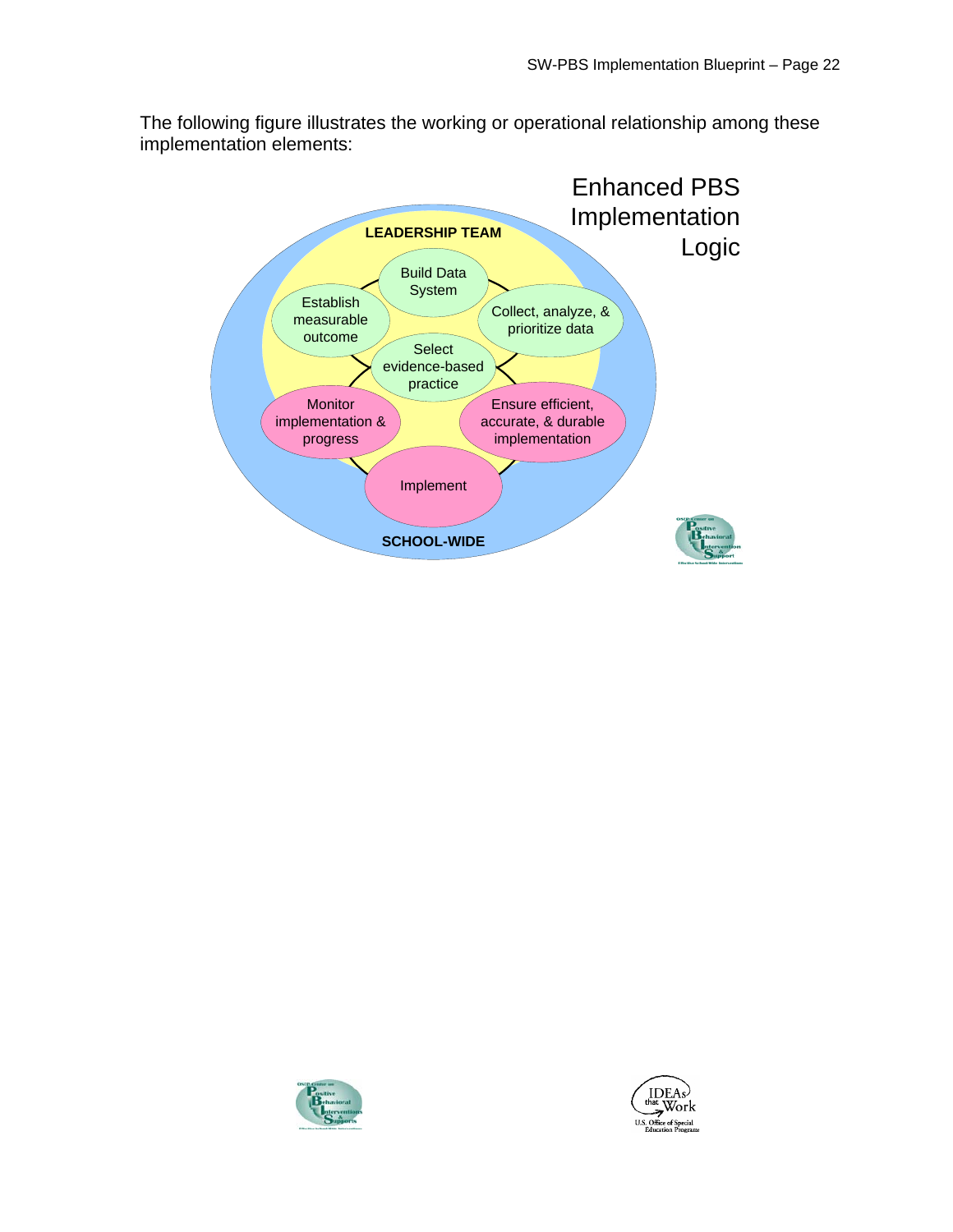The following figure illustrates the working or operational relationship among these implementation elements:





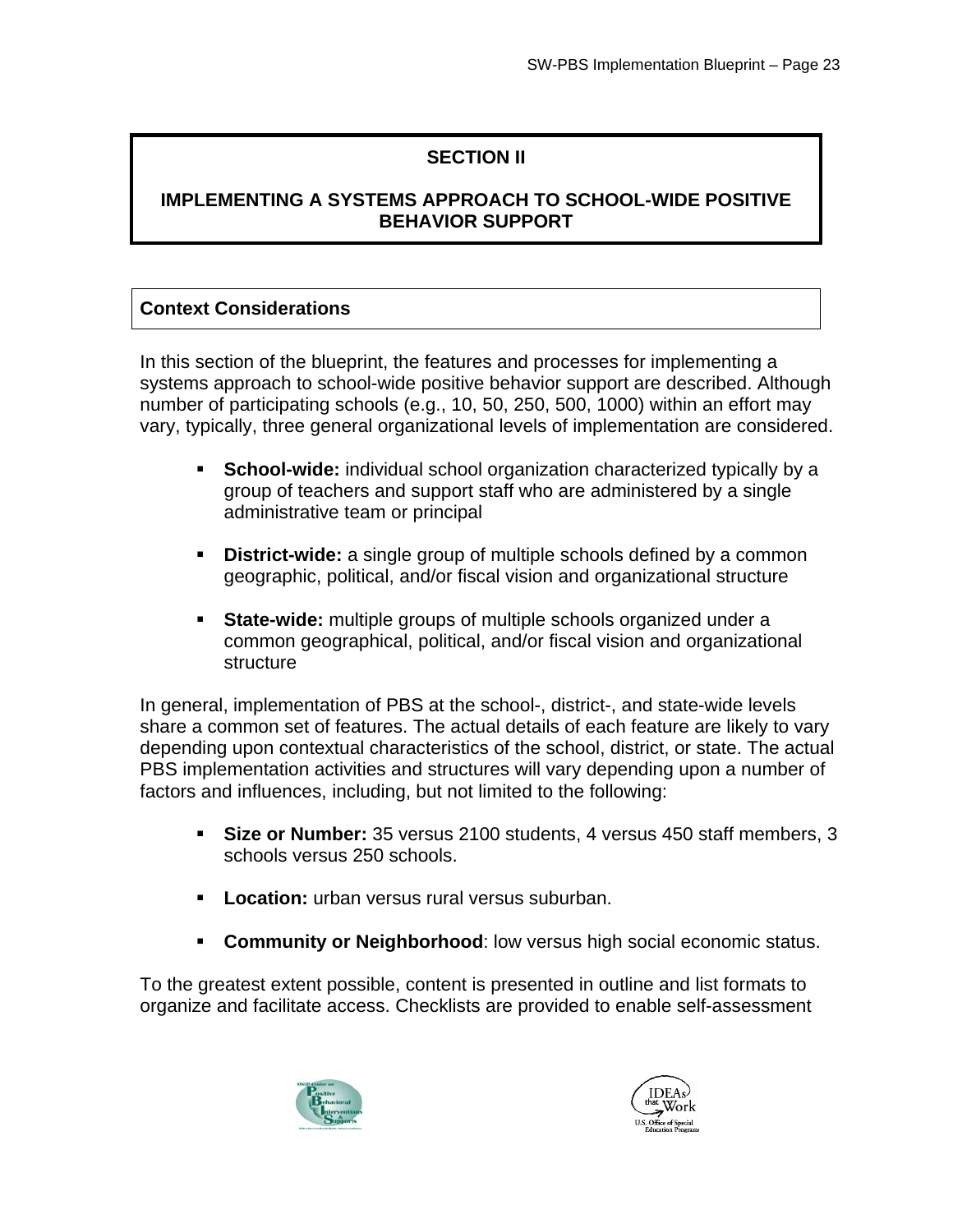## **SECTION II**

## **IMPLEMENTING A SYSTEMS APPROACH TO SCHOOL-WIDE POSITIVE BEHAVIOR SUPPORT**

## **Context Considerations**

In this section of the blueprint, the features and processes for implementing a systems approach to school-wide positive behavior support are described. Although number of participating schools (e.g., 10, 50, 250, 500, 1000) within an effort may vary, typically, three general organizational levels of implementation are considered.

- **School-wide:** individual school organization characterized typically by a group of teachers and support staff who are administered by a single administrative team or principal
- **District-wide:** a single group of multiple schools defined by a common geographic, political, and/or fiscal vision and organizational structure
- **State-wide:** multiple groups of multiple schools organized under a common geographical, political, and/or fiscal vision and organizational structure

In general, implementation of PBS at the school-, district-, and state-wide levels share a common set of features. The actual details of each feature are likely to vary depending upon contextual characteristics of the school, district, or state. The actual PBS implementation activities and structures will vary depending upon a number of factors and influences, including, but not limited to the following:

- **Size or Number:** 35 versus 2100 students, 4 versus 450 staff members, 3 schools versus 250 schools.
- **Location:** urban versus rural versus suburban.
- **Community or Neighborhood:** low versus high social economic status.

To the greatest extent possible, content is presented in outline and list formats to organize and facilitate access. Checklists are provided to enable self-assessment



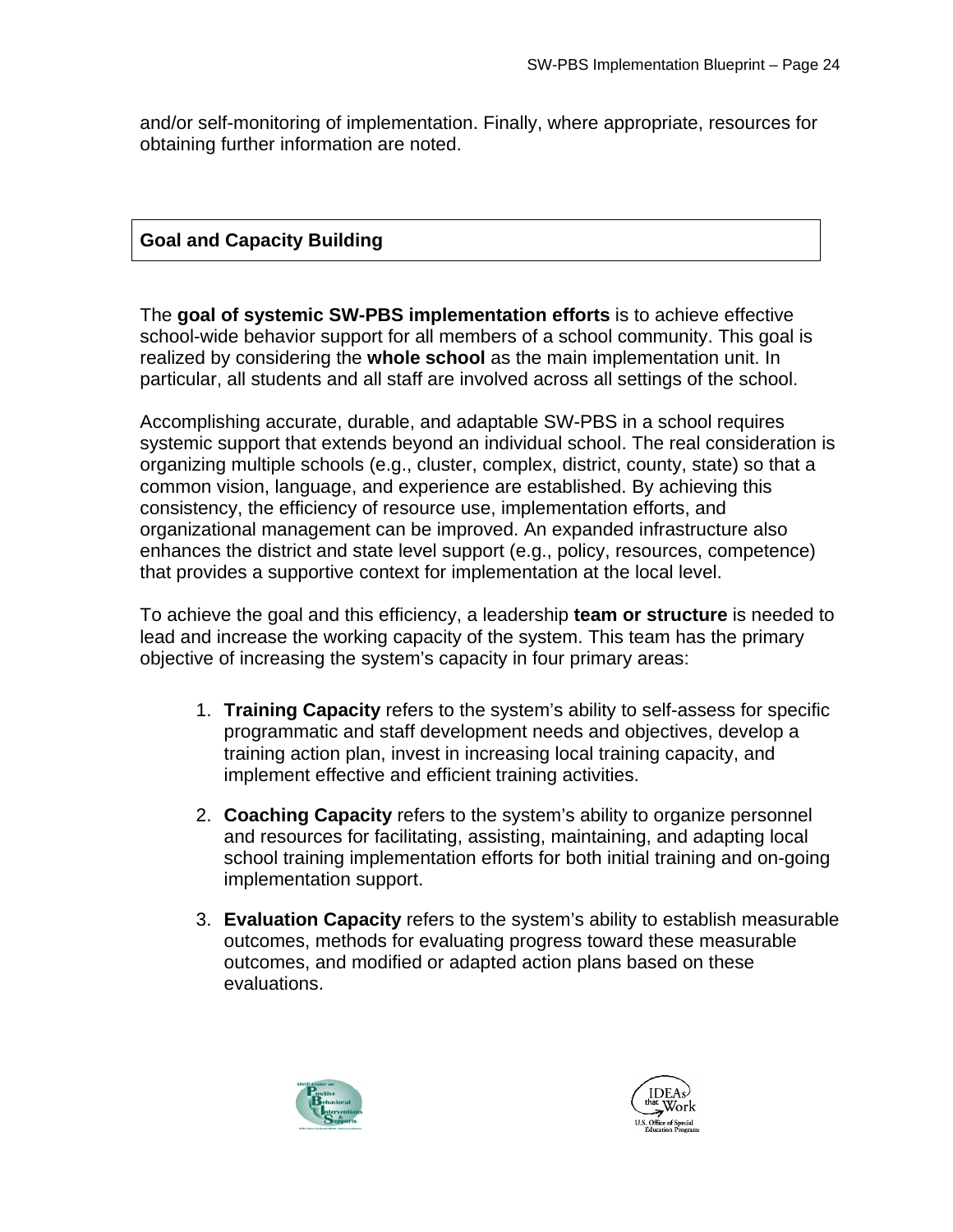and/or self-monitoring of implementation. Finally, where appropriate, resources for obtaining further information are noted.

## **Goal and Capacity Building**

The **goal of systemic SW-PBS implementation efforts** is to achieve effective school-wide behavior support for all members of a school community. This goal is realized by considering the **whole school** as the main implementation unit. In particular, all students and all staff are involved across all settings of the school.

Accomplishing accurate, durable, and adaptable SW-PBS in a school requires systemic support that extends beyond an individual school. The real consideration is organizing multiple schools (e.g., cluster, complex, district, county, state) so that a common vision, language, and experience are established. By achieving this consistency, the efficiency of resource use, implementation efforts, and organizational management can be improved. An expanded infrastructure also enhances the district and state level support (e.g., policy, resources, competence) that provides a supportive context for implementation at the local level.

To achieve the goal and this efficiency, a leadership **team or structure** is needed to lead and increase the working capacity of the system. This team has the primary objective of increasing the system's capacity in four primary areas:

- 1. **Training Capacity** refers to the system's ability to self-assess for specific programmatic and staff development needs and objectives, develop a training action plan, invest in increasing local training capacity, and implement effective and efficient training activities.
- 2. **Coaching Capacity** refers to the system's ability to organize personnel and resources for facilitating, assisting, maintaining, and adapting local school training implementation efforts for both initial training and on-going implementation support.
- 3. **Evaluation Capacity** refers to the system's ability to establish measurable outcomes, methods for evaluating progress toward these measurable outcomes, and modified or adapted action plans based on these evaluations.



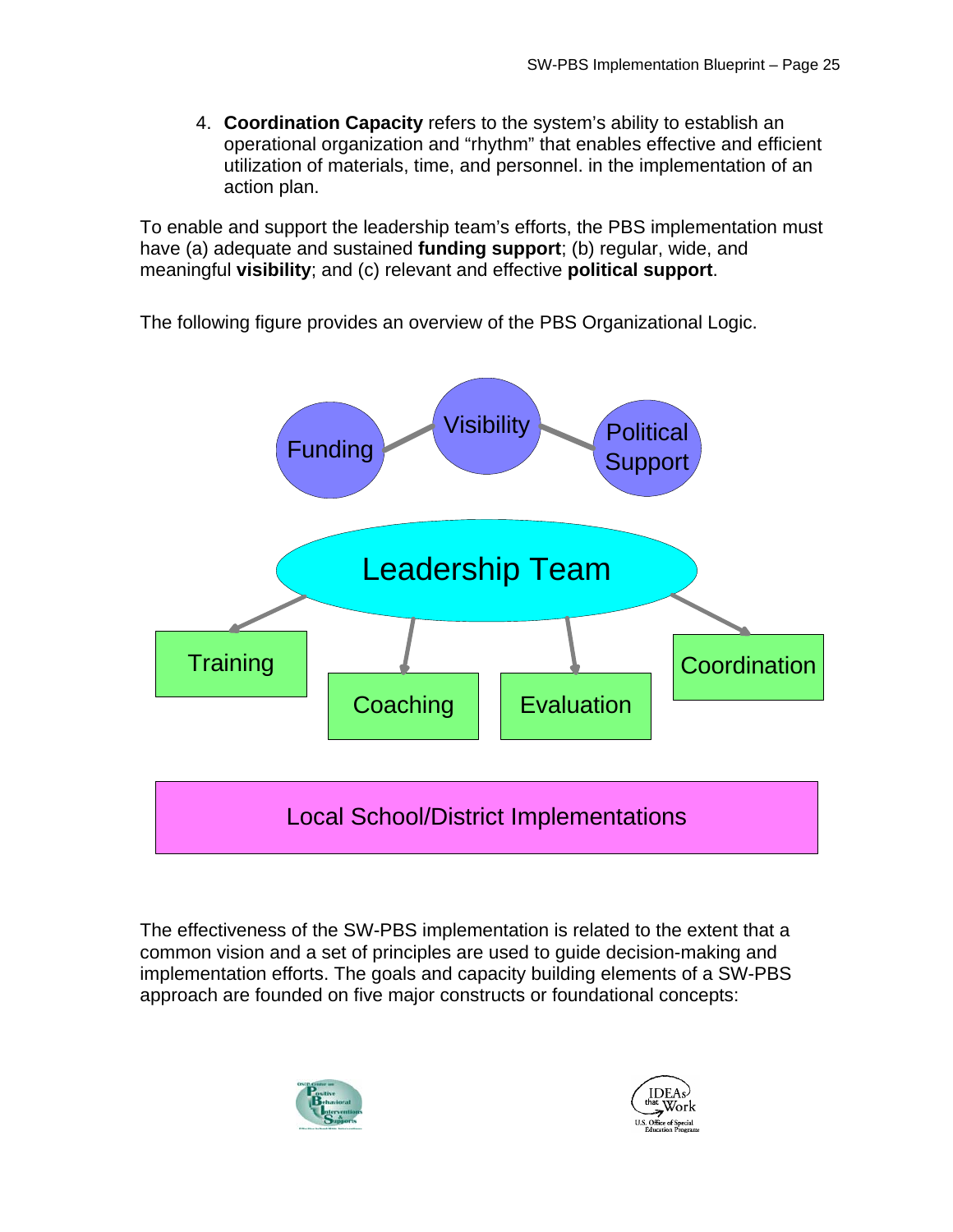4. **Coordination Capacity** refers to the system's ability to establish an operational organization and "rhythm" that enables effective and efficient utilization of materials, time, and personnel. in the implementation of an action plan.

To enable and support the leadership team's efforts, the PBS implementation must have (a) adequate and sustained **funding support**; (b) regular, wide, and meaningful **visibility**; and (c) relevant and effective **political support**.

The following figure provides an overview of the PBS Organizational Logic.



The effectiveness of the SW-PBS implementation is related to the extent that a common vision and a set of principles are used to guide decision-making and implementation efforts. The goals and capacity building elements of a SW-PBS approach are founded on five major constructs or foundational concepts:



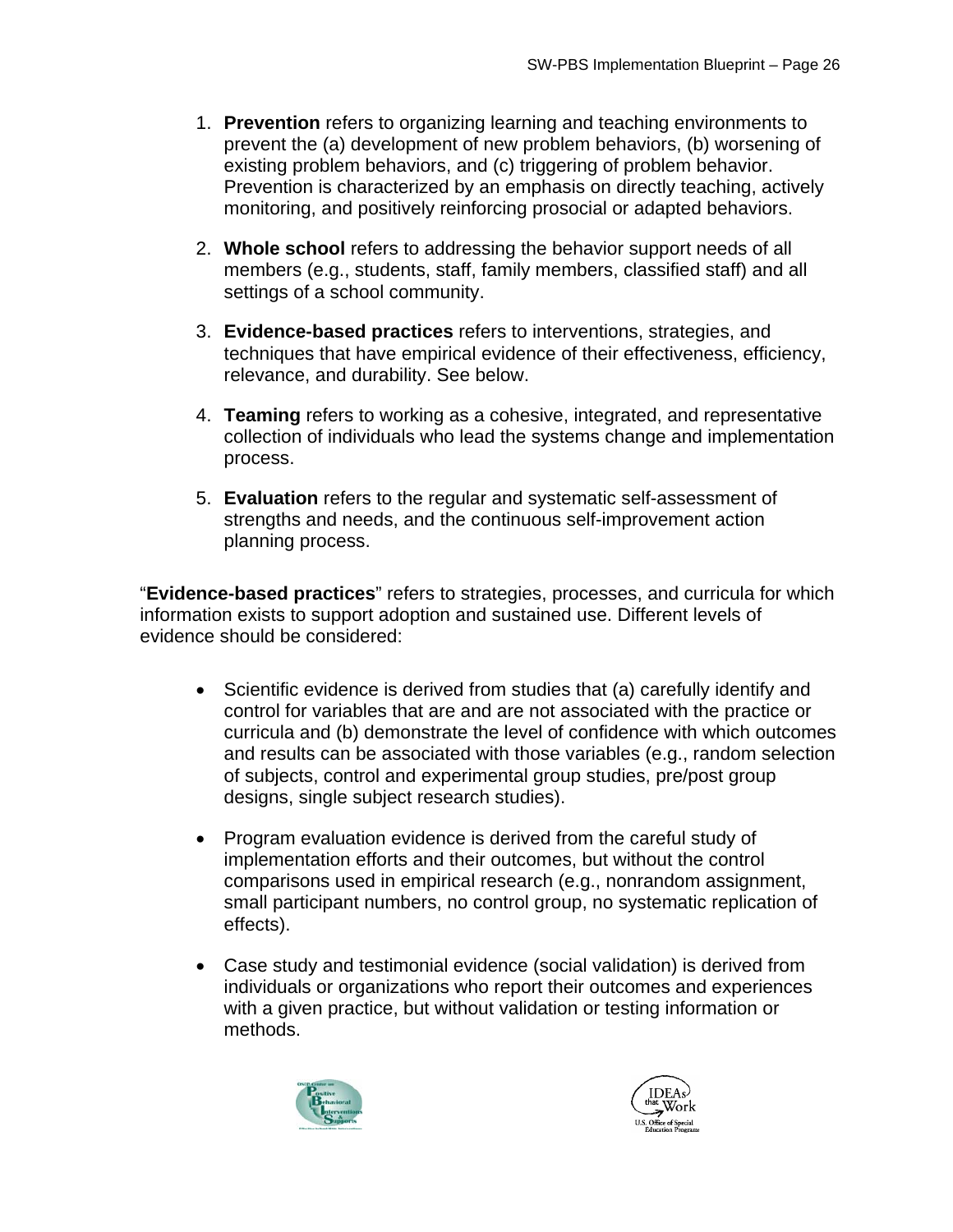- 1. **Prevention** refers to organizing learning and teaching environments to prevent the (a) development of new problem behaviors, (b) worsening of existing problem behaviors, and (c) triggering of problem behavior. Prevention is characterized by an emphasis on directly teaching, actively monitoring, and positively reinforcing prosocial or adapted behaviors.
- 2. **Whole school** refers to addressing the behavior support needs of all members (e.g., students, staff, family members, classified staff) and all settings of a school community.
- 3. **Evidence-based practices** refers to interventions, strategies, and techniques that have empirical evidence of their effectiveness, efficiency, relevance, and durability. See below.
- 4. **Teaming** refers to working as a cohesive, integrated, and representative collection of individuals who lead the systems change and implementation process.
- 5. **Evaluation** refers to the regular and systematic self-assessment of strengths and needs, and the continuous self-improvement action planning process.

"**Evidence-based practices**" refers to strategies, processes, and curricula for which information exists to support adoption and sustained use. Different levels of evidence should be considered:

- Scientific evidence is derived from studies that (a) carefully identify and control for variables that are and are not associated with the practice or curricula and (b) demonstrate the level of confidence with which outcomes and results can be associated with those variables (e.g., random selection of subjects, control and experimental group studies, pre/post group designs, single subject research studies).
- Program evaluation evidence is derived from the careful study of implementation efforts and their outcomes, but without the control comparisons used in empirical research (e.g., nonrandom assignment, small participant numbers, no control group, no systematic replication of effects).
- Case study and testimonial evidence (social validation) is derived from individuals or organizations who report their outcomes and experiences with a given practice, but without validation or testing information or methods.



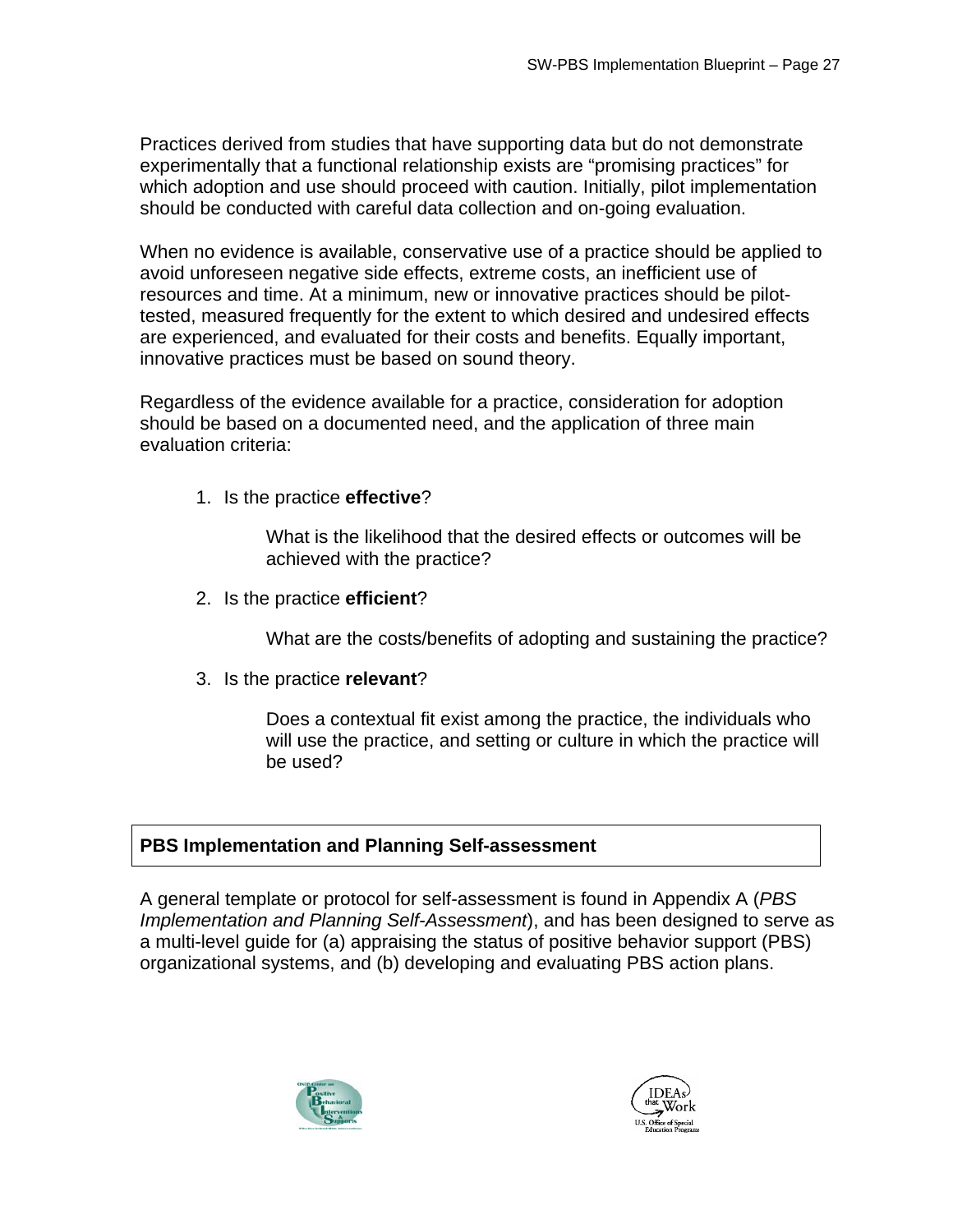Practices derived from studies that have supporting data but do not demonstrate experimentally that a functional relationship exists are "promising practices" for which adoption and use should proceed with caution. Initially, pilot implementation should be conducted with careful data collection and on-going evaluation.

When no evidence is available, conservative use of a practice should be applied to avoid unforeseen negative side effects, extreme costs, an inefficient use of resources and time. At a minimum, new or innovative practices should be pilottested, measured frequently for the extent to which desired and undesired effects are experienced, and evaluated for their costs and benefits. Equally important, innovative practices must be based on sound theory.

Regardless of the evidence available for a practice, consideration for adoption should be based on a documented need, and the application of three main evaluation criteria:

1. Is the practice **effective**?

What is the likelihood that the desired effects or outcomes will be achieved with the practice?

2. Is the practice **efficient**?

What are the costs/benefits of adopting and sustaining the practice?

3. Is the practice **relevant**?

Does a contextual fit exist among the practice, the individuals who will use the practice, and setting or culture in which the practice will be used?

## **PBS Implementation and Planning Self-assessment**

A general template or protocol for self-assessment is found in Appendix A (*PBS Implementation and Planning Self-Assessment*), and has been designed to serve as a multi-level guide for (a) appraising the status of positive behavior support (PBS) organizational systems, and (b) developing and evaluating PBS action plans.



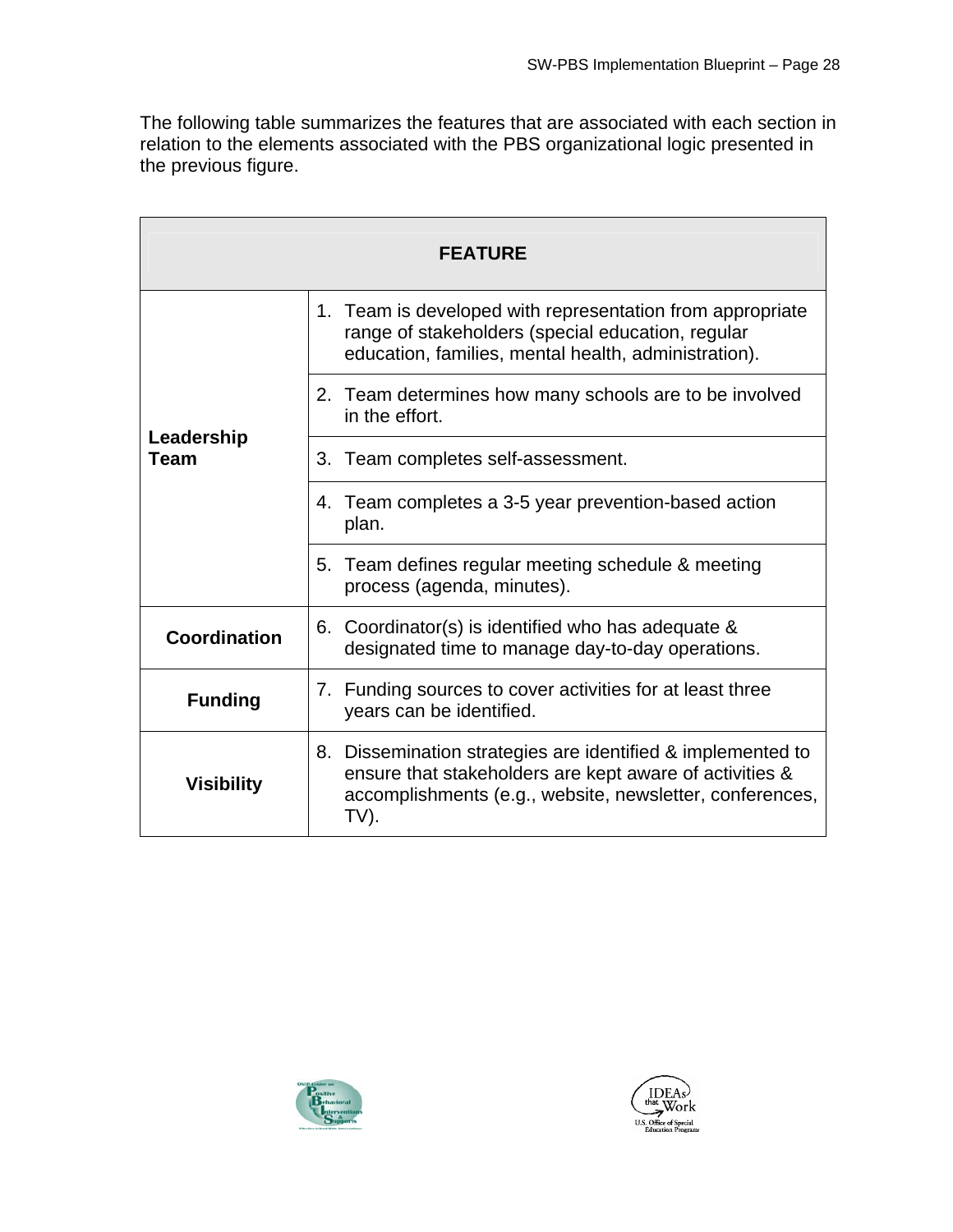The following table summarizes the features that are associated with each section in relation to the elements associated with the PBS organizational logic presented in the previous figure.

| <b>FEATURE</b>            |                                                                                                                                                                                            |  |  |  |  |
|---------------------------|--------------------------------------------------------------------------------------------------------------------------------------------------------------------------------------------|--|--|--|--|
|                           | 1. Team is developed with representation from appropriate<br>range of stakeholders (special education, regular<br>education, families, mental health, administration).                     |  |  |  |  |
|                           | 2. Team determines how many schools are to be involved<br>in the effort.                                                                                                                   |  |  |  |  |
| Leadership<br><b>Team</b> | 3. Team completes self-assessment.                                                                                                                                                         |  |  |  |  |
|                           | 4. Team completes a 3-5 year prevention-based action<br>plan.                                                                                                                              |  |  |  |  |
|                           | Team defines regular meeting schedule & meeting<br>5.<br>process (agenda, minutes).                                                                                                        |  |  |  |  |
| Coordination              | 6. Coordinator(s) is identified who has adequate &<br>designated time to manage day-to-day operations.                                                                                     |  |  |  |  |
| <b>Funding</b>            | 7. Funding sources to cover activities for at least three<br>years can be identified.                                                                                                      |  |  |  |  |
| <b>Visibility</b>         | 8. Dissemination strategies are identified & implemented to<br>ensure that stakeholders are kept aware of activities &<br>accomplishments (e.g., website, newsletter, conferences,<br>TV). |  |  |  |  |



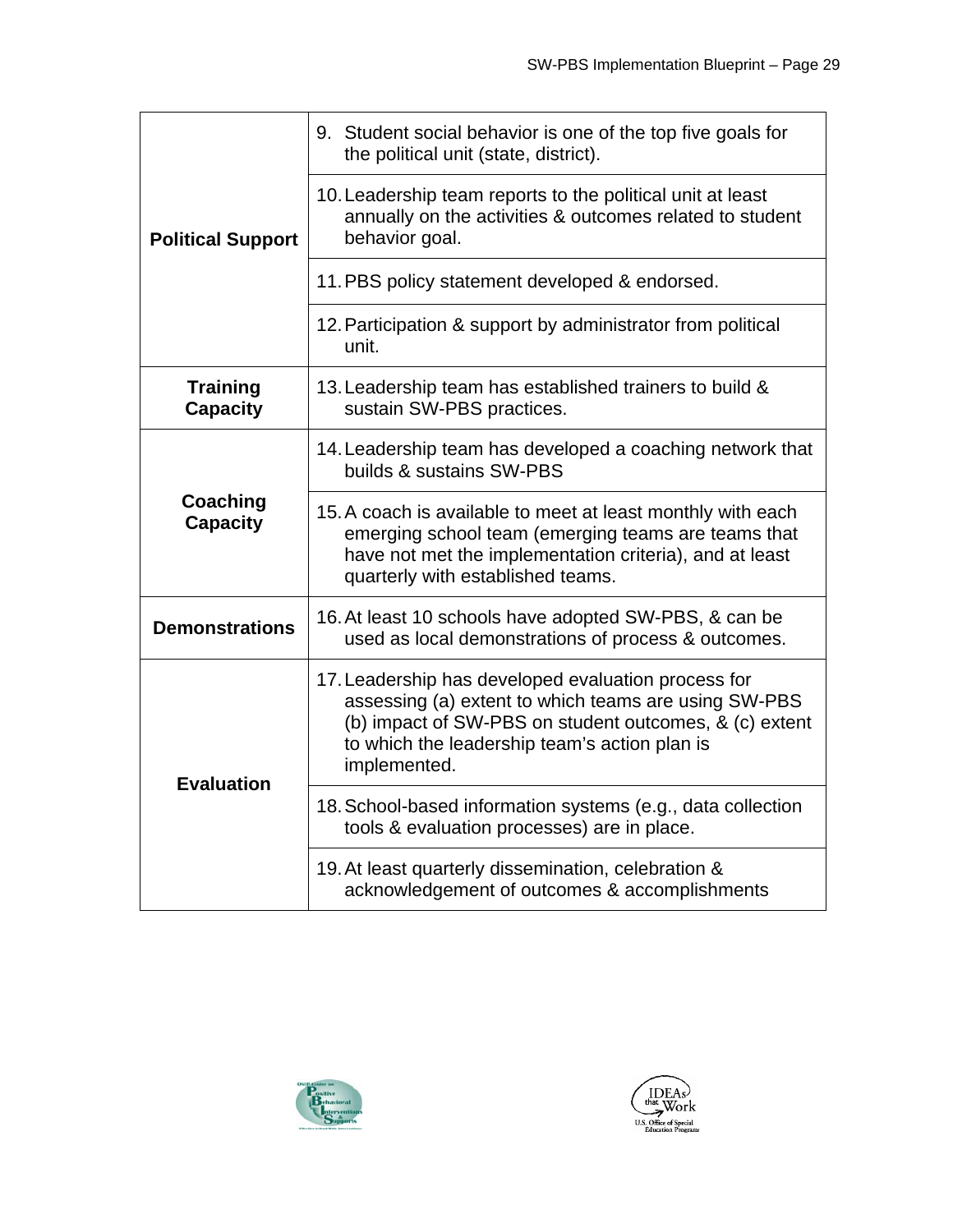|                                    | 9. Student social behavior is one of the top five goals for<br>the political unit (state, district).                                                                                                                                   |
|------------------------------------|----------------------------------------------------------------------------------------------------------------------------------------------------------------------------------------------------------------------------------------|
| <b>Political Support</b>           | 10. Leadership team reports to the political unit at least<br>annually on the activities & outcomes related to student<br>behavior goal.                                                                                               |
|                                    | 11. PBS policy statement developed & endorsed.                                                                                                                                                                                         |
|                                    | 12. Participation & support by administrator from political<br>unit.                                                                                                                                                                   |
| <b>Training</b><br><b>Capacity</b> | 13. Leadership team has established trainers to build &<br>sustain SW-PBS practices.                                                                                                                                                   |
|                                    | 14. Leadership team has developed a coaching network that<br>builds & sustains SW-PBS                                                                                                                                                  |
| Coaching<br><b>Capacity</b>        | 15. A coach is available to meet at least monthly with each<br>emerging school team (emerging teams are teams that<br>have not met the implementation criteria), and at least<br>quarterly with established teams.                     |
| <b>Demonstrations</b>              | 16. At least 10 schools have adopted SW-PBS, & can be<br>used as local demonstrations of process & outcomes.                                                                                                                           |
| <b>Evaluation</b>                  | 17. Leadership has developed evaluation process for<br>assessing (a) extent to which teams are using SW-PBS<br>(b) impact of SW-PBS on student outcomes, & (c) extent<br>to which the leadership team's action plan is<br>implemented. |
|                                    | 18. School-based information systems (e.g., data collection<br>tools & evaluation processes) are in place.                                                                                                                             |
|                                    | 19. At least quarterly dissemination, celebration &<br>acknowledgement of outcomes & accomplishments                                                                                                                                   |



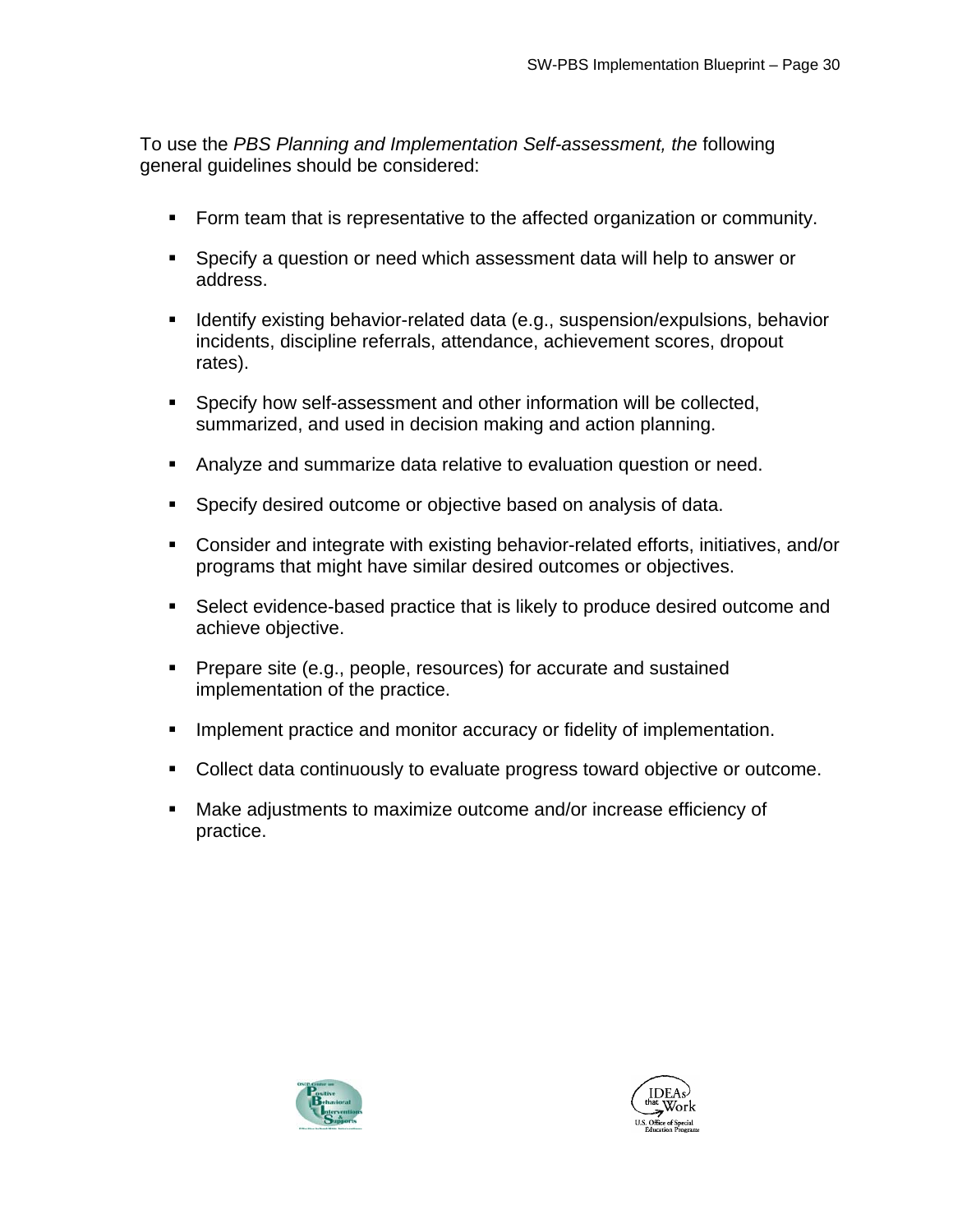To use the *PBS Planning and Implementation Self-assessment, the* following general guidelines should be considered:

- Form team that is representative to the affected organization or community.
- Specify a question or need which assessment data will help to answer or address.
- **If Identify existing behavior-related data (e.g., suspension/expulsions, behavior** incidents, discipline referrals, attendance, achievement scores, dropout rates).
- Specify how self-assessment and other information will be collected, summarized, and used in decision making and action planning.
- Analyze and summarize data relative to evaluation question or need.
- **Specify desired outcome or objective based on analysis of data.**
- Consider and integrate with existing behavior-related efforts, initiatives, and/or programs that might have similar desired outcomes or objectives.
- Select evidence-based practice that is likely to produce desired outcome and achieve objective.
- **Prepare site (e.g., people, resources) for accurate and sustained** implementation of the practice.
- **IMPLEMENT IMPLEMENT IMPLEMENT IMPLEMENT IMPLY** Implementation.
- Collect data continuously to evaluate progress toward objective or outcome.
- Make adjustments to maximize outcome and/or increase efficiency of practice.



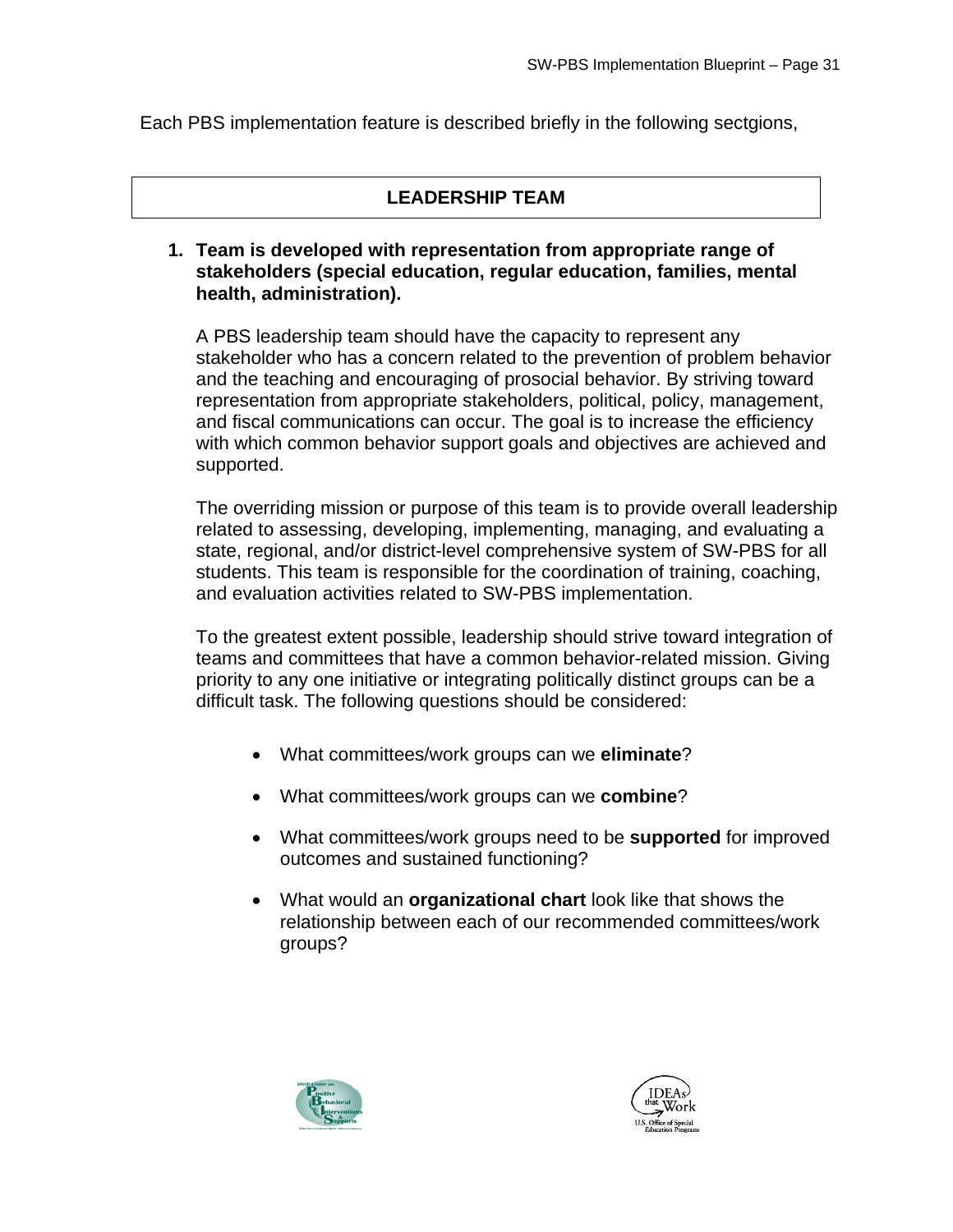Each PBS implementation feature is described briefly in the following sectgions,

## **LEADERSHIP TEAM**

#### **1. Team is developed with representation from appropriate range of stakeholders (special education, regular education, families, mental health, administration).**

A PBS leadership team should have the capacity to represent any stakeholder who has a concern related to the prevention of problem behavior and the teaching and encouraging of prosocial behavior. By striving toward representation from appropriate stakeholders, political, policy, management, and fiscal communications can occur. The goal is to increase the efficiency with which common behavior support goals and objectives are achieved and supported.

The overriding mission or purpose of this team is to provide overall leadership related to assessing, developing, implementing, managing, and evaluating a state, regional, and/or district-level comprehensive system of SW-PBS for all students. This team is responsible for the coordination of training, coaching, and evaluation activities related to SW-PBS implementation.

To the greatest extent possible, leadership should strive toward integration of teams and committees that have a common behavior-related mission. Giving priority to any one initiative or integrating politically distinct groups can be a difficult task. The following questions should be considered:

- What committees/work groups can we **eliminate**?
- What committees/work groups can we **combine**?
- What committees/work groups need to be **supported** for improved outcomes and sustained functioning?
- What would an **organizational chart** look like that shows the relationship between each of our recommended committees/work groups?



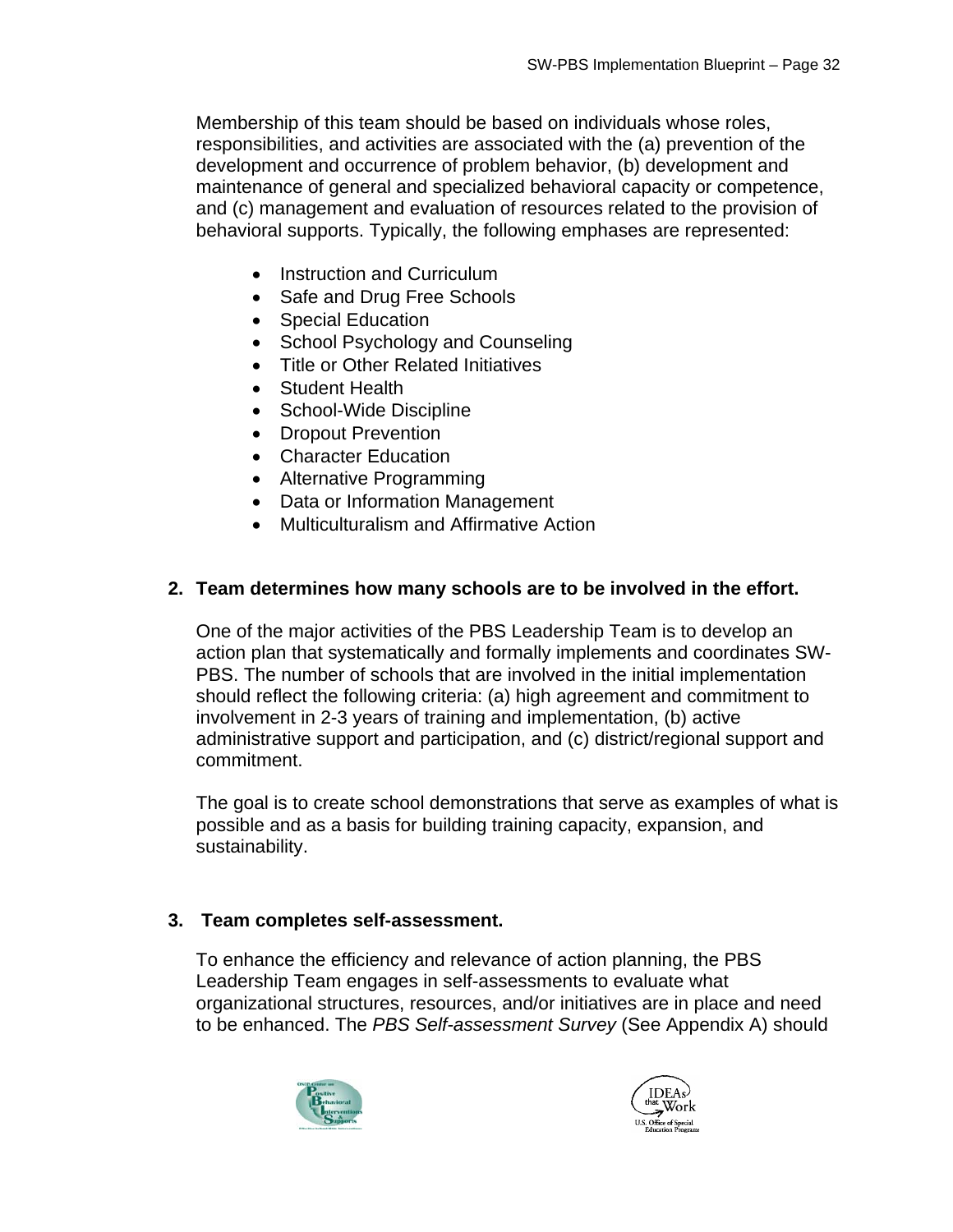Membership of this team should be based on individuals whose roles, responsibilities, and activities are associated with the (a) prevention of the development and occurrence of problem behavior, (b) development and maintenance of general and specialized behavioral capacity or competence, and (c) management and evaluation of resources related to the provision of behavioral supports. Typically, the following emphases are represented:

- Instruction and Curriculum
- Safe and Drug Free Schools
- Special Education
- School Psychology and Counseling
- Title or Other Related Initiatives
- Student Health
- School-Wide Discipline
- Dropout Prevention
- Character Education
- Alternative Programming
- Data or Information Management
- Multiculturalism and Affirmative Action

## **2. Team determines how many schools are to be involved in the effort.**

One of the major activities of the PBS Leadership Team is to develop an action plan that systematically and formally implements and coordinates SW-PBS. The number of schools that are involved in the initial implementation should reflect the following criteria: (a) high agreement and commitment to involvement in 2-3 years of training and implementation, (b) active administrative support and participation, and (c) district/regional support and commitment.

The goal is to create school demonstrations that serve as examples of what is possible and as a basis for building training capacity, expansion, and sustainability.

#### **3. Team completes self-assessment.**

To enhance the efficiency and relevance of action planning, the PBS Leadership Team engages in self-assessments to evaluate what organizational structures, resources, and/or initiatives are in place and need to be enhanced. The *PBS Self-assessment Survey* (See Appendix A) should



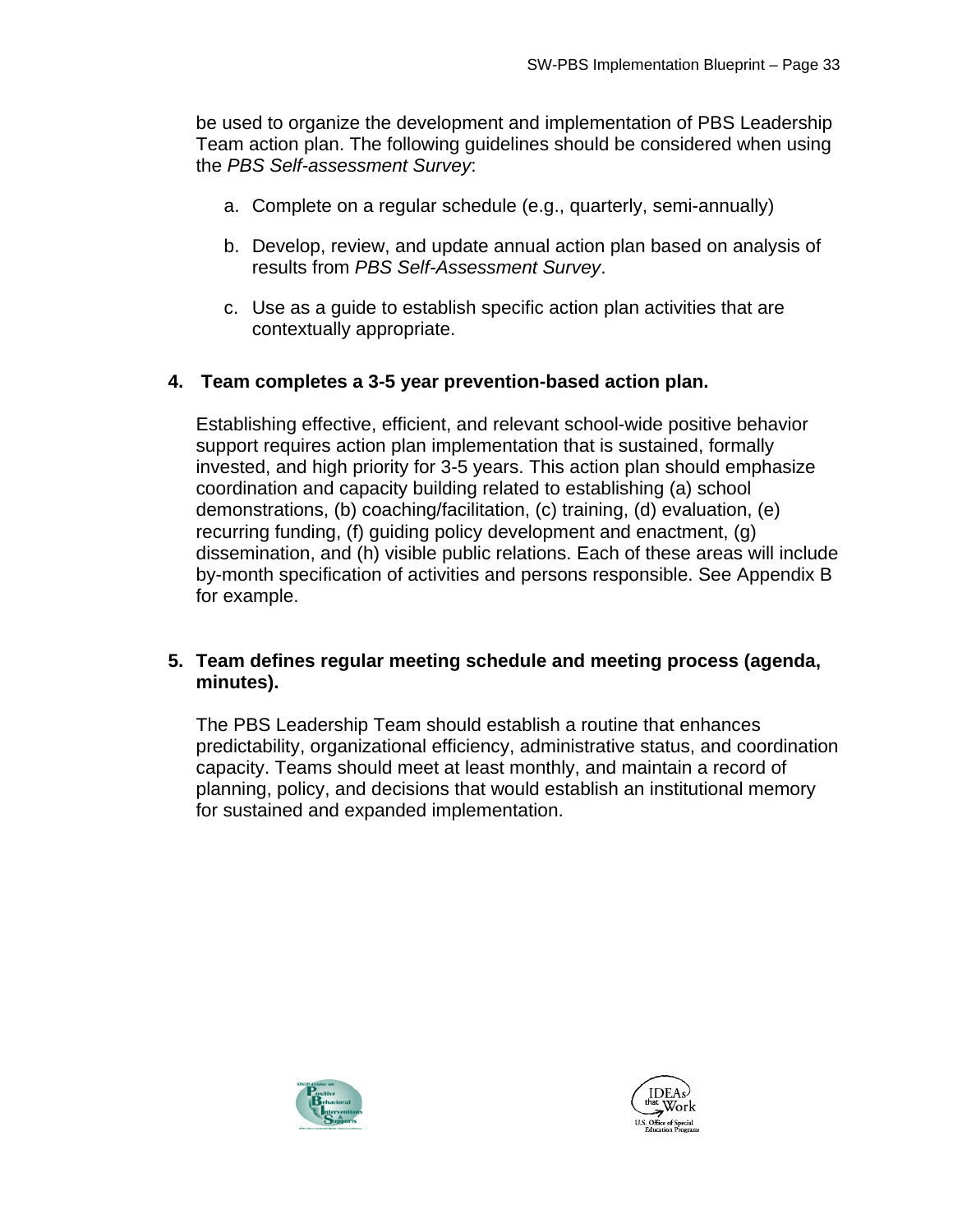be used to organize the development and implementation of PBS Leadership Team action plan. The following guidelines should be considered when using the *PBS Self-assessment Survey*:

- a. Complete on a regular schedule (e.g., quarterly, semi-annually)
- b. Develop, review, and update annual action plan based on analysis of results from *PBS Self-Assessment Survey*.
- c. Use as a guide to establish specific action plan activities that are contextually appropriate.

#### **4. Team completes a 3-5 year prevention-based action plan.**

Establishing effective, efficient, and relevant school-wide positive behavior support requires action plan implementation that is sustained, formally invested, and high priority for 3-5 years. This action plan should emphasize coordination and capacity building related to establishing (a) school demonstrations, (b) coaching/facilitation, (c) training, (d) evaluation, (e) recurring funding, (f) guiding policy development and enactment, (g) dissemination, and (h) visible public relations. Each of these areas will include by-month specification of activities and persons responsible. See Appendix B for example.

#### **5. Team defines regular meeting schedule and meeting process (agenda, minutes).**

The PBS Leadership Team should establish a routine that enhances predictability, organizational efficiency, administrative status, and coordination capacity. Teams should meet at least monthly, and maintain a record of planning, policy, and decisions that would establish an institutional memory for sustained and expanded implementation.



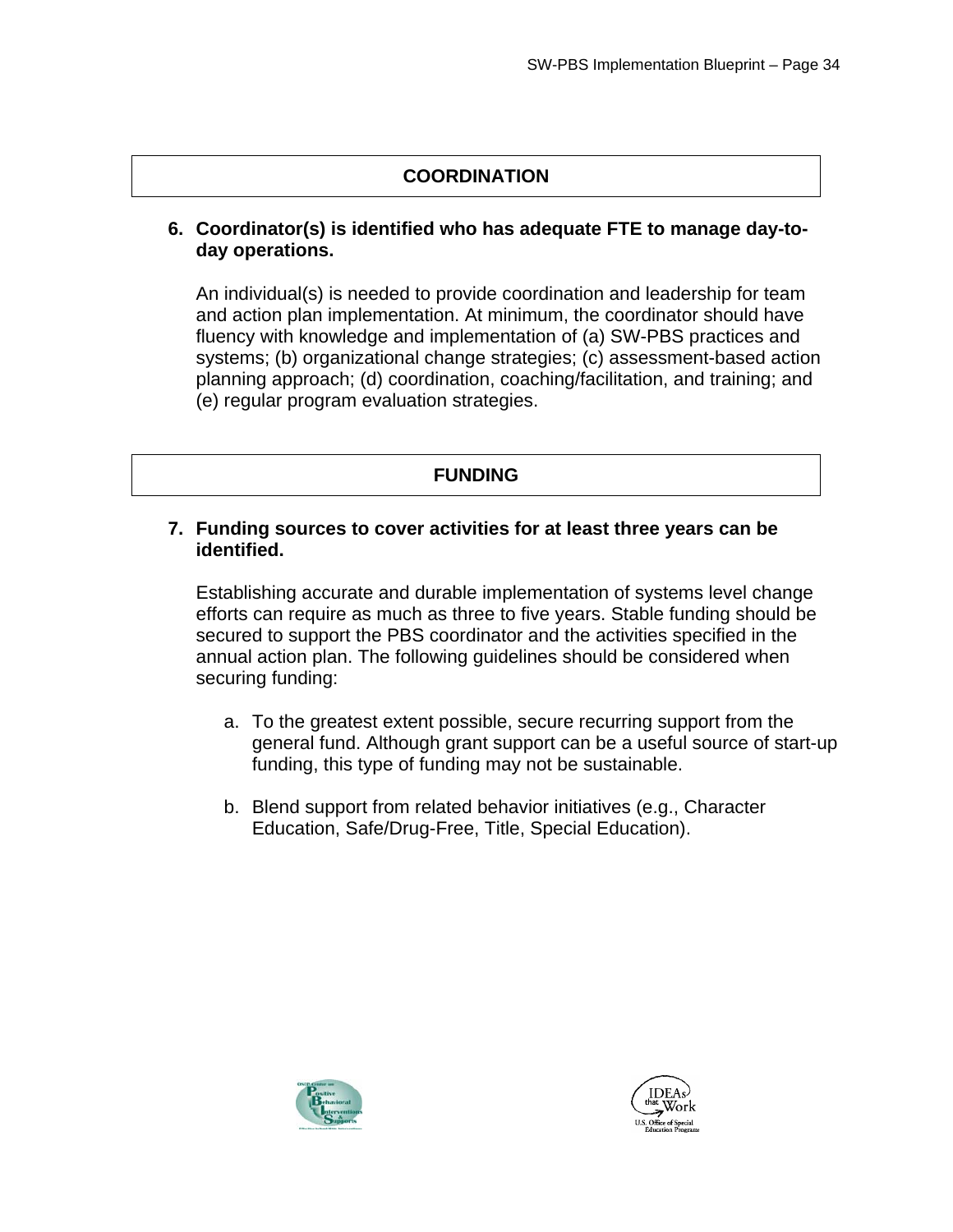## **COORDINATION**

#### **6. Coordinator(s) is identified who has adequate FTE to manage day-today operations.**

An individual(s) is needed to provide coordination and leadership for team and action plan implementation. At minimum, the coordinator should have fluency with knowledge and implementation of (a) SW-PBS practices and systems; (b) organizational change strategies; (c) assessment-based action planning approach; (d) coordination, coaching/facilitation, and training; and (e) regular program evaluation strategies.

## **FUNDING**

#### **7. Funding sources to cover activities for at least three years can be identified.**

Establishing accurate and durable implementation of systems level change efforts can require as much as three to five years. Stable funding should be secured to support the PBS coordinator and the activities specified in the annual action plan. The following guidelines should be considered when securing funding:

- a. To the greatest extent possible, secure recurring support from the general fund. Although grant support can be a useful source of start-up funding, this type of funding may not be sustainable.
- b. Blend support from related behavior initiatives (e.g., Character Education, Safe/Drug-Free, Title, Special Education).



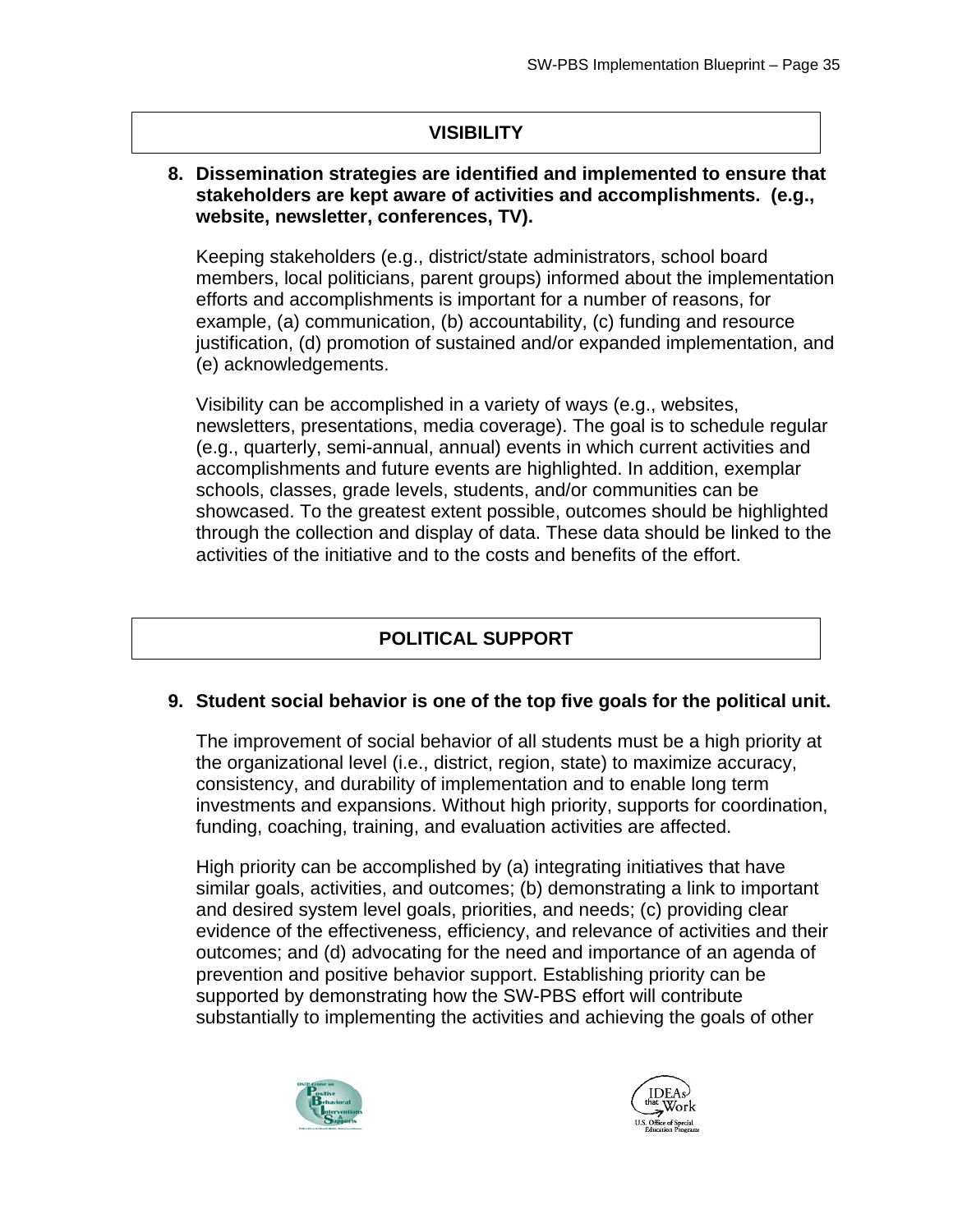## **VISIBILITY**

#### **8. Dissemination strategies are identified and implemented to ensure that stakeholders are kept aware of activities and accomplishments. (e.g., website, newsletter, conferences, TV).**

(e) acknowledgements. Keeping stakeholders (e.g., district/state administrators, school board members, local politicians, parent groups) informed about the implementation efforts and accomplishments is important for a number of reasons, for example, (a) communication, (b) accountability, (c) funding and resource justification, (d) promotion of sustained and/or expanded implementation, and

Visibility can be accomplished in a variety of ways (e.g., websites, newsletters, presentations, media coverage). The goal is to schedule regular (e.g., quarterly, semi-annual, annual) events in which current activities and accomplishments and future events are highlighted. In addition, exemplar schools, classes, grade levels, students, and/or communities can be showcased. To the greatest extent possible, outcomes should be highlighted through the collection and display of data. These data should be linked to the activities of the initiative and to the costs and benefits of the effort.

## **POLITICAL SUPPORT**

#### **9. Student social behavior is one of the top five goals for the political unit.**

The improvement of social behavior of all students must be a high priority at the organizational level (i.e., district, region, state) to maximize accuracy, consistency, and durability of implementation and to enable long term investments and expansions. Without high priority, supports for coordination, funding, coaching, training, and evaluation activities are affected.

High priority can be accomplished by (a) integrating initiatives that have similar goals, activities, and outcomes; (b) demonstrating a link to important and desired system level goals, priorities, and needs; (c) providing clear evidence of the effectiveness, efficiency, and relevance of activities and their outcomes; and (d) advocating for the need and importance of an agenda of prevention and positive behavior support. Establishing priority can be supported by demonstrating how the SW-PBS effort will contribute substantially to implementing the activities and achieving the goals of other



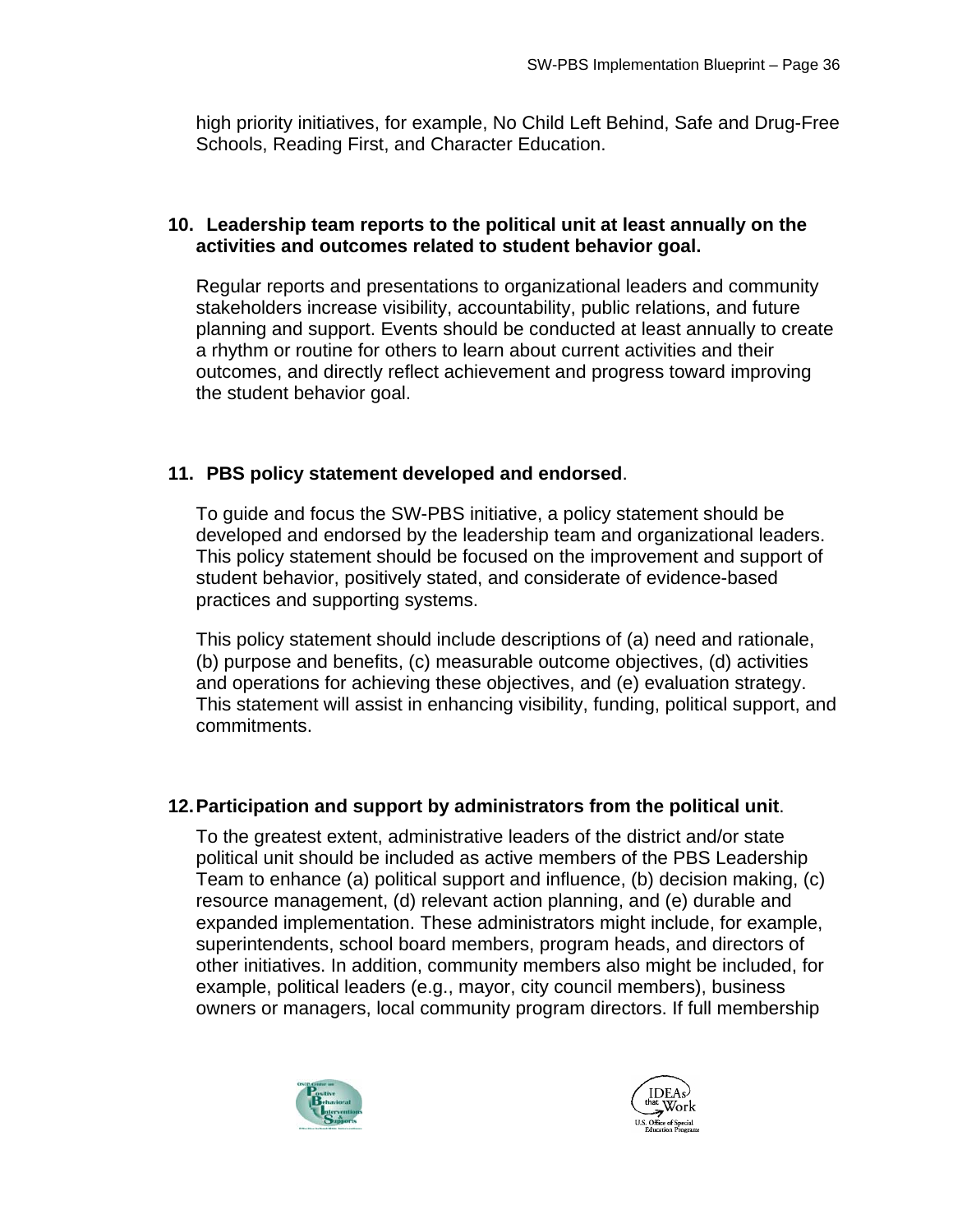high priority initiatives, for example, No Child Left Behind, Safe and Drug-Free Schools, Reading First, and Character Education.

#### **10. Leadership team reports to the political unit at least annually on the activities and outcomes related to student behavior goal.**

Regular reports and presentations to organizational leaders and community stakeholders increase visibility, accountability, public relations, and future planning and support. Events should be conducted at least annually to create a rhythm or routine for others to learn about current activities and their outcomes, and directly reflect achievement and progress toward improving the student behavior goal.

#### **11. PBS policy statement developed and endorsed**.

To guide and focus the SW-PBS initiative, a policy statement should be developed and endorsed by the leadership team and organizational leaders. This policy statement should be focused on the improvement and support of student behavior, positively stated, and considerate of evidence-based practices and supporting systems.

This policy statement should include descriptions of (a) need and rationale, (b) purpose and benefits, (c) measurable outcome objectives, (d) activities and operations for achieving these objectives, and (e) evaluation strategy. This statement will assist in enhancing visibility, funding, political support, and commitments.

#### **12.Participation and support by administrators from the political unit**.

To the greatest extent, administrative leaders of the district and/or state political unit should be included as active members of the PBS Leadership Team to enhance (a) political support and influence, (b) decision making, (c) resource management, (d) relevant action planning, and (e) durable and expanded implementation. These administrators might include, for example, superintendents, school board members, program heads, and directors of other initiatives. In addition, community members also might be included, for example, political leaders (e.g., mayor, city council members), business owners or managers, local community program directors. If full membership



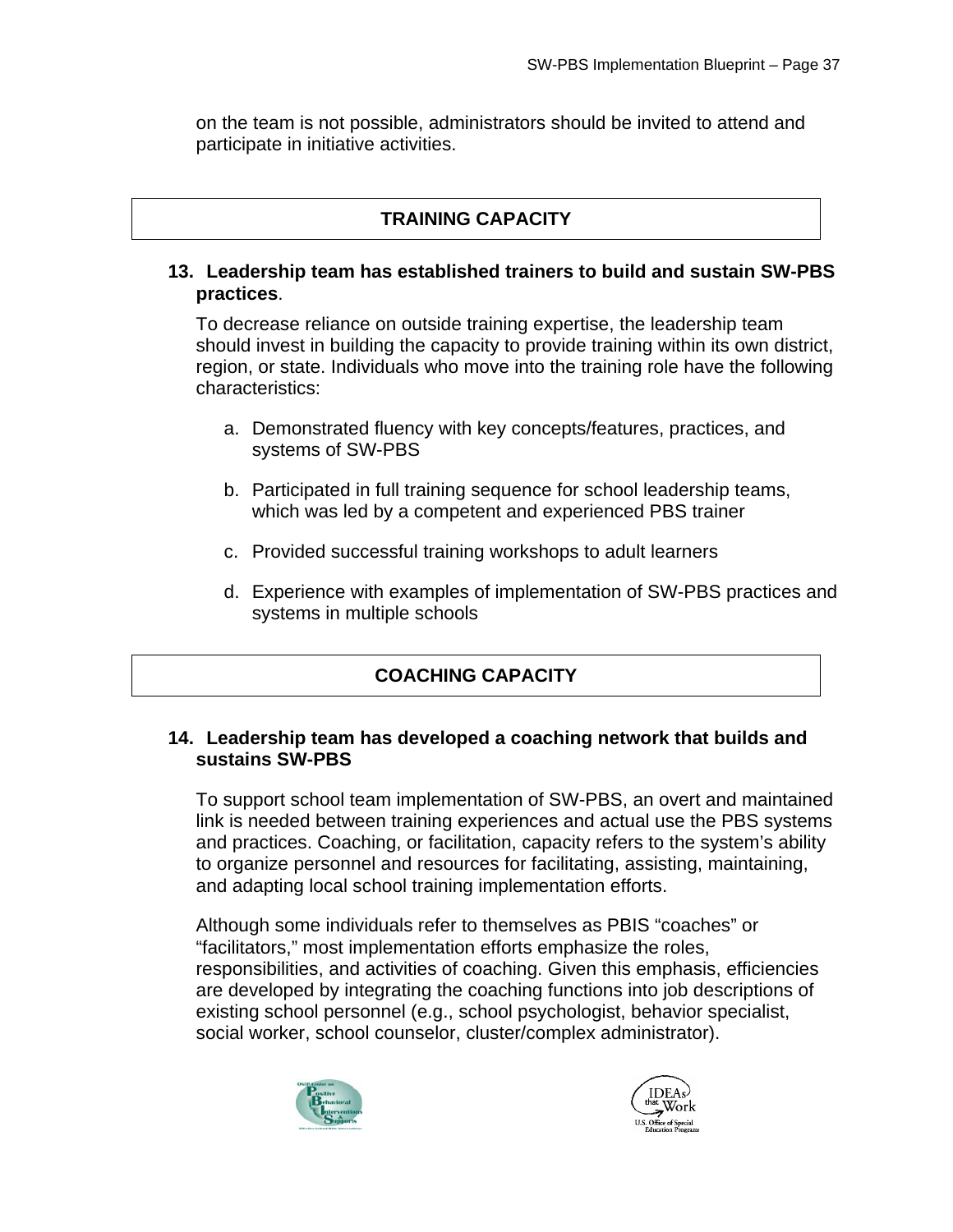on the team is not possible, administrators should be invited to attend and participate in initiative activities.

## **TRAINING CAPACITY**

#### **13. Leadership team has established trainers to build and sustain SW-PBS practices**.

To decrease reliance on outside training expertise, the leadership team should invest in building the capacity to provide training within its own district, region, or state. Individuals who move into the training role have the following characteristics:

- a. Demonstrated fluency with key concepts/features, practices, and systems of SW-PBS
- b. Participated in full training sequence for school leadership teams, which was led by a competent and experienced PBS trainer
- c. Provided successful training workshops to adult learners
- d. Experience with examples of implementation of SW-PBS practices and systems in multiple schools

## **COACHING CAPACITY**

#### **14. Leadership team has developed a coaching network that builds and sustains SW-PBS**

To support school team implementation of SW-PBS, an overt and maintained link is needed between training experiences and actual use the PBS systems and practices. Coaching, or facilitation, capacity refers to the system's ability to organize personnel and resources for facilitating, assisting, maintaining, and adapting local school training implementation efforts.

Although some individuals refer to themselves as PBIS "coaches" or "facilitators," most implementation efforts emphasize the roles, responsibilities, and activities of coaching. Given this emphasis, efficiencies are developed by integrating the coaching functions into job descriptions of existing school personnel (e.g., school psychologist, behavior specialist, social worker, school counselor, cluster/complex administrator).



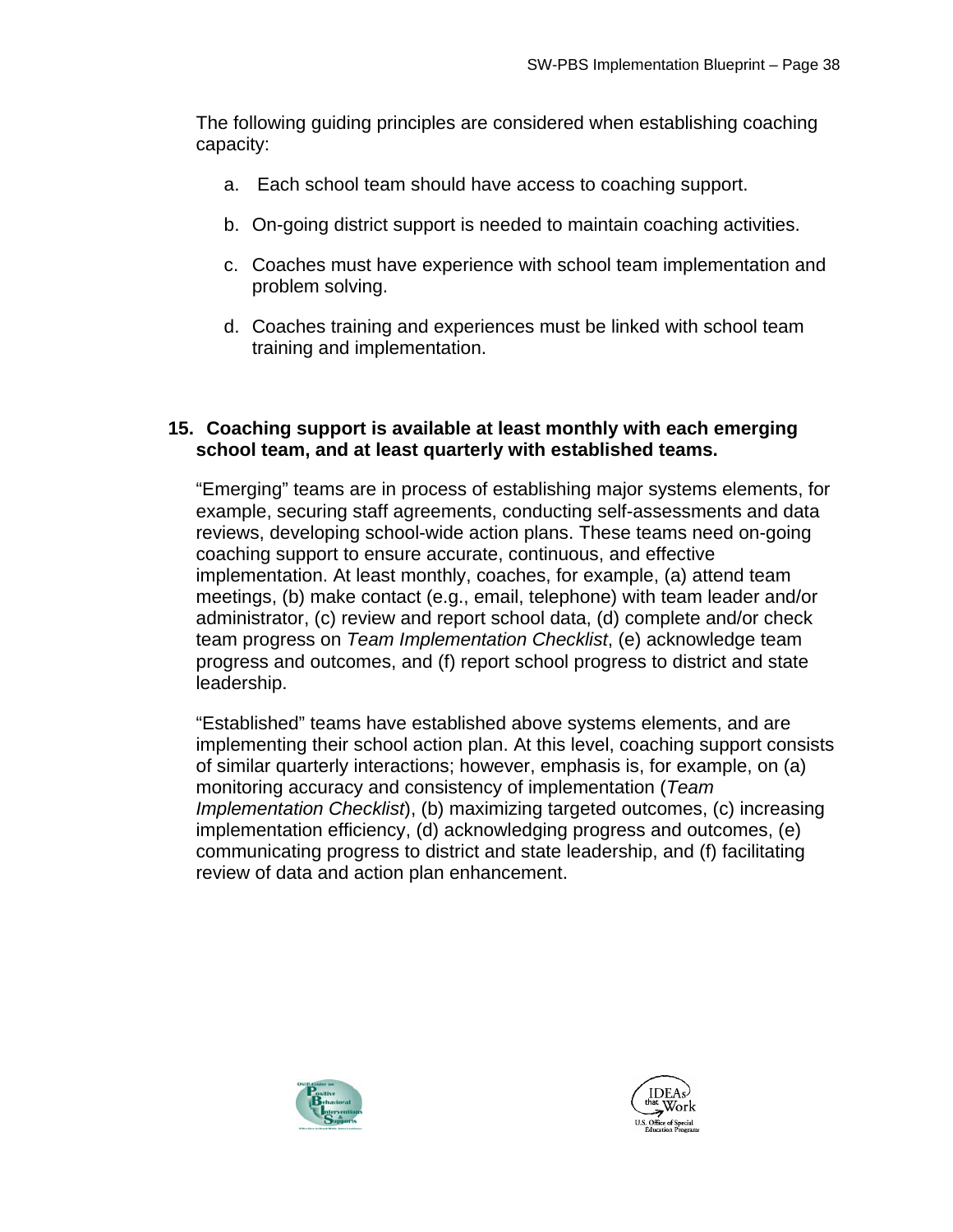The following guiding principles are considered when establishing coaching capacity:

- a. Each school team should have access to coaching support.
- b. On-going district support is needed to maintain coaching activities.
- c. Coaches must have experience with school team implementation and problem solving.
- d. Coaches training and experiences must be linked with school team training and implementation.

#### **15. Coaching support is available at least monthly with each emerging school team, and at least quarterly with established teams.**

"Emerging" teams are in process of establishing major systems elements, for example, securing staff agreements, conducting self-assessments and data reviews, developing school-wide action plans. These teams need on-going coaching support to ensure accurate, continuous, and effective implementation. At least monthly, coaches, for example, (a) attend team meetings, (b) make contact (e.g., email, telephone) with team leader and/or administrator, (c) review and report school data, (d) complete and/or check team progress on *Team Implementation Checklist*, (e) acknowledge team progress and outcomes, and (f) report school progress to district and state leadership.

"Established" teams have established above systems elements, and are implementing their school action plan. At this level, coaching support consists of similar quarterly interactions; however, emphasis is, for example, on (a) monitoring accuracy and consistency of implementation (*Team Implementation Checklist*), (b) maximizing targeted outcomes, (c) increasing implementation efficiency, (d) acknowledging progress and outcomes, (e) communicating progress to district and state leadership, and (f) facilitating review of data and action plan enhancement.



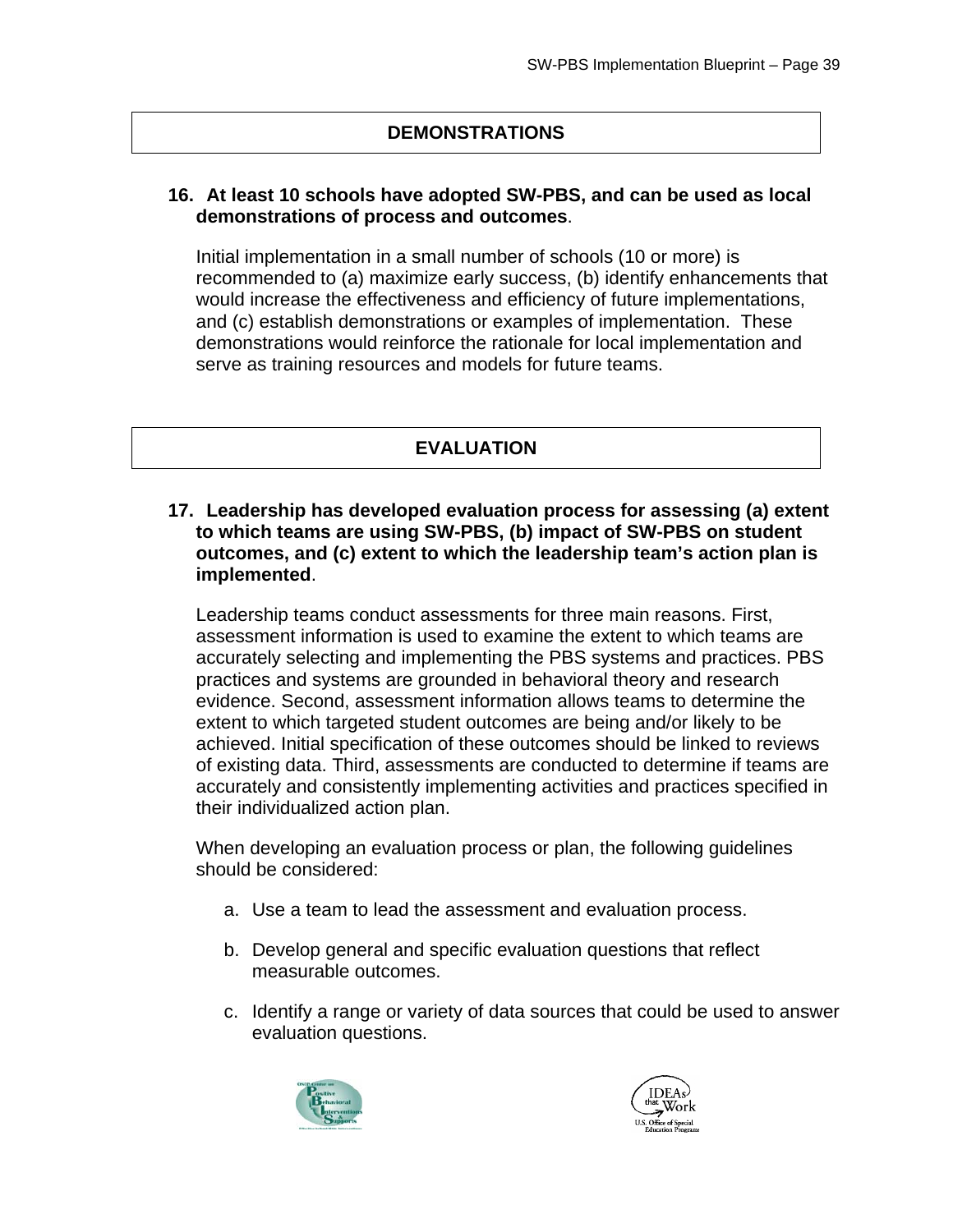#### **DEMONSTRATIONS**

#### **16. At least 10 schools have adopted SW-PBS, and can be used as local demonstrations of process and outcomes**.

Initial implementation in a small number of schools (10 or more) is recommended to (a) maximize early success, (b) identify enhancements that would increase the effectiveness and efficiency of future implementations, and (c) establish demonstrations or examples of implementation. These demonstrations would reinforce the rationale for local implementation and serve as training resources and models for future teams.

#### **EVALUATION**

#### **17. Leadership has developed evaluation process for assessing (a) extent to which teams are using SW-PBS, (b) impact of SW-PBS on student outcomes, and (c) extent to which the leadership team's action plan is implemented**.

Leadership teams conduct assessments for three main reasons. First, assessment information is used to examine the extent to which teams are accurately selecting and implementing the PBS systems and practices. PBS practices and systems are grounded in behavioral theory and research evidence. Second, assessment information allows teams to determine the extent to which targeted student outcomes are being and/or likely to be achieved. Initial specification of these outcomes should be linked to reviews of existing data. Third, assessments are conducted to determine if teams are accurately and consistently implementing activities and practices specified in their individualized action plan.

When developing an evaluation process or plan, the following guidelines should be considered:

- a. Use a team to lead the assessment and evaluation process.
- b. Develop general and specific evaluation questions that reflect measurable outcomes.
- c. Identify a range or variety of data sources that could be used to answer evaluation questions.



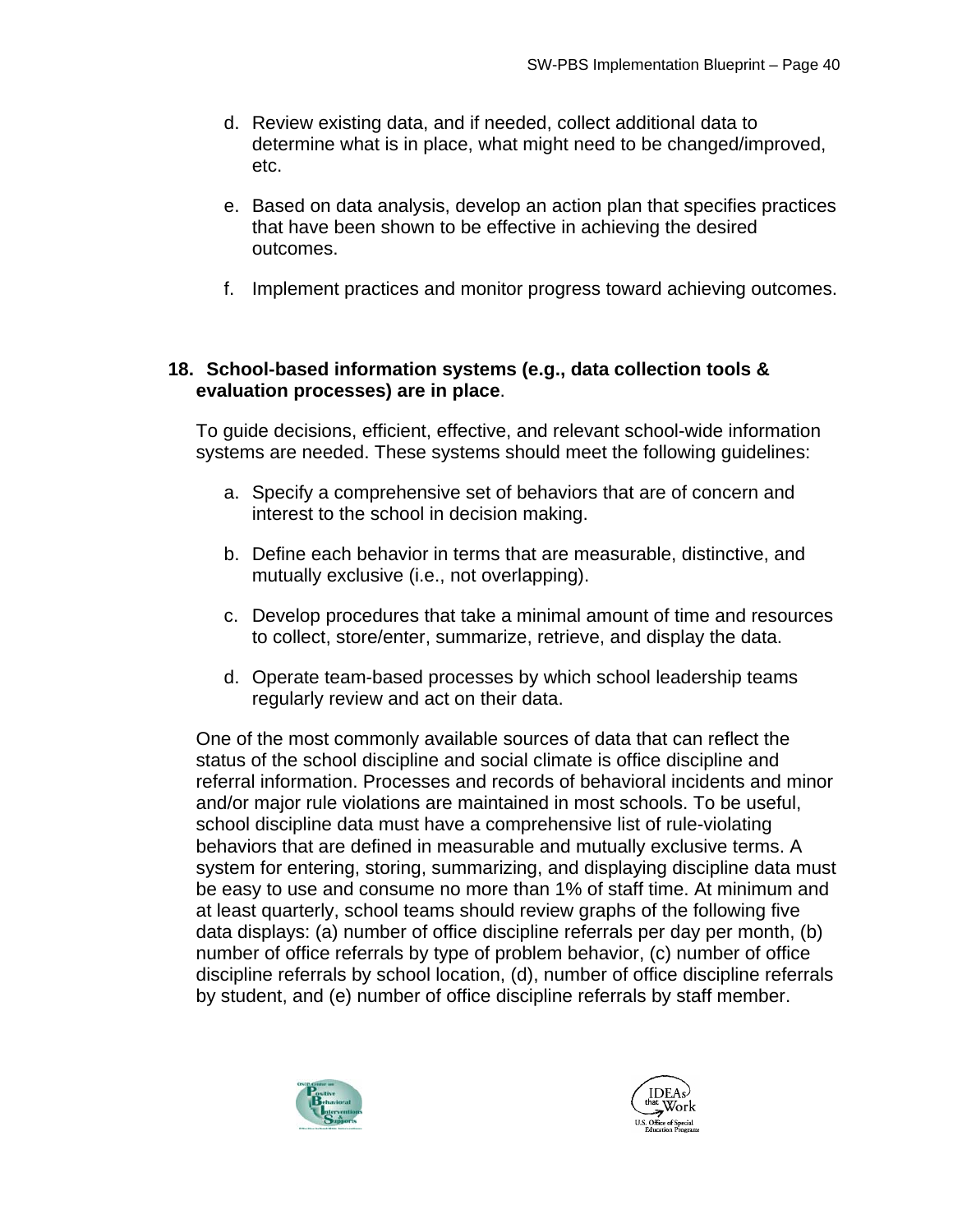- d. Review existing data, and if needed, collect additional data to determine what is in place, what might need to be changed/improved, etc.
- e. Based on data analysis, develop an action plan that specifies practices that have been shown to be effective in achieving the desired outcomes.
- f. Implement practices and monitor progress toward achieving outcomes.

#### **18. School-based information systems (e.g., data collection tools & evaluation processes) are in place**.

To guide decisions, efficient, effective, and relevant school-wide information systems are needed. These systems should meet the following guidelines:

- a. Specify a comprehensive set of behaviors that are of concern and interest to the school in decision making.
- b. Define each behavior in terms that are measurable, distinctive, and mutually exclusive (i.e., not overlapping).
- c. Develop procedures that take a minimal amount of time and resources to collect, store/enter, summarize, retrieve, and display the data.
- d. Operate team-based processes by which school leadership teams regularly review and act on their data.

One of the most commonly available sources of data that can reflect the status of the school discipline and social climate is office discipline and referral information. Processes and records of behavioral incidents and minor and/or major rule violations are maintained in most schools. To be useful, school discipline data must have a comprehensive list of rule-violating behaviors that are defined in measurable and mutually exclusive terms. A system for entering, storing, summarizing, and displaying discipline data must be easy to use and consume no more than 1% of staff time. At minimum and at least quarterly, school teams should review graphs of the following five data displays: (a) number of office discipline referrals per day per month, (b) number of office referrals by type of problem behavior, (c) number of office discipline referrals by school location, (d), number of office discipline referrals by student, and (e) number of office discipline referrals by staff member.



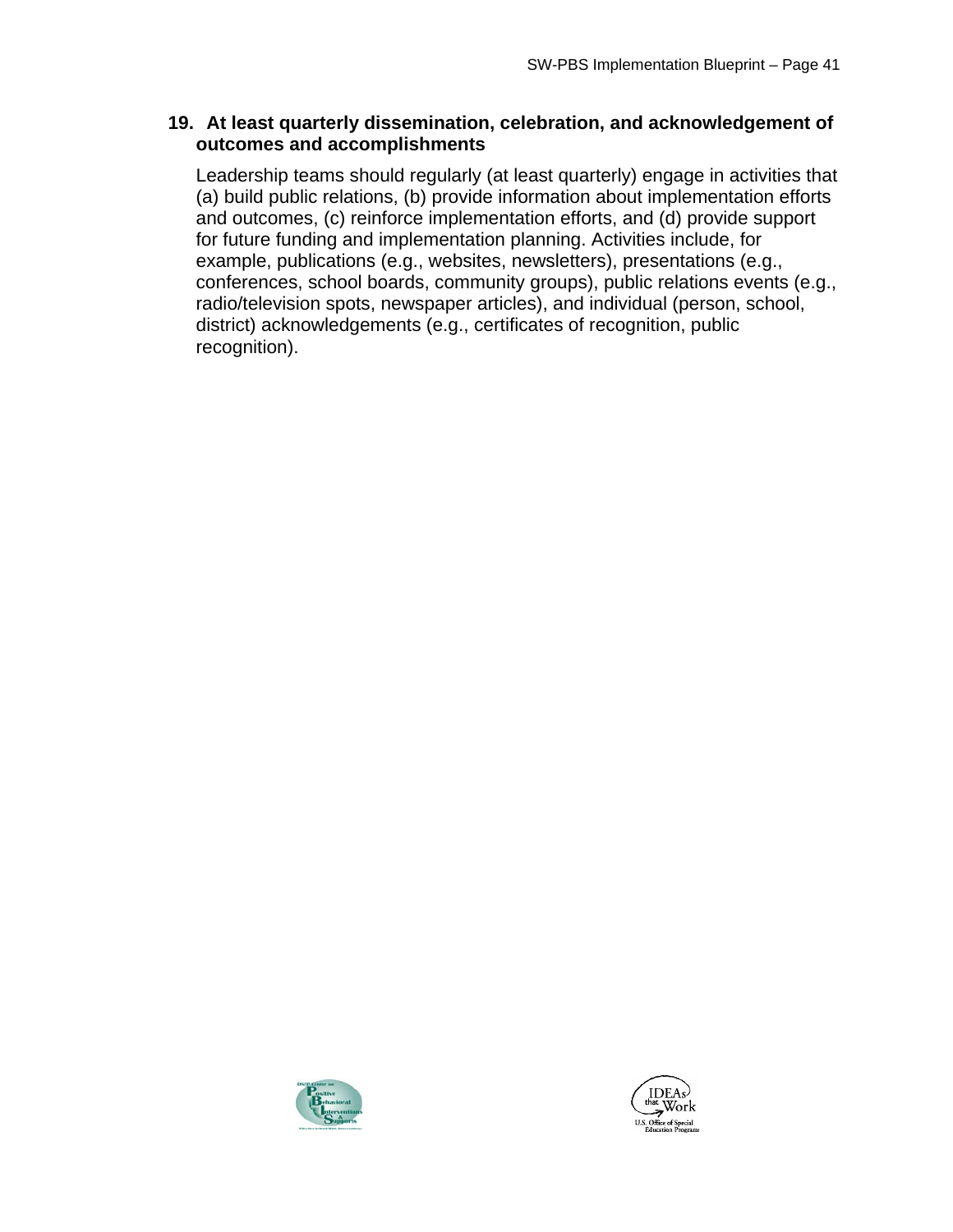#### **19. At least quarterly dissemination, celebration, and acknowledgement of outcomes and accomplishments**

Leadership teams should regularly (at least quarterly) engage in activities that (a) build public relations, (b) provide information about implementation efforts and outcomes, (c) reinforce implementation efforts, and (d) provide support for future funding and implementation planning. Activities include, for example, publications (e.g., websites, newsletters), presentations (e.g., conferences, school boards, community groups), public relations events (e.g., radio/television spots, newspaper articles), and individual (person, school, district) acknowledgements (e.g., certificates of recognition, public recognition).



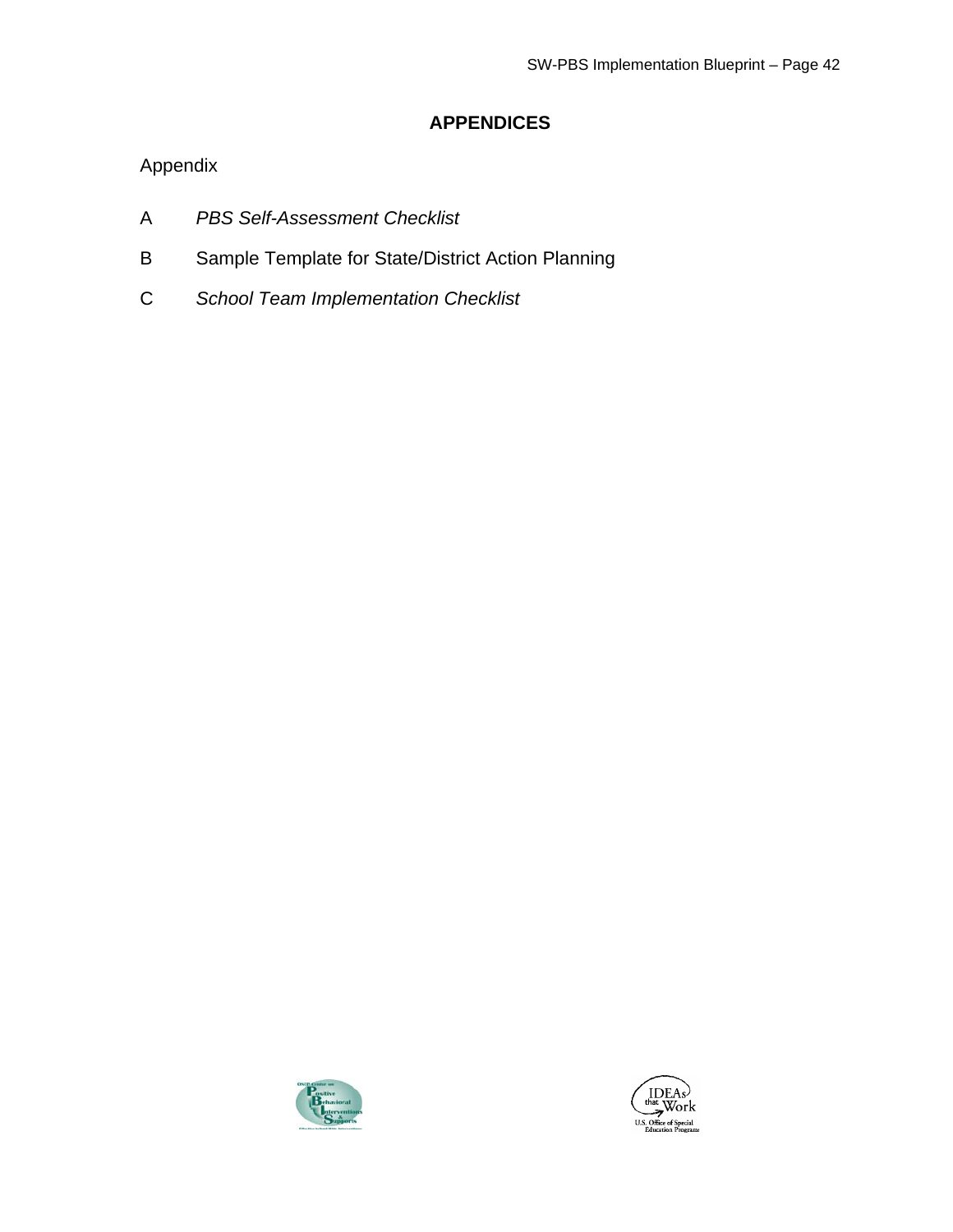## **APPENDICES**

## Appendix

- A *PBS Self-Assessment Checklist*
- B Sample Template for State/District Action Planning
- C *School Team Implementation Checklist*



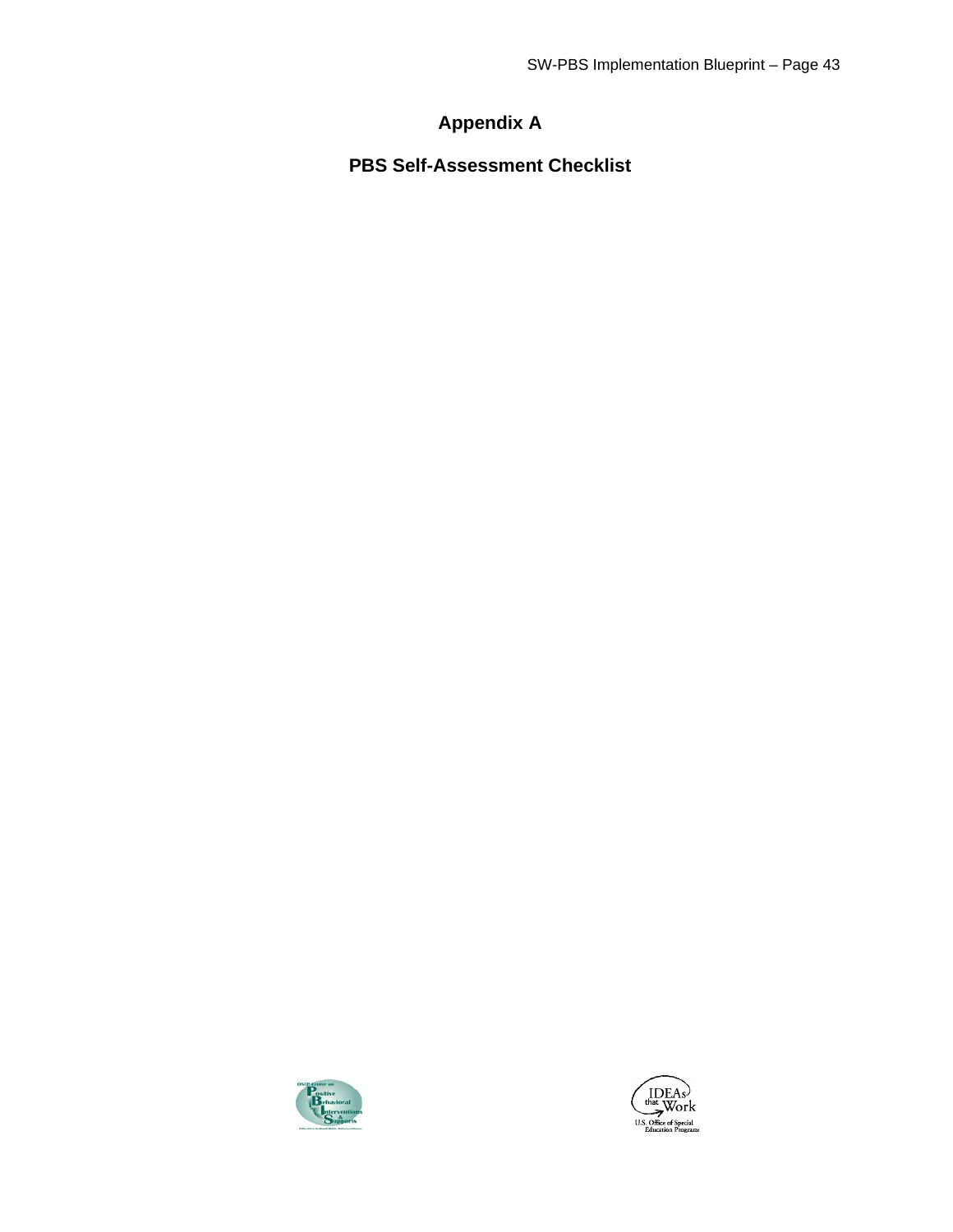# **Appendix A**

**PBS Self-Assessment Checklist** 



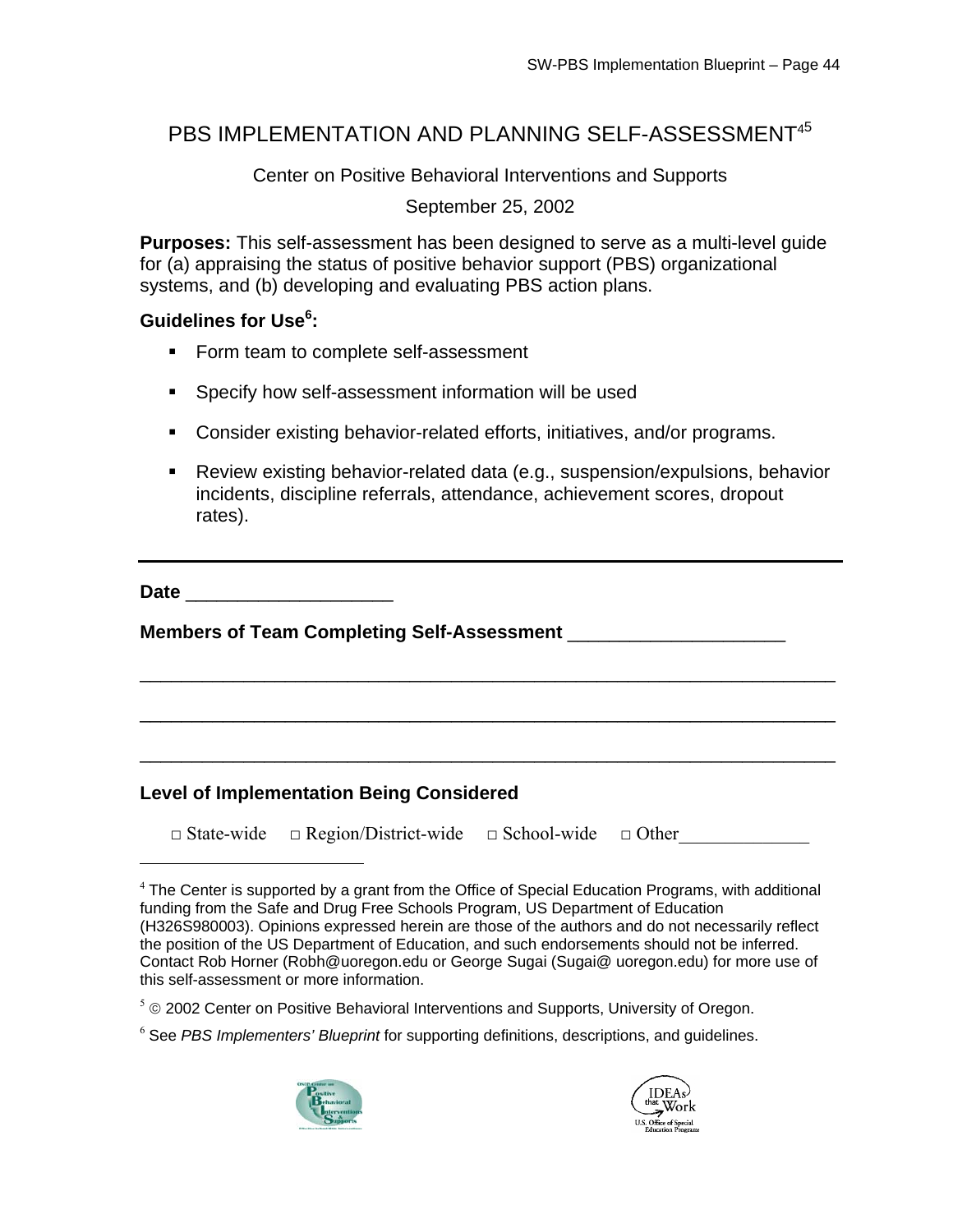## PBS IMPLEMENTATION AND PLANNING SELF-ASSESSMENT<sup>45</sup>

Center on Positive Behavioral Interventions and Supports

September 25, 2002

**Purposes:** This self-assessment has been designed to serve as a multi-level guide for (a) appraising the status of positive behavior support (PBS) organizational systems, and (b) developing and evaluating PBS action plans.

## Guidelines for Use<sup>6</sup>:

- Form team to complete self-assessment
- **Specify how self-assessment information will be used**
- Consider existing behavior-related efforts, initiatives, and/or programs.
- Review existing behavior-related data (e.g., suspension/expulsions, behavior incidents, discipline referrals, attendance, achievement scores, dropout rates).

**Date** \_\_\_\_\_\_\_\_\_\_\_\_\_\_\_\_\_\_\_\_

 $\overline{a}$ 

**Members of Team Completing Self-Assessment** \_\_\_\_\_\_\_\_\_\_\_\_\_\_\_\_\_\_\_\_\_

## **Level of Implementation Being Considered**

□ State-wide □ Region/District-wide □ School-wide □ Other

\_\_\_\_\_\_\_\_\_\_\_\_\_\_\_\_\_\_\_\_\_\_\_\_\_\_\_\_\_\_\_\_\_\_\_\_\_\_\_\_\_\_\_\_\_\_\_\_\_\_\_\_\_\_\_\_\_\_\_\_\_\_\_\_\_\_\_

\_\_\_\_\_\_\_\_\_\_\_\_\_\_\_\_\_\_\_\_\_\_\_\_\_\_\_\_\_\_\_\_\_\_\_\_\_\_\_\_\_\_\_\_\_\_\_\_\_\_\_\_\_\_\_\_\_\_\_\_\_\_\_\_\_\_\_

\_\_\_\_\_\_\_\_\_\_\_\_\_\_\_\_\_\_\_\_\_\_\_\_\_\_\_\_\_\_\_\_\_\_\_\_\_\_\_\_\_\_\_\_\_\_\_\_\_\_\_\_\_\_\_\_\_\_\_\_\_\_\_\_\_\_\_

<sup>6</sup> See *PBS Implementers' Blueprint* for supporting definitions, descriptions, and guidelines.





 $4$  The Center is supported by a grant from the Office of Special Education Programs, with additional funding from the Safe and Drug Free Schools Program, US Department of Education (H326S980003). Opinions expressed herein are those of the authors and do not necessarily reflect the position of the US Department of Education, and such endorsements should not be inferred. Contact Rob Horner [\(Robh@uoregon.edu](mailto:Robh@uoregon.edu) or George Sugai ([Sugai@ uoregon.edu](mailto:Sugai@uoregon.edu)) for more use of this self-assessment or more information.

 $5 \circ$  2002 Center on Positive Behavioral Interventions and Supports, University of Oregon.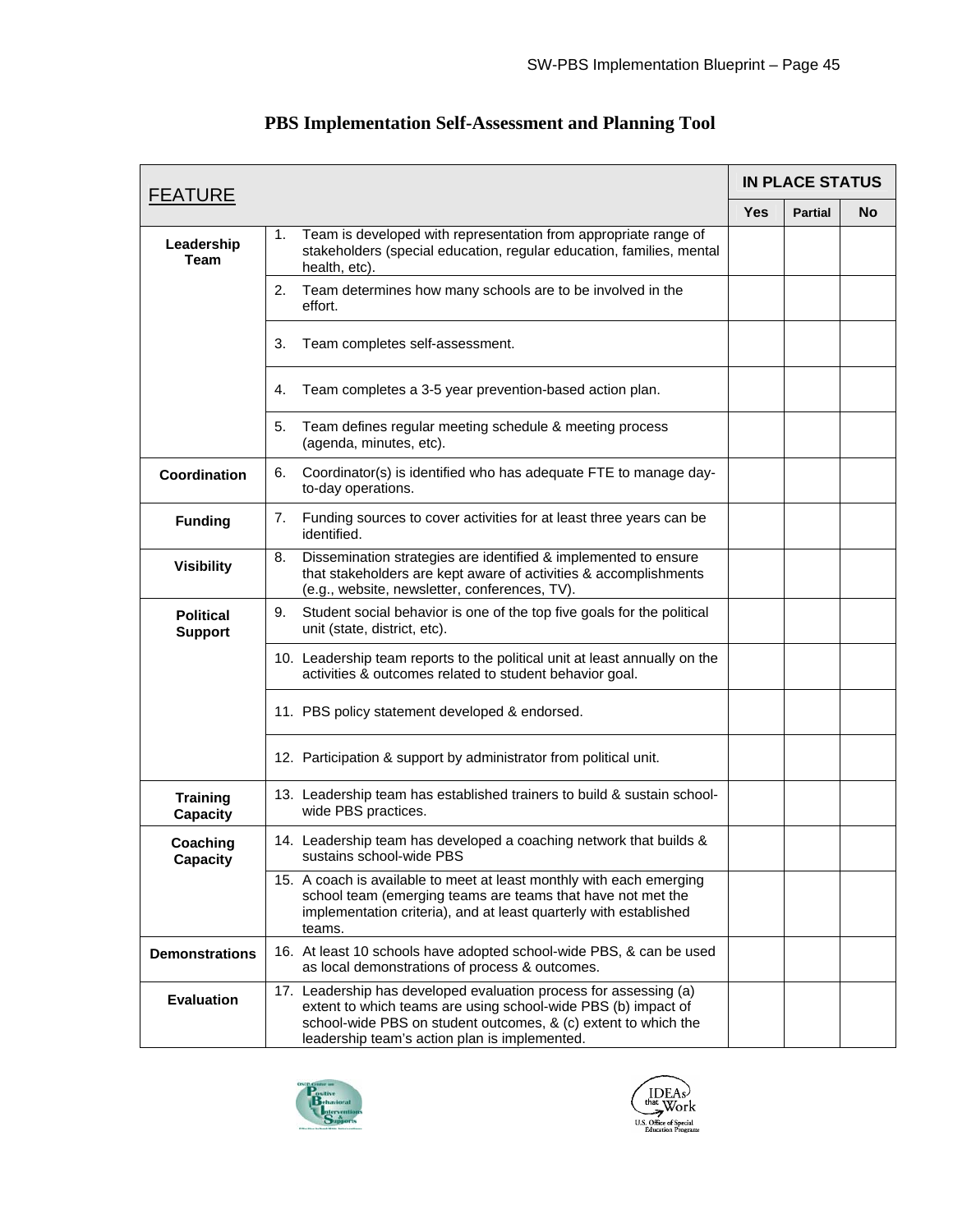| <b>FEATURE</b>                     |                                                                                                                                                                                                                                                       |            | <b>IN PLACE STATUS</b> |    |
|------------------------------------|-------------------------------------------------------------------------------------------------------------------------------------------------------------------------------------------------------------------------------------------------------|------------|------------------------|----|
|                                    |                                                                                                                                                                                                                                                       | <b>Yes</b> | <b>Partial</b>         | No |
| Leadership<br><b>Team</b>          | Team is developed with representation from appropriate range of<br>1.<br>stakeholders (special education, regular education, families, mental<br>health, etc).                                                                                        |            |                        |    |
|                                    | 2.<br>Team determines how many schools are to be involved in the<br>effort.                                                                                                                                                                           |            |                        |    |
|                                    | Team completes self-assessment.<br>3.                                                                                                                                                                                                                 |            |                        |    |
|                                    | Team completes a 3-5 year prevention-based action plan.<br>4.                                                                                                                                                                                         |            |                        |    |
|                                    | 5.<br>Team defines regular meeting schedule & meeting process<br>(agenda, minutes, etc).                                                                                                                                                              |            |                        |    |
| Coordination                       | Coordinator(s) is identified who has adequate FTE to manage day-<br>6.<br>to-day operations.                                                                                                                                                          |            |                        |    |
| <b>Funding</b>                     | 7.<br>Funding sources to cover activities for at least three years can be<br>identified.                                                                                                                                                              |            |                        |    |
| <b>Visibility</b>                  | Dissemination strategies are identified & implemented to ensure<br>8.<br>that stakeholders are kept aware of activities & accomplishments<br>(e.g., website, newsletter, conferences, TV).                                                            |            |                        |    |
| <b>Political</b><br><b>Support</b> | Student social behavior is one of the top five goals for the political<br>9.<br>unit (state, district, etc).                                                                                                                                          |            |                        |    |
|                                    | 10. Leadership team reports to the political unit at least annually on the<br>activities & outcomes related to student behavior goal.                                                                                                                 |            |                        |    |
|                                    | 11. PBS policy statement developed & endorsed.                                                                                                                                                                                                        |            |                        |    |
|                                    | 12. Participation & support by administrator from political unit.                                                                                                                                                                                     |            |                        |    |
| <b>Training</b><br><b>Capacity</b> | 13. Leadership team has established trainers to build & sustain school-<br>wide PBS practices.                                                                                                                                                        |            |                        |    |
| Coaching<br><b>Capacity</b>        | 14. Leadership team has developed a coaching network that builds &<br>sustains school-wide PBS                                                                                                                                                        |            |                        |    |
|                                    | 15. A coach is available to meet at least monthly with each emerging<br>school team (emerging teams are teams that have not met the<br>implementation criteria), and at least quarterly with established<br>teams.                                    |            |                        |    |
| <b>Demonstrations</b>              | 16. At least 10 schools have adopted school-wide PBS, & can be used<br>as local demonstrations of process & outcomes.                                                                                                                                 |            |                        |    |
| <b>Evaluation</b>                  | 17. Leadership has developed evaluation process for assessing (a)<br>extent to which teams are using school-wide PBS (b) impact of<br>school-wide PBS on student outcomes, & (c) extent to which the<br>leadership team's action plan is implemented. |            |                        |    |

## **PBS Implementation Self-Assessment and Planning Tool**



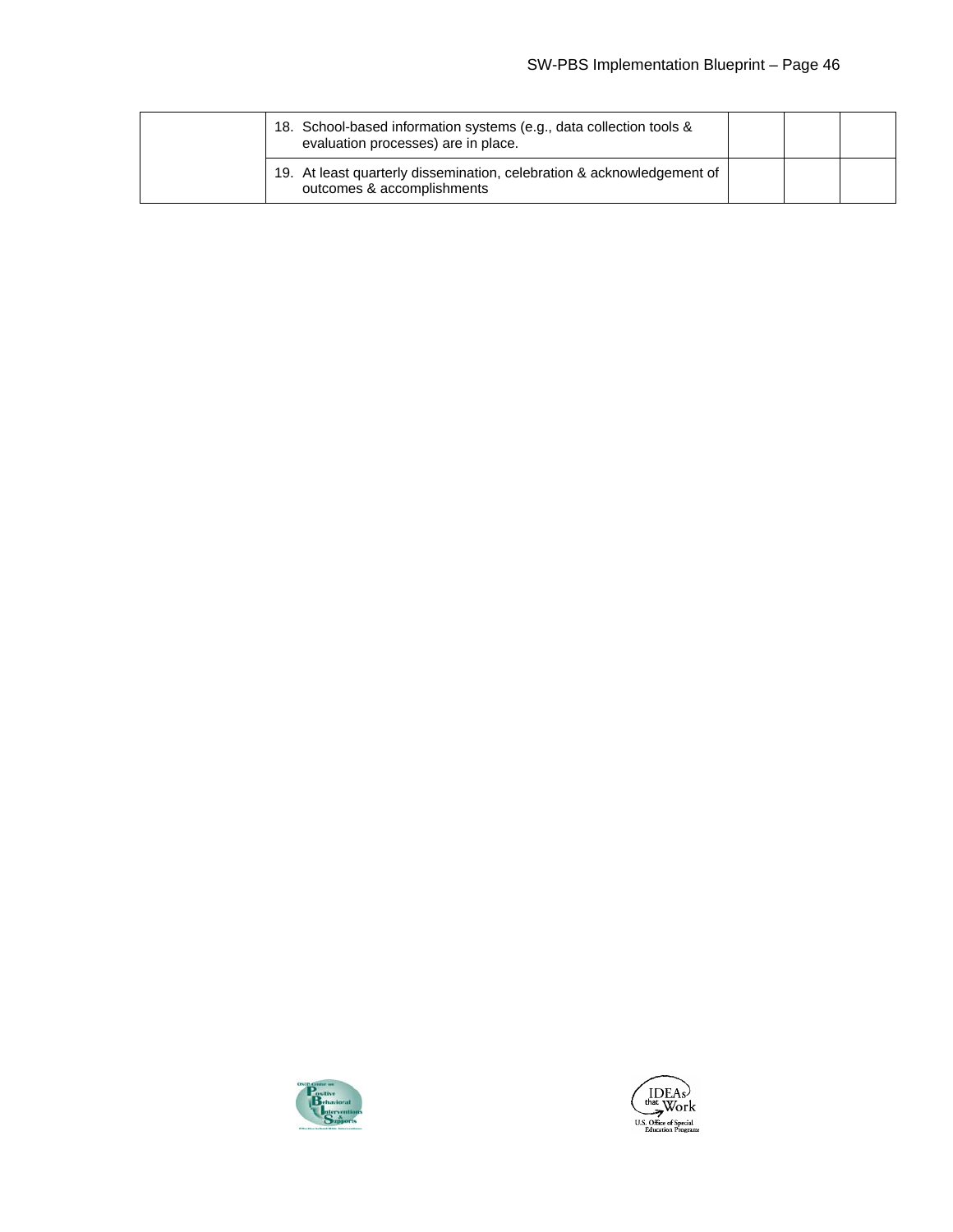|  | 18. School-based information systems (e.g., data collection tools &<br>evaluation processes) are in place. |  |  |
|--|------------------------------------------------------------------------------------------------------------|--|--|
|  | 19. At least quarterly dissemination, celebration & acknowledgement of<br>outcomes & accomplishments       |  |  |



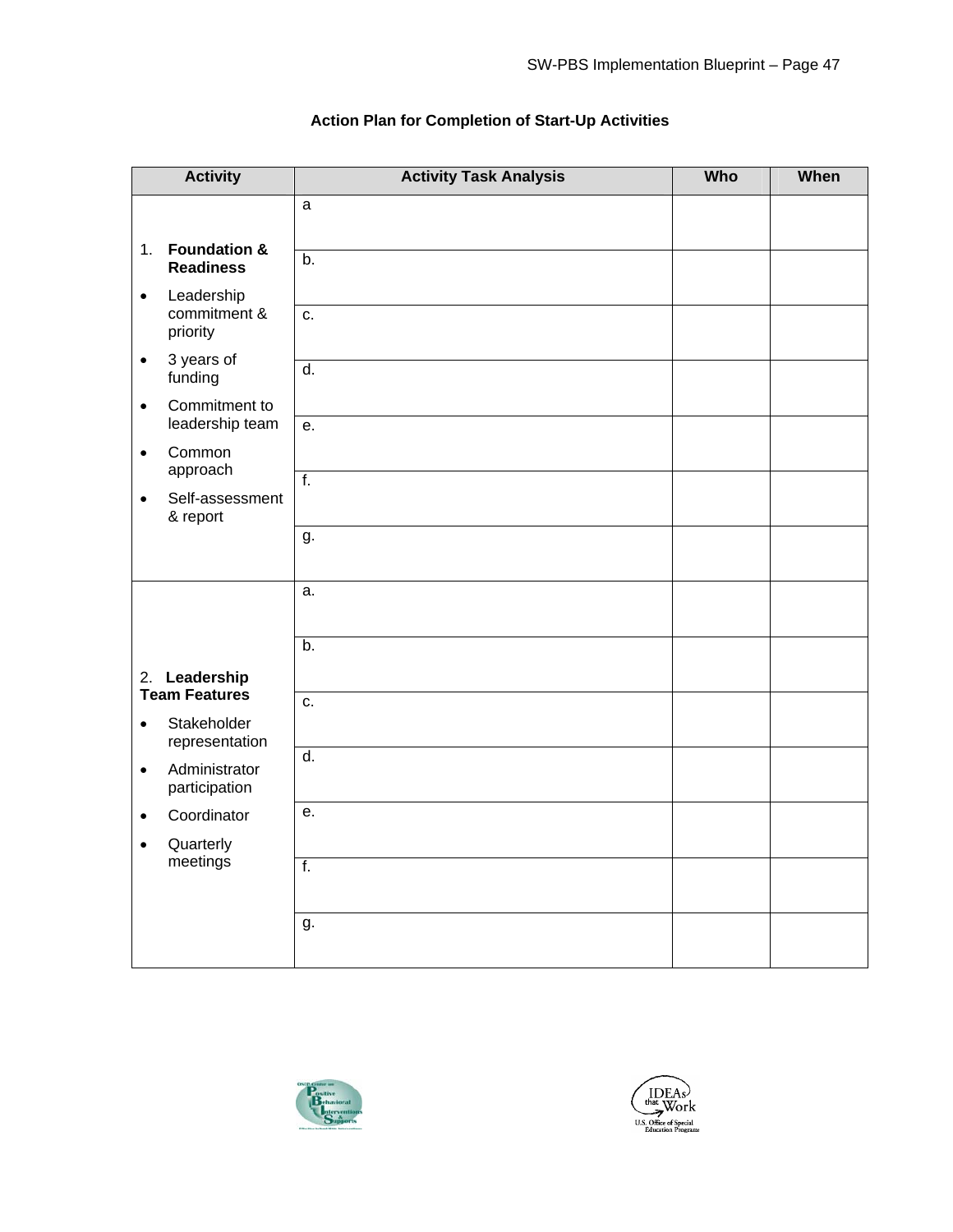| <b>Activity</b>                                                    | <b>Activity Task Analysis</b> | Who | When |
|--------------------------------------------------------------------|-------------------------------|-----|------|
|                                                                    | a                             |     |      |
| <b>Foundation &amp;</b><br>1.<br><b>Readiness</b>                  | $\overline{b}$ .              |     |      |
| Leadership<br>$\bullet$<br>commitment &<br>priority                | c.                            |     |      |
| 3 years of<br>$\bullet$<br>funding                                 | $\overline{d}$ .              |     |      |
| Commitment to<br>$\bullet$<br>leadership team                      | е.                            |     |      |
| Common<br>$\bullet$<br>approach                                    |                               |     |      |
| Self-assessment<br>$\bullet$<br>& report                           | $\overline{f}$ .              |     |      |
|                                                                    | g.                            |     |      |
|                                                                    | a.                            |     |      |
| 2. Leadership                                                      | b.                            |     |      |
| <b>Team Features</b><br>Stakeholder<br>$\bullet$<br>representation | c.                            |     |      |
| Administrator<br>$\bullet$<br>participation                        | $\overline{d}$ .              |     |      |
| Coordinator<br>$\bullet$<br>Quarterly<br>$\bullet$                 | е.                            |     |      |
| meetings                                                           | $\overline{f}$ .              |     |      |
|                                                                    | g.                            |     |      |

#### **Action Plan for Completion of Start-Up Activities**



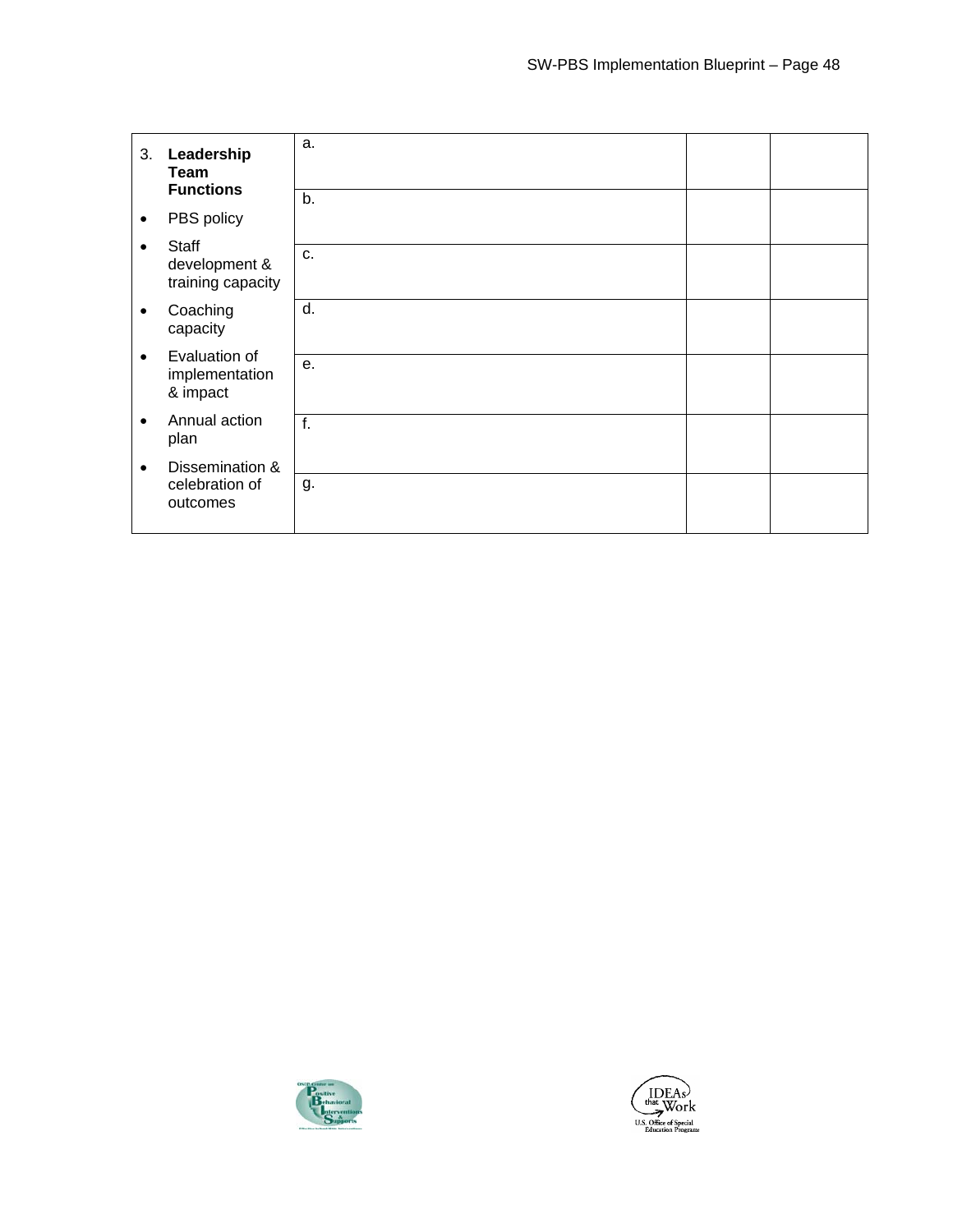| 3.        | Leadership<br>Team<br><b>Functions</b>             | a.           |  |
|-----------|----------------------------------------------------|--------------|--|
| $\bullet$ | PBS policy                                         | b.           |  |
|           |                                                    |              |  |
|           | <b>Staff</b><br>development &<br>training capacity | C.           |  |
| $\bullet$ | Coaching<br>capacity                               | d.           |  |
| $\bullet$ | Evaluation of<br>implementation<br>& impact        | e.           |  |
| $\bullet$ | Annual action<br>plan                              | $f_{\rm{r}}$ |  |
| ٠         | Dissemination &                                    |              |  |
|           | celebration of<br>outcomes                         | g.           |  |



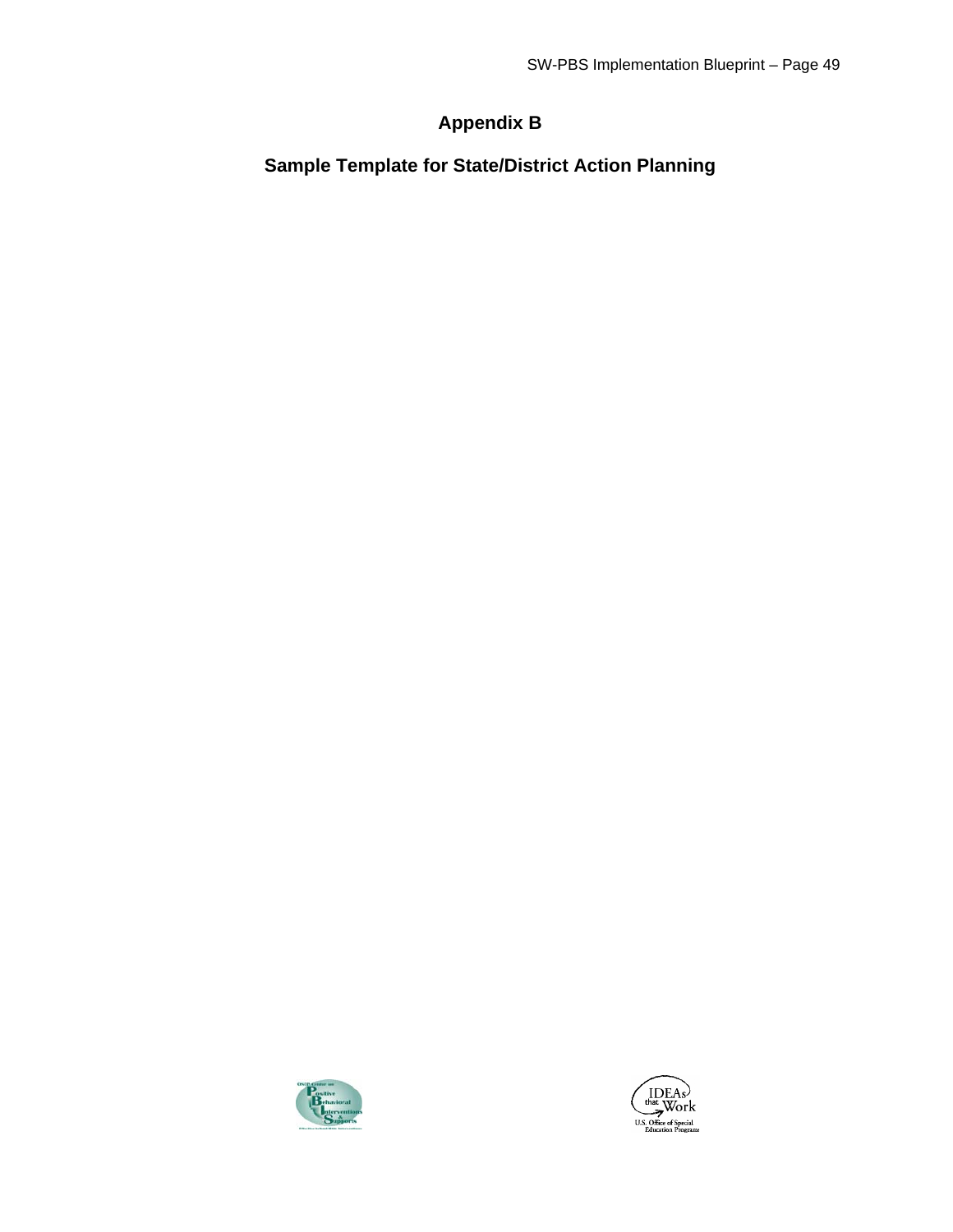## **Appendix B**

**Sample Template for State/District Action Planning** 



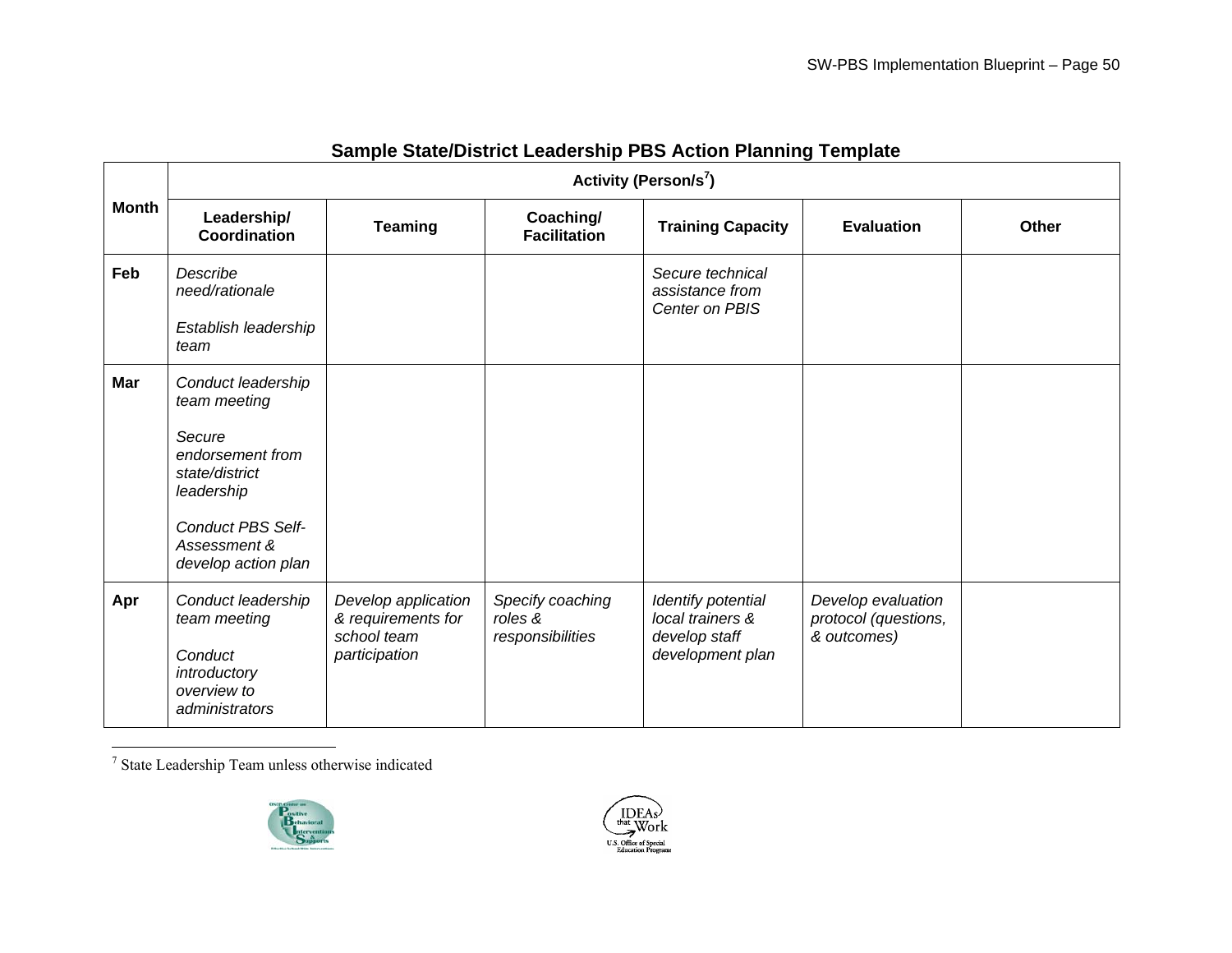|              | Activity (Person/s <sup>7</sup> )                                                              |                                                                           |                                                 |                                                                             |                                                           |              |
|--------------|------------------------------------------------------------------------------------------------|---------------------------------------------------------------------------|-------------------------------------------------|-----------------------------------------------------------------------------|-----------------------------------------------------------|--------------|
| <b>Month</b> | Leadership/<br>Coordination                                                                    | <b>Teaming</b>                                                            | Coaching/<br><b>Facilitation</b>                | <b>Training Capacity</b>                                                    | <b>Evaluation</b>                                         | <b>Other</b> |
| Feb          | Describe<br>need/rationale<br>Establish leadership                                             |                                                                           |                                                 | Secure technical<br>assistance from<br>Center on PBIS                       |                                                           |              |
|              | team                                                                                           |                                                                           |                                                 |                                                                             |                                                           |              |
| Mar          | Conduct leadership<br>team meeting                                                             |                                                                           |                                                 |                                                                             |                                                           |              |
|              | Secure<br>endorsement from<br>state/district<br>leadership                                     |                                                                           |                                                 |                                                                             |                                                           |              |
|              | <b>Conduct PBS Self-</b><br>Assessment &<br>develop action plan                                |                                                                           |                                                 |                                                                             |                                                           |              |
| Apr          | Conduct leadership<br>team meeting<br>Conduct<br>introductory<br>overview to<br>administrators | Develop application<br>& requirements for<br>school team<br>participation | Specify coaching<br>roles &<br>responsibilities | Identify potential<br>local trainers &<br>develop staff<br>development plan | Develop evaluation<br>protocol (questions,<br>& outcomes) |              |

#### **Sample State/District Leadership PBS Action Planning Template**

 $^\mathrm{7}$  State Leadership Team unless otherwise indicated



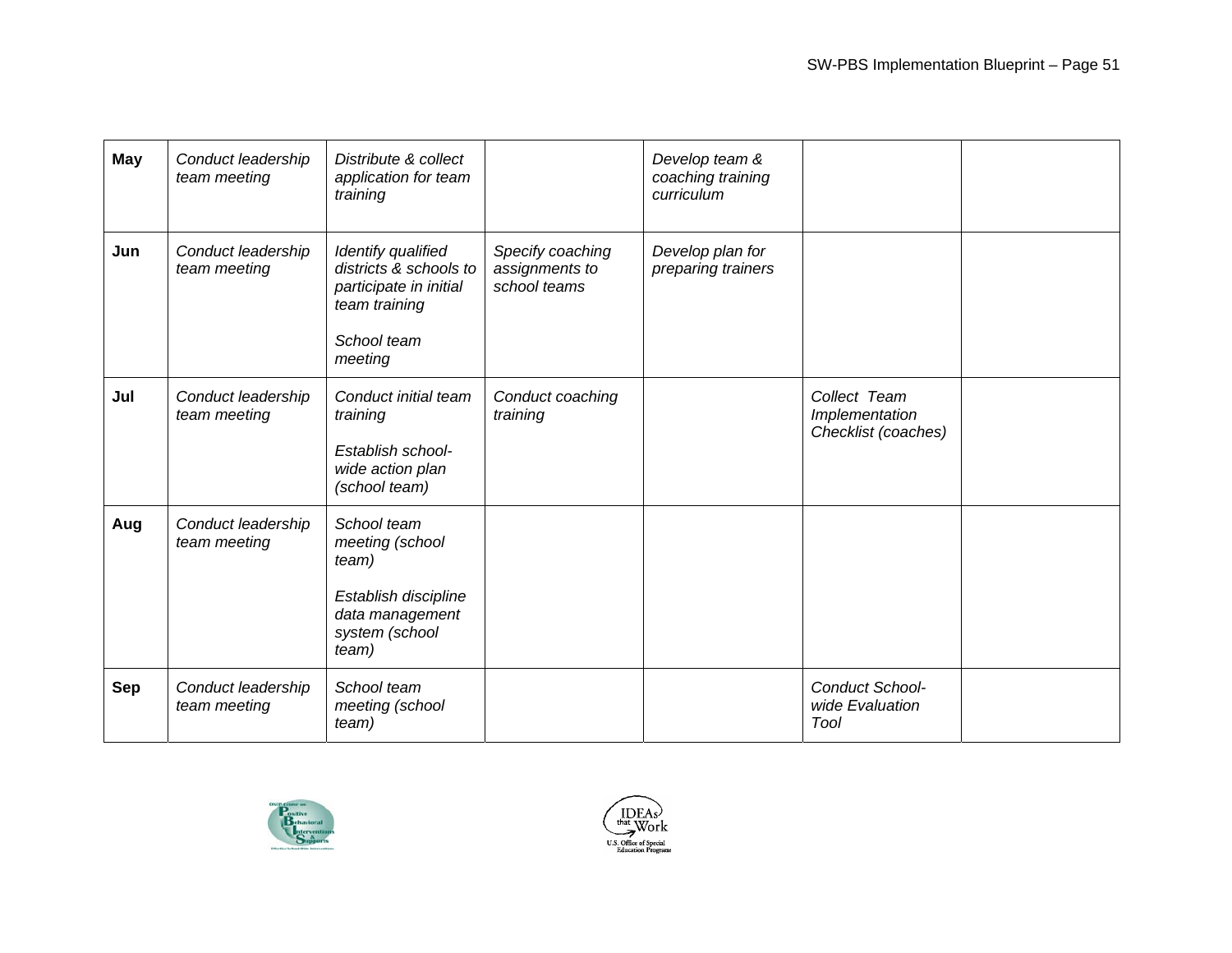| <b>May</b> | Conduct leadership<br>team meeting | Distribute & collect<br>application for team<br>training                                                          |                                                    | Develop team &<br>coaching training<br>curriculum |                                                       |  |
|------------|------------------------------------|-------------------------------------------------------------------------------------------------------------------|----------------------------------------------------|---------------------------------------------------|-------------------------------------------------------|--|
| Jun        | Conduct leadership<br>team meeting | Identify qualified<br>districts & schools to<br>participate in initial<br>team training<br>School team<br>meeting | Specify coaching<br>assignments to<br>school teams | Develop plan for<br>preparing trainers            |                                                       |  |
| Jul        | Conduct leadership<br>team meeting | Conduct initial team<br>training<br>Establish school-<br>wide action plan<br>(school team)                        | Conduct coaching<br>training                       |                                                   | Collect Team<br>Implementation<br>Checklist (coaches) |  |
| Aug        | Conduct leadership<br>team meeting | School team<br>meeting (school<br>team)<br>Establish discipline<br>data management<br>system (school<br>team)     |                                                    |                                                   |                                                       |  |
| <b>Sep</b> | Conduct leadership<br>team meeting | School team<br>meeting (school<br>team)                                                                           |                                                    |                                                   | Conduct School-<br>wide Evaluation<br>Tool            |  |



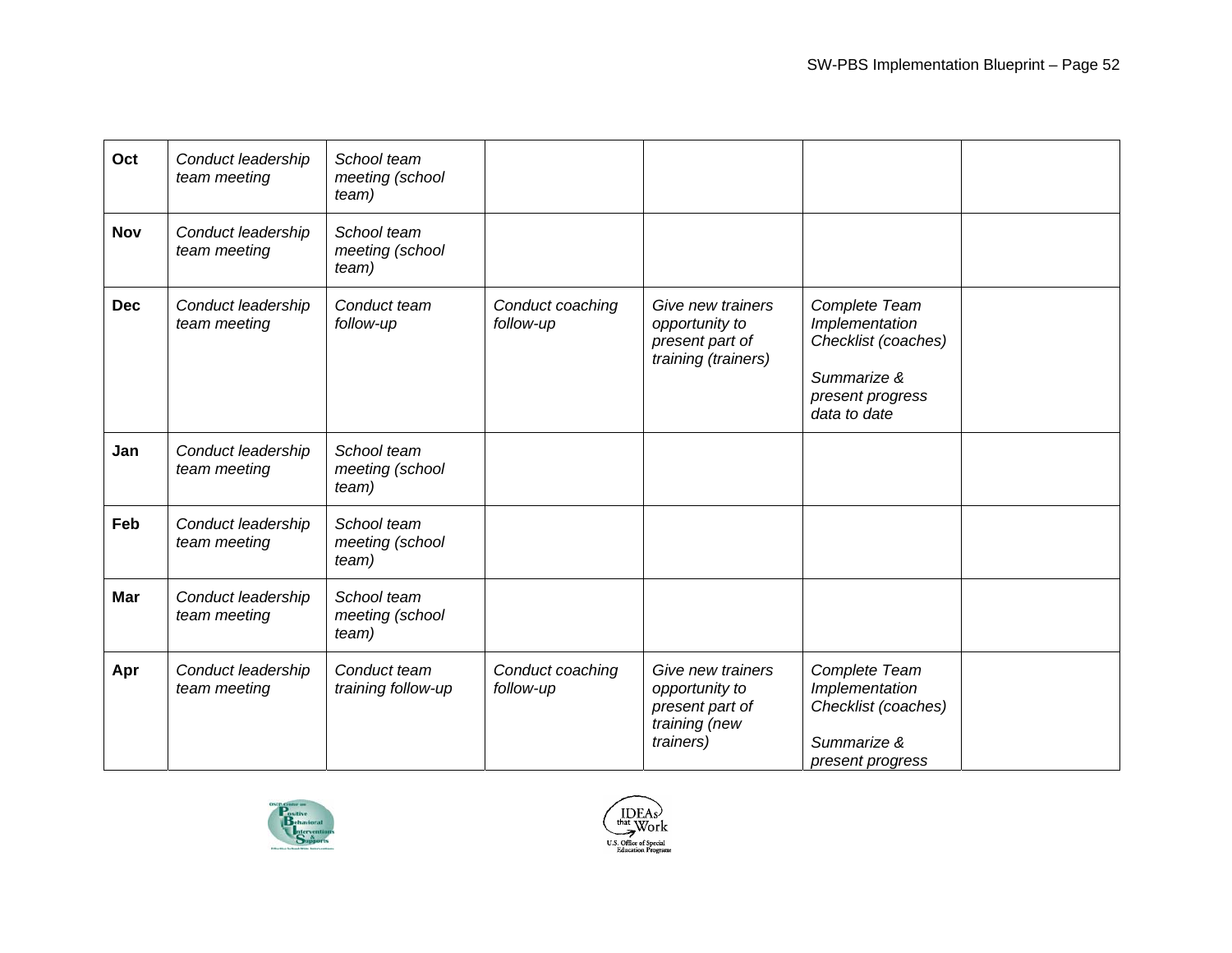| Oct        | Conduct leadership<br>team meeting | School team<br>meeting (school<br>team) |                               |                                                                                      |                                                                                                           |  |
|------------|------------------------------------|-----------------------------------------|-------------------------------|--------------------------------------------------------------------------------------|-----------------------------------------------------------------------------------------------------------|--|
| <b>Nov</b> | Conduct leadership<br>team meeting | School team<br>meeting (school<br>team) |                               |                                                                                      |                                                                                                           |  |
| <b>Dec</b> | Conduct leadership<br>team meeting | Conduct team<br>follow-up               | Conduct coaching<br>follow-up | Give new trainers<br>opportunity to<br>present part of<br>training (trainers)        | Complete Team<br>Implementation<br>Checklist (coaches)<br>Summarize &<br>present progress<br>data to date |  |
| Jan        | Conduct leadership<br>team meeting | School team<br>meeting (school<br>team) |                               |                                                                                      |                                                                                                           |  |
| Feb        | Conduct leadership<br>team meeting | School team<br>meeting (school<br>team) |                               |                                                                                      |                                                                                                           |  |
| Mar        | Conduct leadership<br>team meeting | School team<br>meeting (school<br>team) |                               |                                                                                      |                                                                                                           |  |
| Apr        | Conduct leadership<br>team meeting | Conduct team<br>training follow-up      | Conduct coaching<br>follow-up | Give new trainers<br>opportunity to<br>present part of<br>training (new<br>trainers) | Complete Team<br>Implementation<br>Checklist (coaches)<br>Summarize &<br>present progress                 |  |



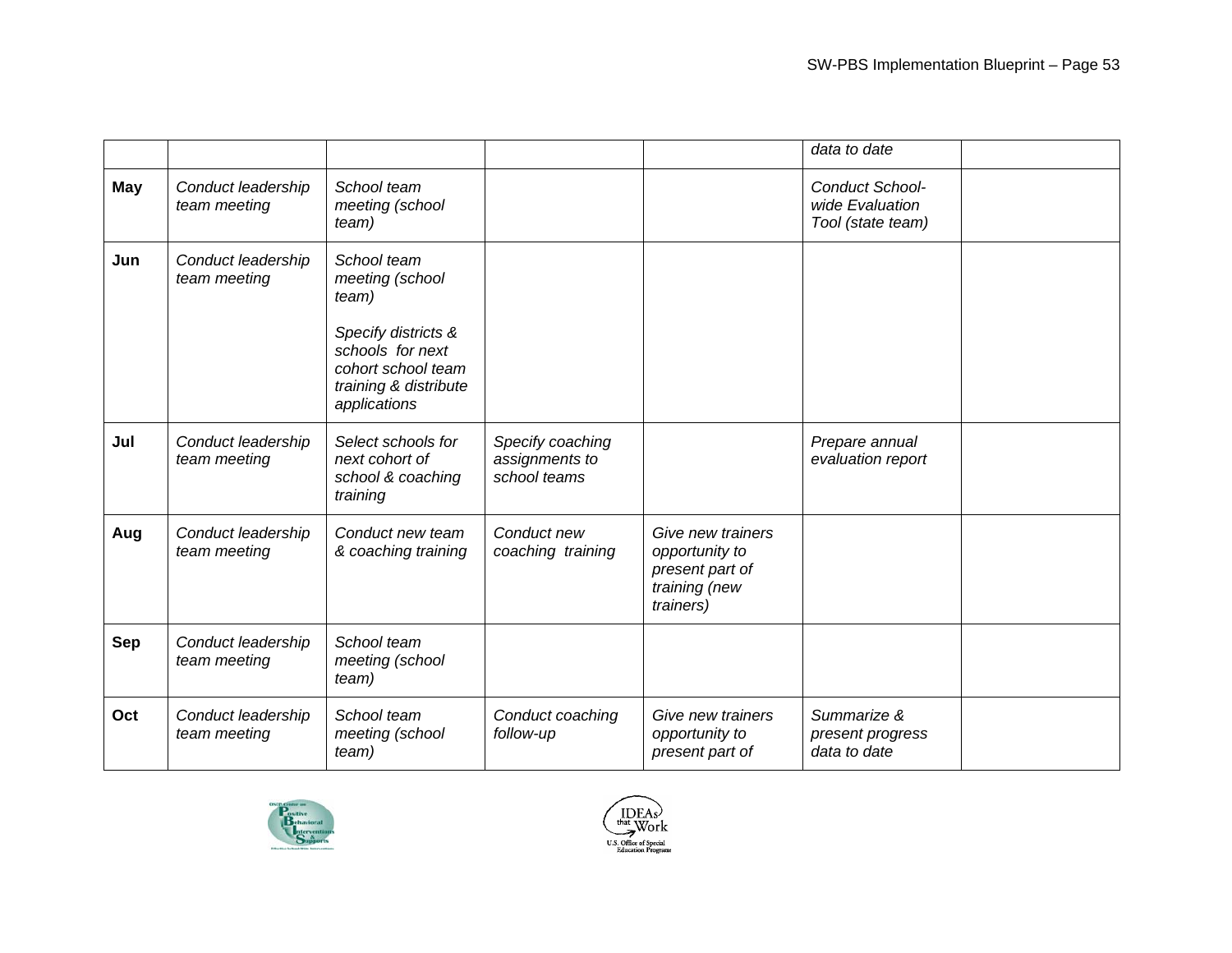|            |                                    |                                                                                                                                                   |                                                    |                                                                                      | data to date                                            |  |
|------------|------------------------------------|---------------------------------------------------------------------------------------------------------------------------------------------------|----------------------------------------------------|--------------------------------------------------------------------------------------|---------------------------------------------------------|--|
| May        | Conduct leadership<br>team meeting | School team<br>meeting (school<br>team)                                                                                                           |                                                    |                                                                                      | Conduct School-<br>wide Evaluation<br>Tool (state team) |  |
| Jun        | Conduct leadership<br>team meeting | School team<br>meeting (school<br>team)<br>Specify districts &<br>schools for next<br>cohort school team<br>training & distribute<br>applications |                                                    |                                                                                      |                                                         |  |
| Jul        | Conduct leadership<br>team meeting | Select schools for<br>next cohort of<br>school & coaching<br>training                                                                             | Specify coaching<br>assignments to<br>school teams |                                                                                      | Prepare annual<br>evaluation report                     |  |
| Aug        | Conduct leadership<br>team meeting | Conduct new team<br>& coaching training                                                                                                           | Conduct new<br>coaching training                   | Give new trainers<br>opportunity to<br>present part of<br>training (new<br>trainers) |                                                         |  |
| <b>Sep</b> | Conduct leadership<br>team meeting | School team<br>meeting (school<br>team)                                                                                                           |                                                    |                                                                                      |                                                         |  |
| Oct        | Conduct leadership<br>team meeting | School team<br>meeting (school<br>team)                                                                                                           | Conduct coaching<br>follow-up                      | Give new trainers<br>opportunity to<br>present part of                               | Summarize &<br>present progress<br>data to date         |  |



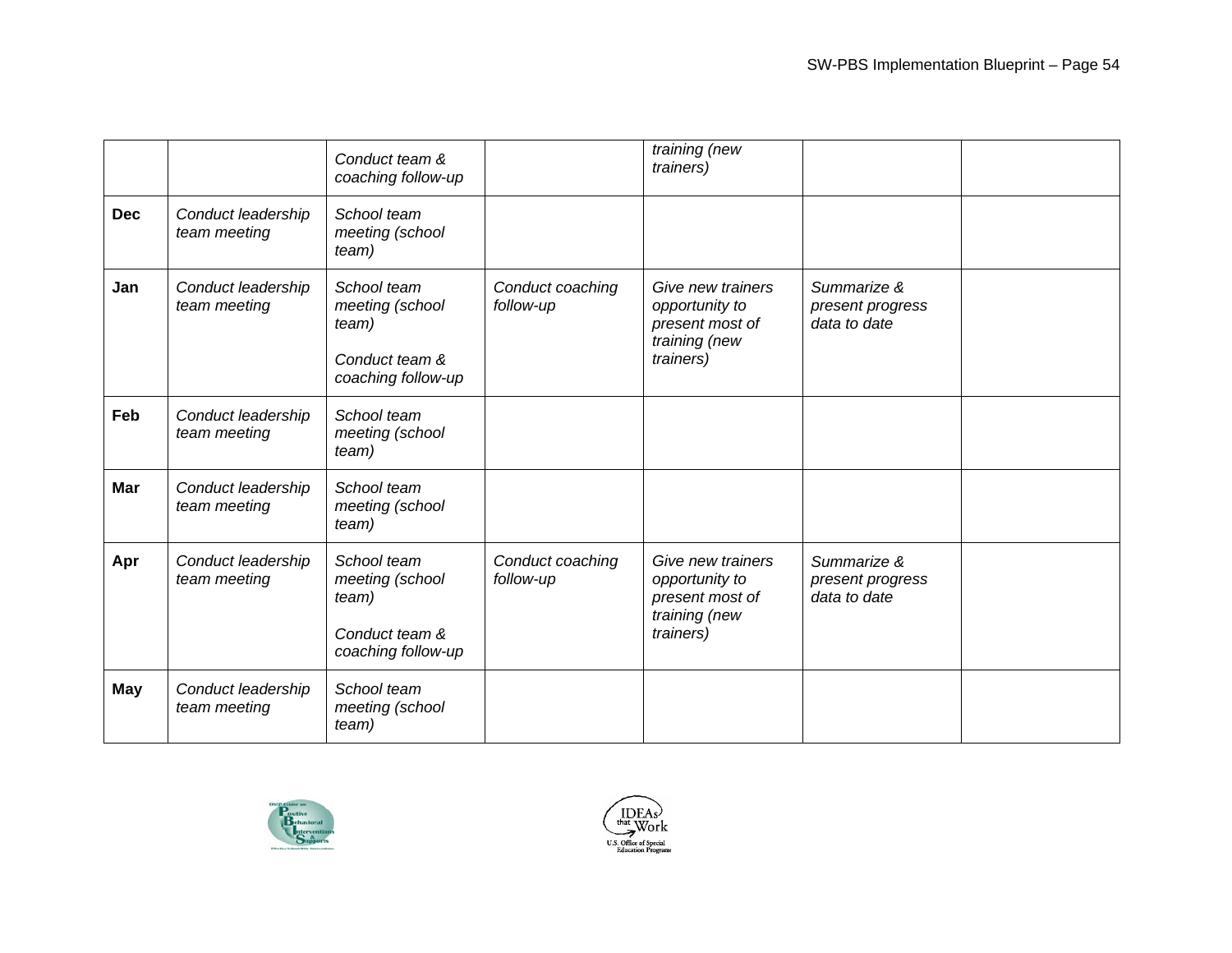|            |                                    | Conduct team &<br>coaching follow-up                                            |                               | training (new<br>trainers)                                                           |                                                 |  |
|------------|------------------------------------|---------------------------------------------------------------------------------|-------------------------------|--------------------------------------------------------------------------------------|-------------------------------------------------|--|
| <b>Dec</b> | Conduct leadership<br>team meeting | School team<br>meeting (school<br>team)                                         |                               |                                                                                      |                                                 |  |
| Jan        | Conduct leadership<br>team meeting | School team<br>meeting (school<br>team)<br>Conduct team &<br>coaching follow-up | Conduct coaching<br>follow-up | Give new trainers<br>opportunity to<br>present most of<br>training (new<br>trainers) | Summarize &<br>present progress<br>data to date |  |
| Feb        | Conduct leadership<br>team meeting | School team<br>meeting (school<br>team)                                         |                               |                                                                                      |                                                 |  |
| <b>Mar</b> | Conduct leadership<br>team meeting | School team<br>meeting (school<br>team)                                         |                               |                                                                                      |                                                 |  |
| Apr        | Conduct leadership<br>team meeting | School team<br>meeting (school<br>team)<br>Conduct team &<br>coaching follow-up | Conduct coaching<br>follow-up | Give new trainers<br>opportunity to<br>present most of<br>training (new<br>trainers) | Summarize &<br>present progress<br>data to date |  |
| <b>May</b> | Conduct leadership<br>team meeting | School team<br>meeting (school<br>team)                                         |                               |                                                                                      |                                                 |  |



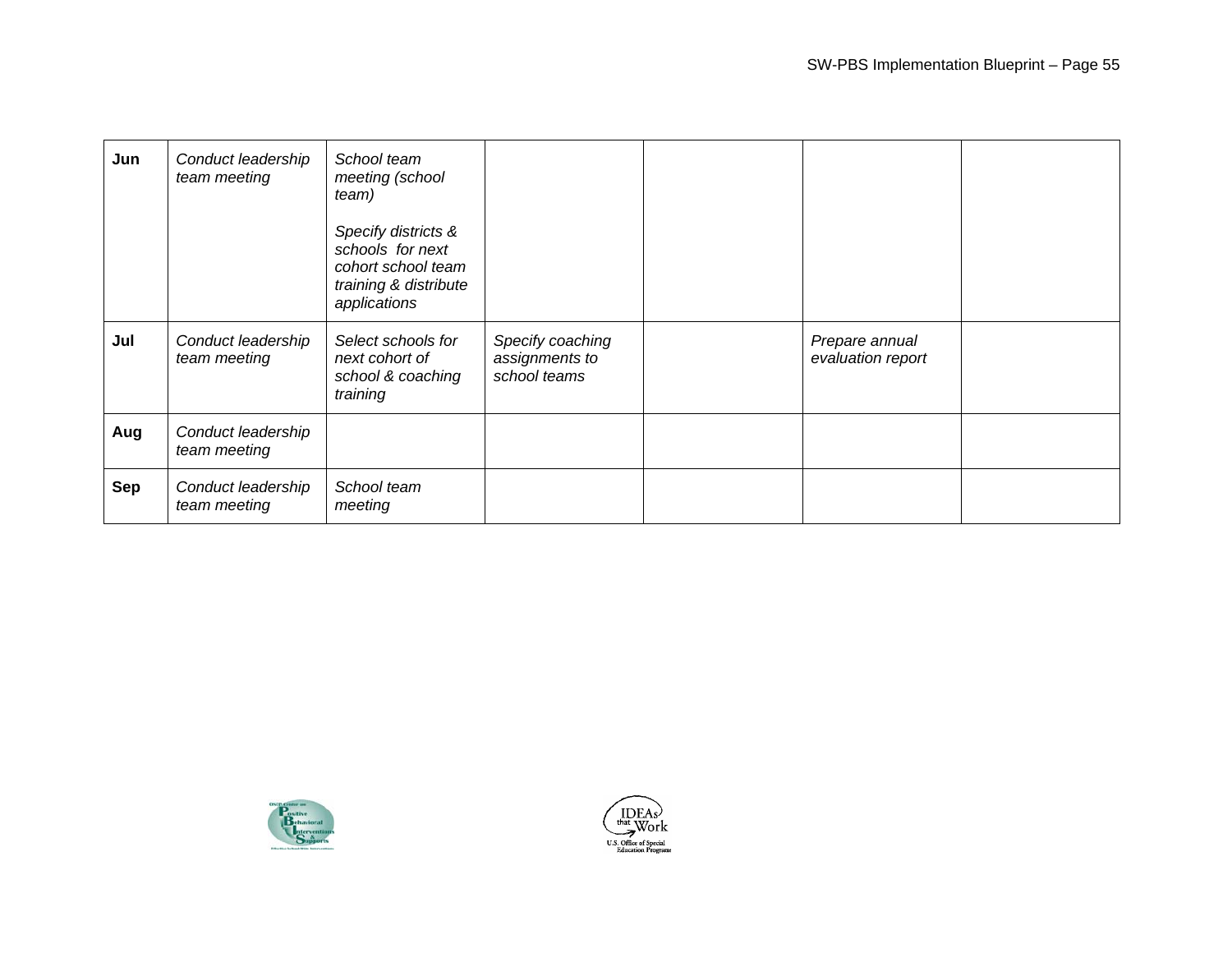| Jun        | Conduct leadership<br>team meeting | School team<br>meeting (school<br>team)<br>Specify districts &<br>schools for next<br>cohort school team<br>training & distribute<br>applications |                                                    |                                     |  |
|------------|------------------------------------|---------------------------------------------------------------------------------------------------------------------------------------------------|----------------------------------------------------|-------------------------------------|--|
| Jul        | Conduct leadership<br>team meeting | Select schools for<br>next cohort of<br>school & coaching<br>training                                                                             | Specify coaching<br>assignments to<br>school teams | Prepare annual<br>evaluation report |  |
| Aug        | Conduct leadership<br>team meeting |                                                                                                                                                   |                                                    |                                     |  |
| <b>Sep</b> | Conduct leadership<br>team meeting | School team<br>meeting                                                                                                                            |                                                    |                                     |  |



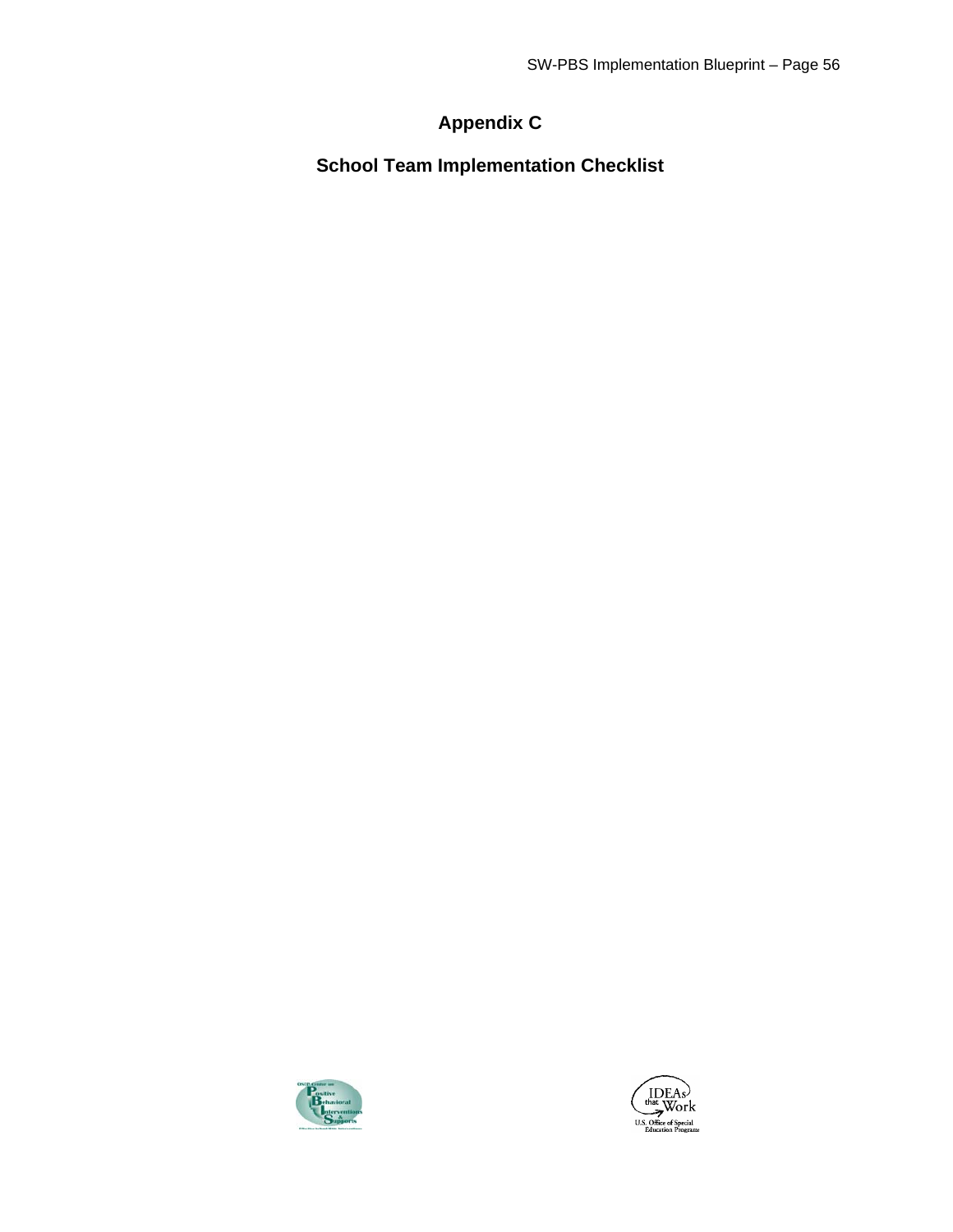# **Appendix C**

**School Team Implementation Checklist** 



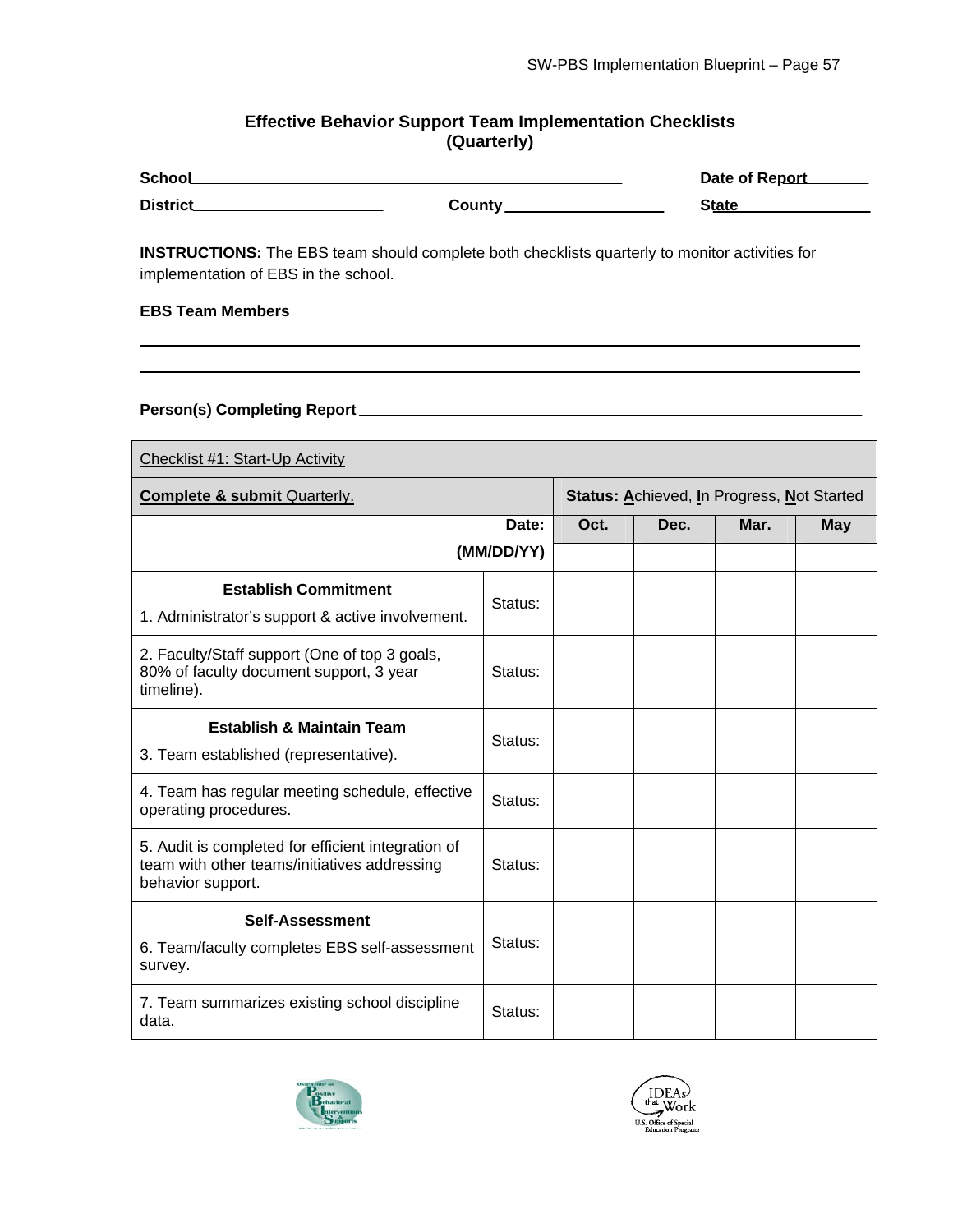#### **Effective Behavior Support Team Implementation Checklists (Quarterly)**

| <b>School</b>   |        | Date of Report |
|-----------------|--------|----------------|
| <b>District</b> | County | <b>State</b>   |

**INSTRUCTIONS:** The EBS team should complete both checklists quarterly to monitor activities for implementation of EBS in the school.

**EBS Team Members** 

#### **Person(s) Completing Report**

| Checklist #1: Start-Up Activity                                                                                         |                                                   |      |      |      |            |  |  |
|-------------------------------------------------------------------------------------------------------------------------|---------------------------------------------------|------|------|------|------------|--|--|
| <b>Complete &amp; submit Quarterly.</b>                                                                                 | <b>Status: Achieved, In Progress, Not Started</b> |      |      |      |            |  |  |
|                                                                                                                         | Date:                                             | Oct. | Dec. | Mar. | <b>May</b> |  |  |
|                                                                                                                         | (MM/DD/YY)                                        |      |      |      |            |  |  |
| <b>Establish Commitment</b><br>1. Administrator's support & active involvement.                                         | Status:                                           |      |      |      |            |  |  |
| 2. Faculty/Staff support (One of top 3 goals,<br>80% of faculty document support, 3 year<br>timeline).                  | Status:                                           |      |      |      |            |  |  |
| <b>Establish &amp; Maintain Team</b><br>3. Team established (representative).                                           | Status:                                           |      |      |      |            |  |  |
| 4. Team has regular meeting schedule, effective<br>operating procedures.                                                | Status:                                           |      |      |      |            |  |  |
| 5. Audit is completed for efficient integration of<br>team with other teams/initiatives addressing<br>behavior support. | Status:                                           |      |      |      |            |  |  |
| <b>Self-Assessment</b><br>6. Team/faculty completes EBS self-assessment<br>survey.                                      | Status:                                           |      |      |      |            |  |  |
| 7. Team summarizes existing school discipline<br>data.                                                                  | Status:                                           |      |      |      |            |  |  |



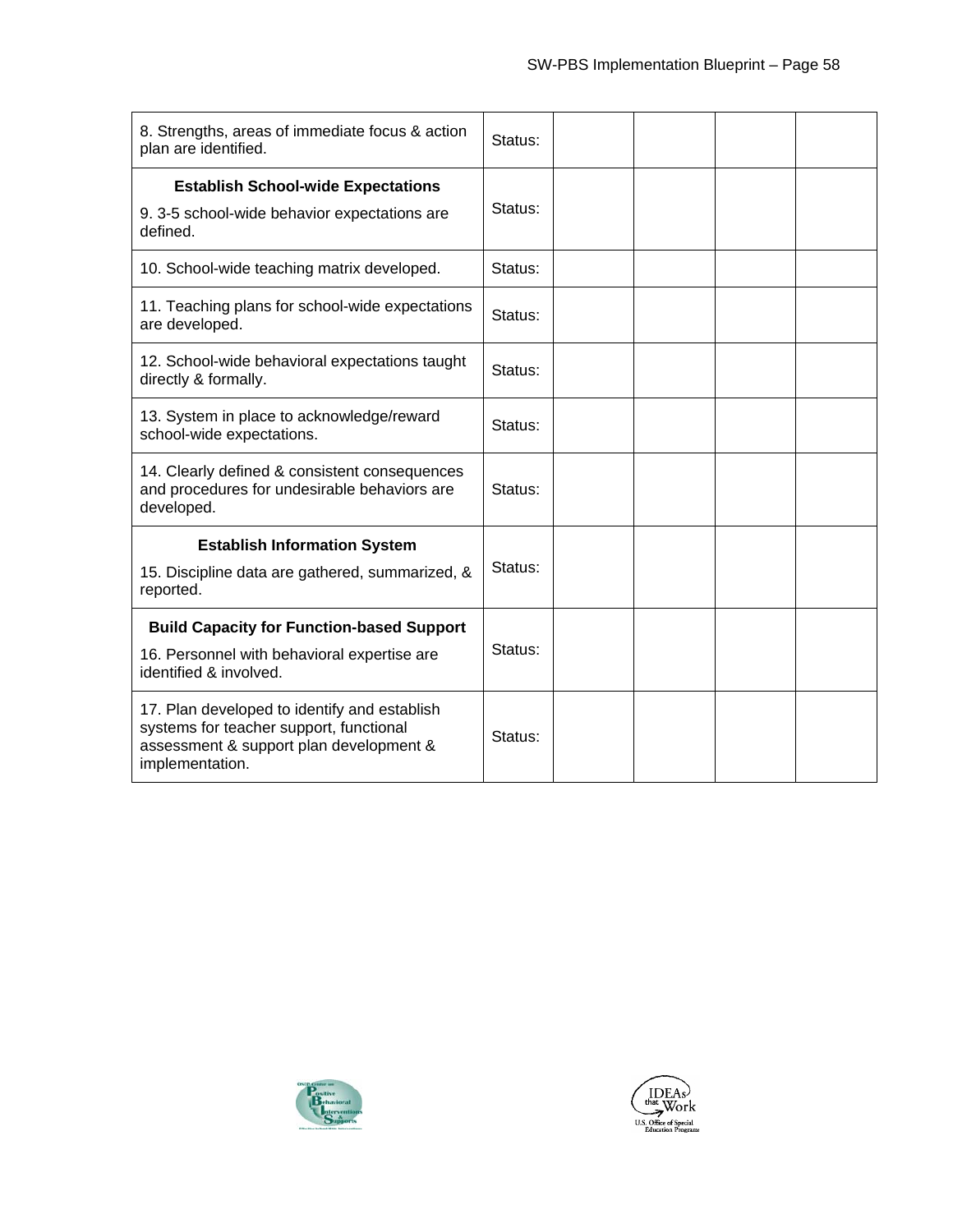| 8. Strengths, areas of immediate focus & action<br>plan are identified.                                                                               | Status: |  |  |
|-------------------------------------------------------------------------------------------------------------------------------------------------------|---------|--|--|
| <b>Establish School-wide Expectations</b><br>9. 3-5 school-wide behavior expectations are<br>defined.                                                 | Status: |  |  |
| 10. School-wide teaching matrix developed.                                                                                                            | Status: |  |  |
| 11. Teaching plans for school-wide expectations<br>are developed.                                                                                     | Status: |  |  |
| 12. School-wide behavioral expectations taught<br>directly & formally.                                                                                | Status: |  |  |
| 13. System in place to acknowledge/reward<br>school-wide expectations.                                                                                | Status: |  |  |
| 14. Clearly defined & consistent consequences<br>and procedures for undesirable behaviors are<br>developed.                                           | Status: |  |  |
| <b>Establish Information System</b>                                                                                                                   |         |  |  |
| 15. Discipline data are gathered, summarized, &<br>reported.                                                                                          | Status: |  |  |
| <b>Build Capacity for Function-based Support</b>                                                                                                      |         |  |  |
| 16. Personnel with behavioral expertise are<br>identified & involved.                                                                                 | Status: |  |  |
| 17. Plan developed to identify and establish<br>systems for teacher support, functional<br>assessment & support plan development &<br>implementation. | Status: |  |  |



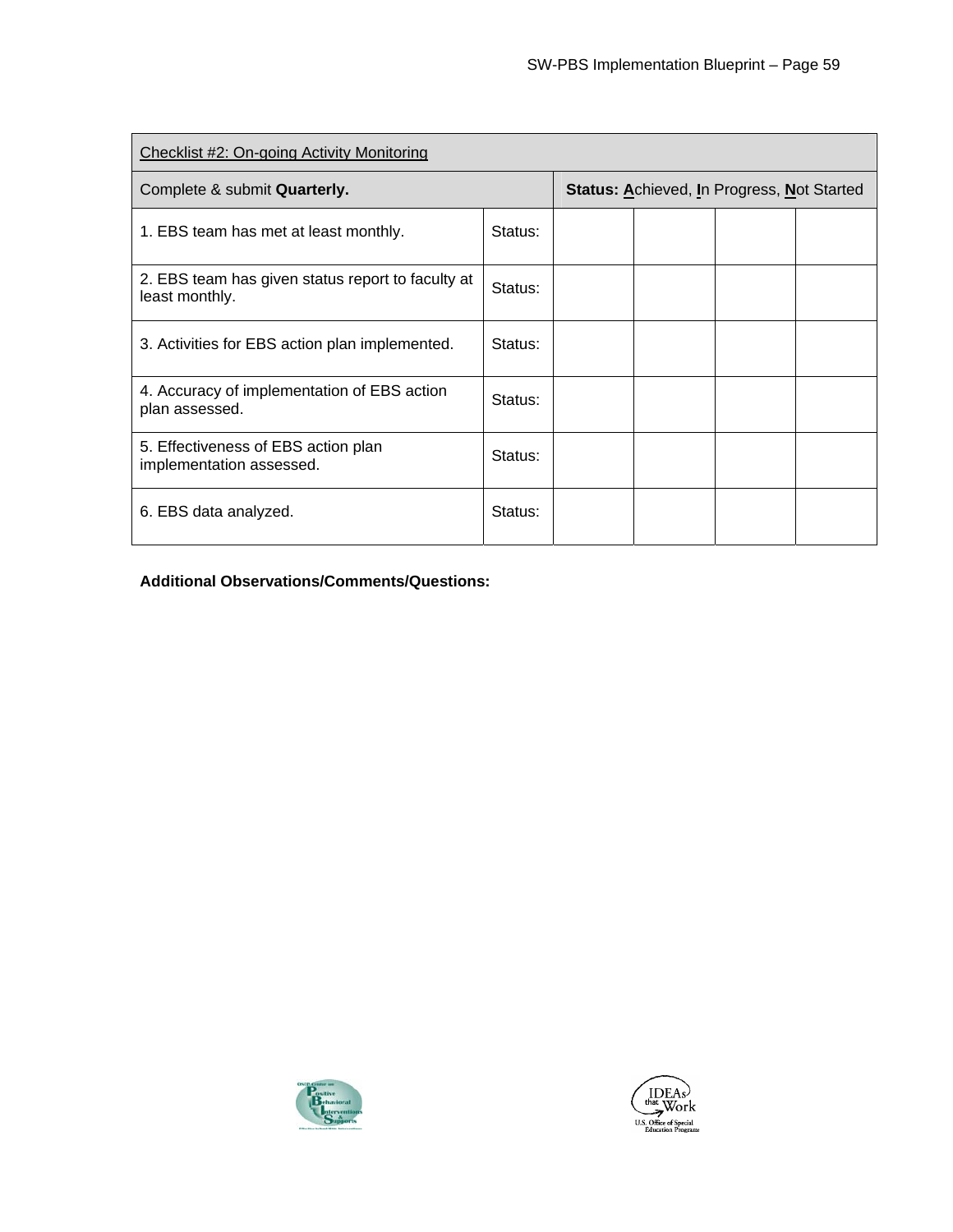| Checklist #2: On-going Activity Monitoring                          |         |  |                                                   |  |  |  |  |
|---------------------------------------------------------------------|---------|--|---------------------------------------------------|--|--|--|--|
| Complete & submit Quarterly.                                        |         |  | <b>Status: Achieved, In Progress, Not Started</b> |  |  |  |  |
| 1. EBS team has met at least monthly.                               | Status: |  |                                                   |  |  |  |  |
| 2. EBS team has given status report to faculty at<br>least monthly. | Status: |  |                                                   |  |  |  |  |
| 3. Activities for EBS action plan implemented.                      | Status: |  |                                                   |  |  |  |  |
| 4. Accuracy of implementation of EBS action<br>plan assessed.       | Status: |  |                                                   |  |  |  |  |
| 5. Effectiveness of EBS action plan<br>implementation assessed.     | Status: |  |                                                   |  |  |  |  |
| 6. EBS data analyzed.                                               | Status: |  |                                                   |  |  |  |  |

**Additional Observations/Comments/Questions:** 



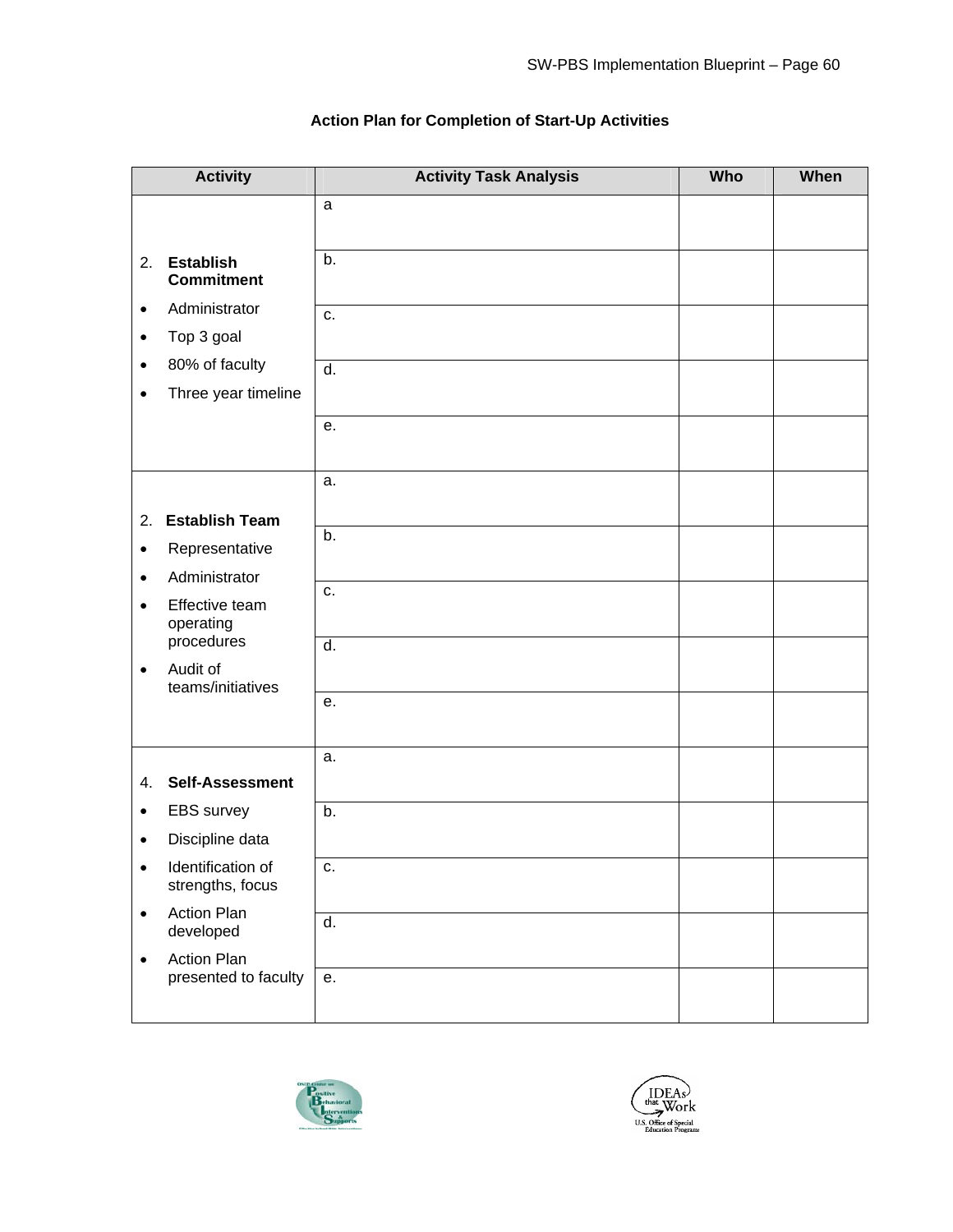|           | <b>Activity</b>                            | <b>Activity Task Analysis</b> | <b>Who</b> | When |
|-----------|--------------------------------------------|-------------------------------|------------|------|
|           |                                            | $\mathsf{a}$                  |            |      |
| 2.        | <b>Establish</b><br><b>Commitment</b>      | b.                            |            |      |
| $\bullet$ | Administrator                              | c.                            |            |      |
| $\bullet$ | Top 3 goal                                 |                               |            |      |
| $\bullet$ | 80% of faculty                             | $\overline{d}$ .              |            |      |
| $\bullet$ | Three year timeline                        |                               |            |      |
|           |                                            | е.                            |            |      |
|           |                                            | a.                            |            |      |
| 2.        | <b>Establish Team</b>                      |                               |            |      |
| $\bullet$ | Representative                             | b.                            |            |      |
| $\bullet$ | Administrator                              |                               |            |      |
| $\bullet$ | Effective team<br>operating                | c.                            |            |      |
|           | procedures                                 | $\overline{d}$ .              |            |      |
| $\bullet$ | Audit of<br>teams/initiatives              |                               |            |      |
|           |                                            | е.                            |            |      |
|           |                                            |                               |            |      |
|           |                                            | a.                            |            |      |
| 4.        | <b>Self-Assessment</b>                     |                               |            |      |
| $\bullet$ | EBS survey                                 | b.                            |            |      |
| $\bullet$ | Discipline data                            |                               |            |      |
| $\bullet$ | Identification of<br>strengths, focus      | c.                            |            |      |
| $\bullet$ | <b>Action Plan</b><br>developed            | d.                            |            |      |
| $\bullet$ | <b>Action Plan</b><br>presented to faculty | e.                            |            |      |
|           |                                            |                               |            |      |

#### **Action Plan for Completion of Start-Up Activities**



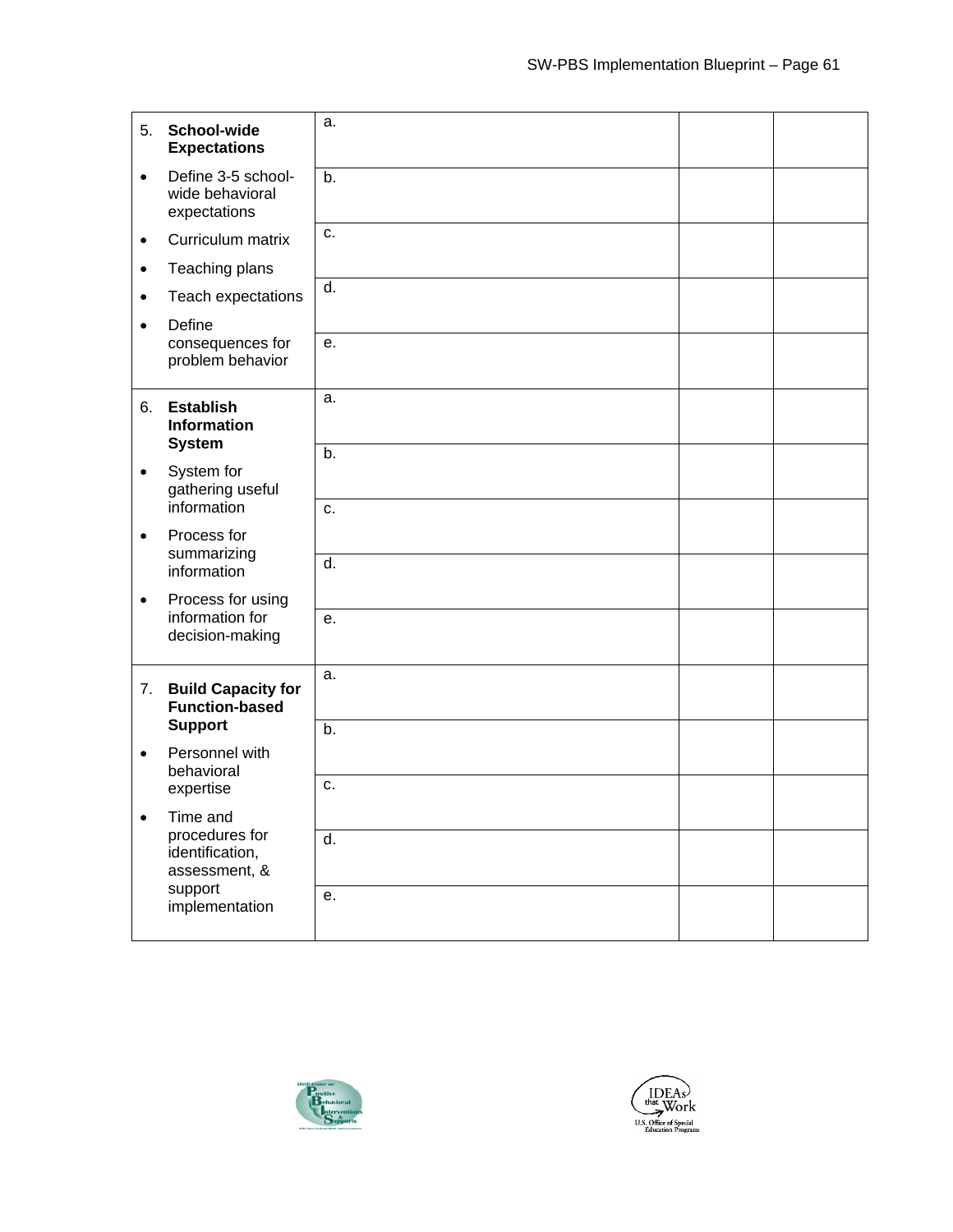| 5.        | School-wide<br><b>Expectations</b>                      | a.               |  |
|-----------|---------------------------------------------------------|------------------|--|
| $\bullet$ | Define 3-5 school-<br>wide behavioral<br>expectations   | b.               |  |
| $\bullet$ | Curriculum matrix                                       | C.               |  |
| $\bullet$ | Teaching plans                                          |                  |  |
| $\bullet$ | Teach expectations<br>Define                            | $\overline{d}$ . |  |
| $\bullet$ | consequences for<br>problem behavior                    | е.               |  |
| 6.        | <b>Establish</b><br><b>Information</b><br><b>System</b> | a.               |  |
| $\bullet$ | System for<br>gathering useful                          | b.               |  |
|           | information                                             | c.               |  |
| $\bullet$ | Process for<br>summarizing<br>information               | $\overline{d}$ . |  |
| $\bullet$ | Process for using                                       |                  |  |
|           | information for<br>decision-making                      | е.               |  |
| 7.        | <b>Build Capacity for</b><br><b>Function-based</b>      | a.               |  |
| $\bullet$ | <b>Support</b><br>Personnel with                        | b.               |  |
|           | behavioral<br>expertise                                 | C.               |  |
| $\bullet$ | Time and                                                |                  |  |
|           | procedures for<br>identification,<br>assessment, &      | d.               |  |
|           | support<br>implementation                               | е.               |  |



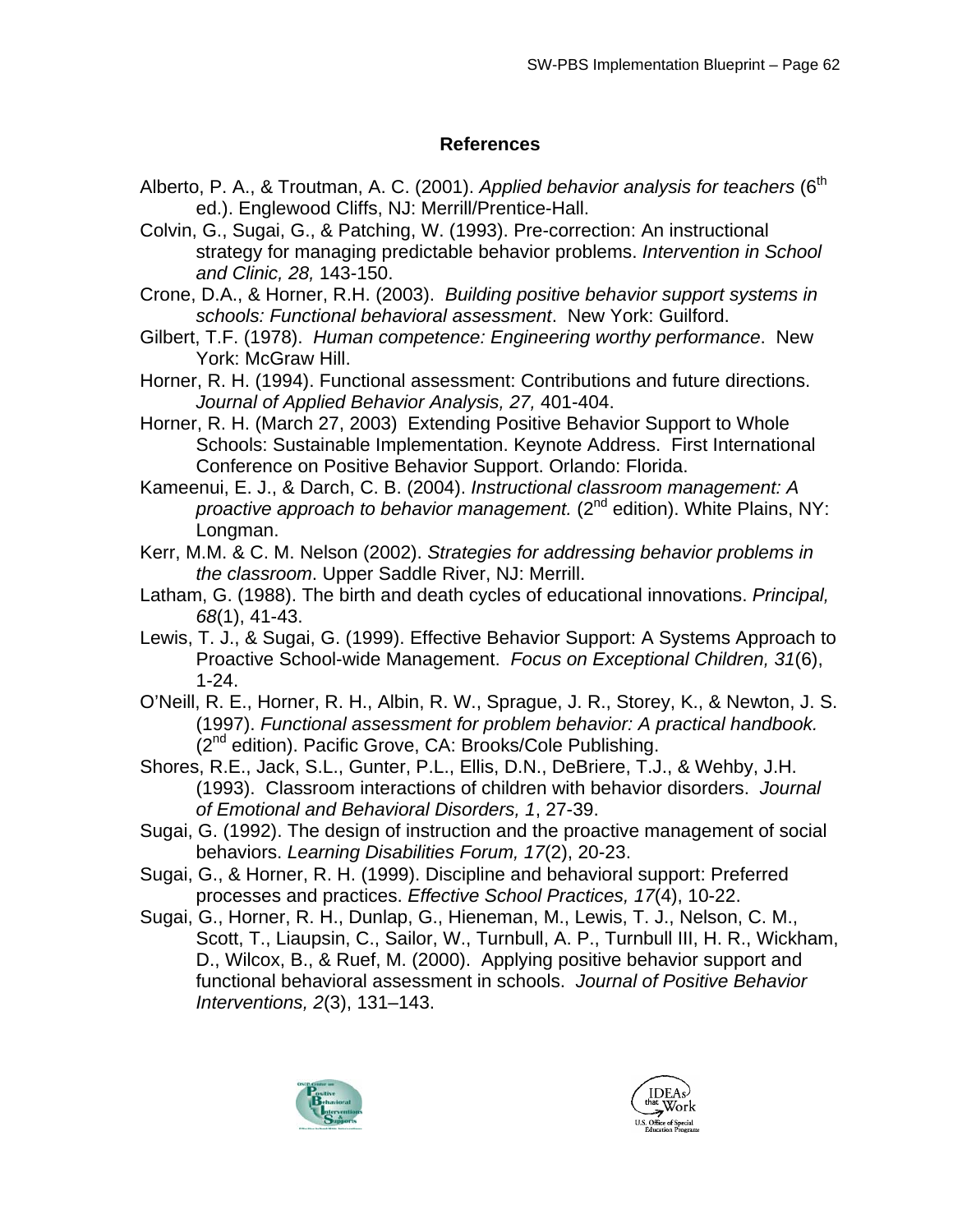### **References**

- Alberto, P. A., & Troutman, A. C. (2001). *Applied behavior analysis for teachers* (6<sup>th</sup> ed.). Englewood Cliffs, NJ: Merrill/Prentice-Hall.
- Colvin, G., Sugai, G., & Patching, W. (1993). Pre-correction: An instructional strategy for managing predictable behavior problems. *Intervention in School and Clinic, 28,* 143-150.
- Crone, D.A., & Horner, R.H. (2003). *Building positive behavior support systems in schools: Functional behavioral assessment*. New York: Guilford.
- Gilbert, T.F. (1978). *Human competence: Engineering worthy performance*. New York: McGraw Hill.
- Horner, R. H. (1994). Functional assessment: Contributions and future directions. *Journal of Applied Behavior Analysis, 27,* 401-404.
- Horner, R. H. (March 27, 2003) Extending Positive Behavior Support to Whole Schools: Sustainable Implementation. Keynote Address. First International Conference on Positive Behavior Support. Orlando: Florida.
- Kameenui, E. J., & Darch, C. B. (2004). *Instructional classroom management: A proactive approach to behavior management.* (2<sup>nd</sup> edition). White Plains, NY: Longman.
- Kerr, M.M. & C. M. Nelson (2002). *Strategies for addressing behavior problems in the classroom*. Upper Saddle River, NJ: Merrill.
- Latham, G. (1988). The birth and death cycles of educational innovations. *Principal, 68*(1), 41-43.
- Lewis, T. J., & Sugai, G. (1999). Effective Behavior Support: A Systems Approach to Proactive School-wide Management. *Focus on Exceptional Children, 31*(6), 1-24.
- O'Neill, R. E., Horner, R. H., Albin, R. W., Sprague, J. R., Storey, K., & Newton, J. S. (1997). *Functional assessment for problem behavior: A practical handbook.*   $(2^{nd}$  edition). Pacific Grove, CA: Brooks/Cole Publishing.
- Shores, R.E., Jack, S.L., Gunter, P.L., Ellis, D.N., DeBriere, T.J., & Wehby, J.H. (1993). Classroom interactions of children with behavior disorders. *Journal of Emotional and Behavioral Disorders, 1*, 27-39.
- Sugai, G. (1992). The design of instruction and the proactive management of social behaviors. *Learning Disabilities Forum, 17*(2), 20-23.
- Sugai, G., & Horner, R. H. (1999). Discipline and behavioral support: Preferred processes and practices. *Effective School Practices, 17*(4), 10-22.
- Sugai, G., Horner, R. H., Dunlap, G., Hieneman, M., Lewis, T. J., Nelson, C. M., Scott, T., Liaupsin, C., Sailor, W., Turnbull, A. P., Turnbull III, H. R., Wickham, D., Wilcox, B., & Ruef, M. (2000). Applying positive behavior support and functional behavioral assessment in schools. *Journal of Positive Behavior Interventions, 2*(3), 131–143.